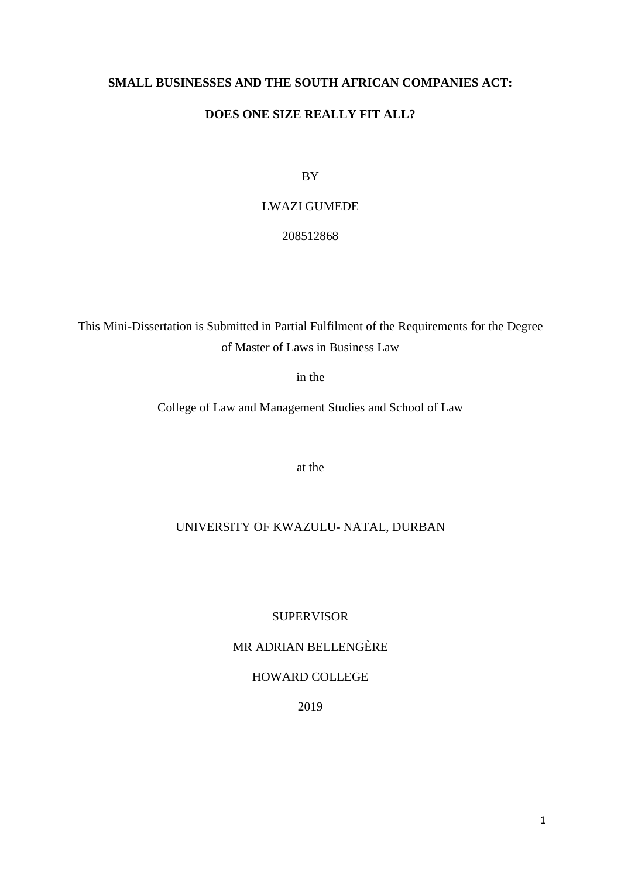# **SMALL BUSINESSES AND THE SOUTH AFRICAN COMPANIES ACT:**

# **DOES ONE SIZE REALLY FIT ALL?**

BY

# LWAZI GUMEDE

208512868

This Mini-Dissertation is Submitted in Partial Fulfilment of the Requirements for the Degree of Master of Laws in Business Law

in the

College of Law and Management Studies and School of Law

at the

# UNIVERSITY OF KWAZULU- NATAL, DURBAN

SUPERVISOR

MR ADRIAN BELLENGÈRE

# HOWARD COLLEGE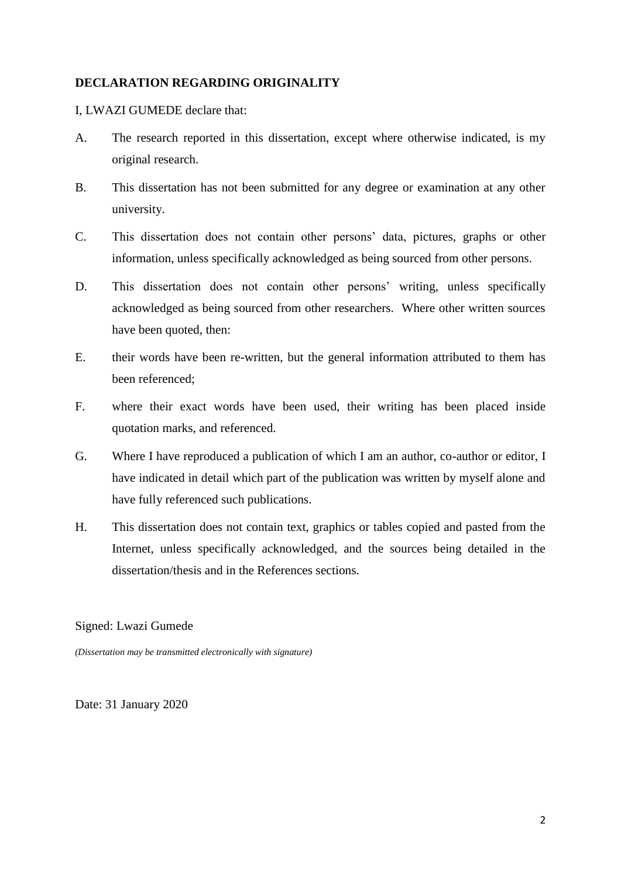# **DECLARATION REGARDING ORIGINALITY**

# I, LWAZI GUMEDE declare that:

- A. The research reported in this dissertation, except where otherwise indicated, is my original research.
- B. This dissertation has not been submitted for any degree or examination at any other university.
- C. This dissertation does not contain other persons" data, pictures, graphs or other information, unless specifically acknowledged as being sourced from other persons.
- D. This dissertation does not contain other persons' writing, unless specifically acknowledged as being sourced from other researchers. Where other written sources have been quoted, then:
- E. their words have been re-written, but the general information attributed to them has been referenced;
- F. where their exact words have been used, their writing has been placed inside quotation marks, and referenced.
- G. Where I have reproduced a publication of which I am an author, co-author or editor, I have indicated in detail which part of the publication was written by myself alone and have fully referenced such publications.
- H. This dissertation does not contain text, graphics or tables copied and pasted from the Internet, unless specifically acknowledged, and the sources being detailed in the dissertation/thesis and in the References sections.

#### Signed: Lwazi Gumede

*(Dissertation may be transmitted electronically with signature)*

Date: 31 January 2020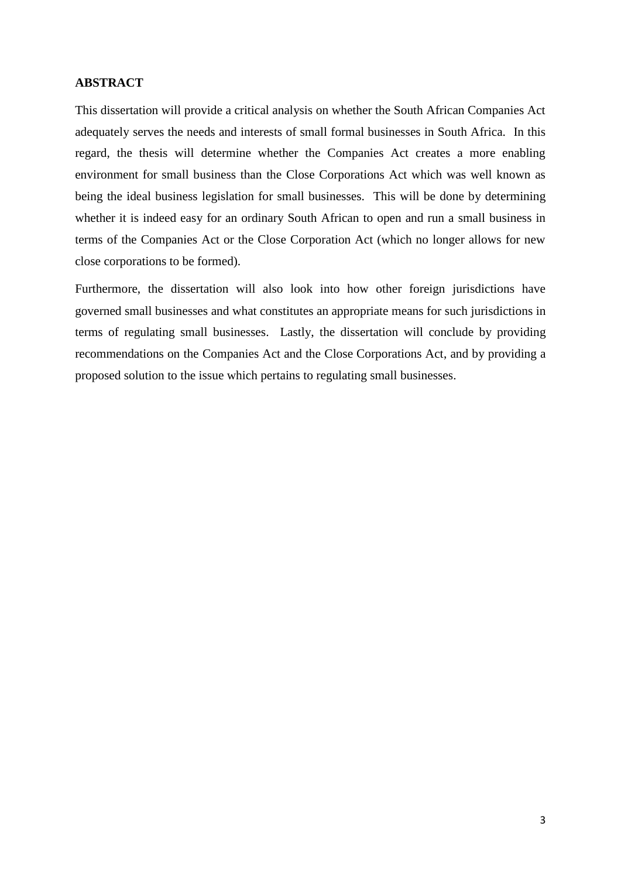#### **ABSTRACT**

This dissertation will provide a critical analysis on whether the South African Companies Act adequately serves the needs and interests of small formal businesses in South Africa. In this regard, the thesis will determine whether the Companies Act creates a more enabling environment for small business than the Close Corporations Act which was well known as being the ideal business legislation for small businesses. This will be done by determining whether it is indeed easy for an ordinary South African to open and run a small business in terms of the Companies Act or the Close Corporation Act (which no longer allows for new close corporations to be formed).

Furthermore, the dissertation will also look into how other foreign jurisdictions have governed small businesses and what constitutes an appropriate means for such jurisdictions in terms of regulating small businesses. Lastly, the dissertation will conclude by providing recommendations on the Companies Act and the Close Corporations Act, and by providing a proposed solution to the issue which pertains to regulating small businesses.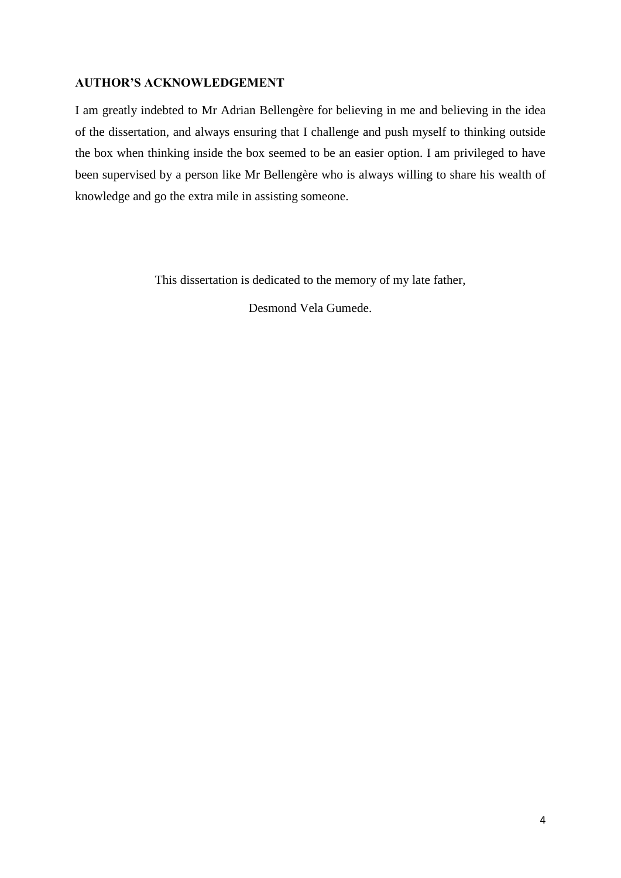# **AUTHOR'S ACKNOWLEDGEMENT**

I am greatly indebted to Mr Adrian Bellengère for believing in me and believing in the idea of the dissertation, and always ensuring that I challenge and push myself to thinking outside the box when thinking inside the box seemed to be an easier option. I am privileged to have been supervised by a person like Mr Bellengère who is always willing to share his wealth of knowledge and go the extra mile in assisting someone.

This dissertation is dedicated to the memory of my late father,

Desmond Vela Gumede.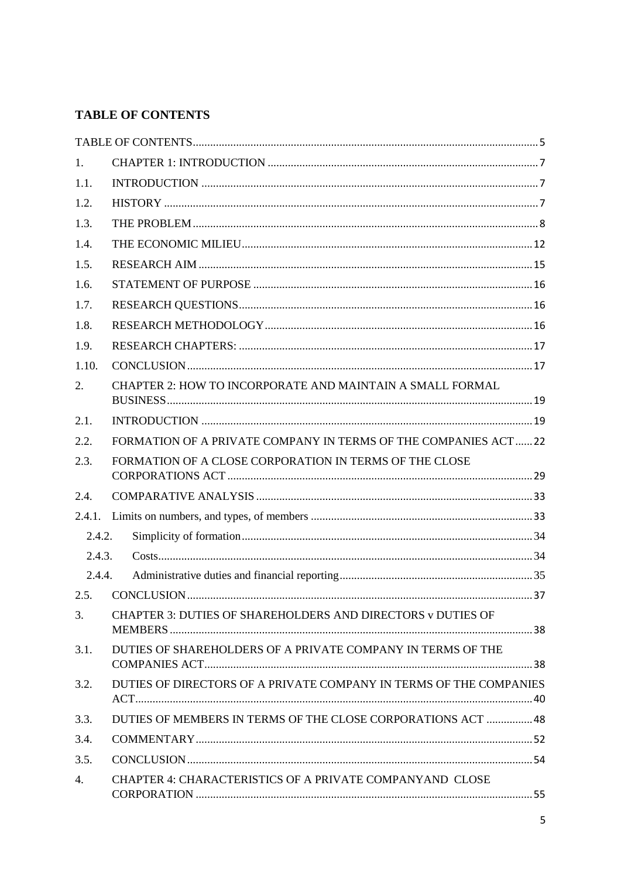# <span id="page-4-0"></span>**TABLE OF CONTENTS**

| 1.     |                                                                    |  |  |
|--------|--------------------------------------------------------------------|--|--|
| 1.1.   |                                                                    |  |  |
| 1.2.   |                                                                    |  |  |
| 1.3.   |                                                                    |  |  |
| 1.4.   |                                                                    |  |  |
| 1.5.   |                                                                    |  |  |
| 1.6.   |                                                                    |  |  |
| 1.7.   |                                                                    |  |  |
| 1.8.   |                                                                    |  |  |
| 1.9.   |                                                                    |  |  |
| 1.10.  |                                                                    |  |  |
| 2.     | CHAPTER 2: HOW TO INCORPORATE AND MAINTAIN A SMALL FORMAL          |  |  |
| 2.1.   |                                                                    |  |  |
| 2.2.   | FORMATION OF A PRIVATE COMPANY IN TERMS OF THE COMPANIES ACT22     |  |  |
| 2.3.   | FORMATION OF A CLOSE CORPORATION IN TERMS OF THE CLOSE             |  |  |
| 2.4.   |                                                                    |  |  |
| 2.4.1. |                                                                    |  |  |
| 2.4.2. |                                                                    |  |  |
| 2.4.3. |                                                                    |  |  |
| 2.4.4. |                                                                    |  |  |
| 2.5.   |                                                                    |  |  |
| 3.     | CHAPTER 3: DUTIES OF SHAREHOLDERS AND DIRECTORS v DUTIES OF        |  |  |
| 3.1.   | DUTIES OF SHAREHOLDERS OF A PRIVATE COMPANY IN TERMS OF THE        |  |  |
| 3.2.   | DUTIES OF DIRECTORS OF A PRIVATE COMPANY IN TERMS OF THE COMPANIES |  |  |
| 3.3.   | DUTIES OF MEMBERS IN TERMS OF THE CLOSE CORPORATIONS ACT  48       |  |  |
| 3.4.   |                                                                    |  |  |
| 3.5.   |                                                                    |  |  |
| 4.     | CHAPTER 4: CHARACTERISTICS OF A PRIVATE COMPANYAND CLOSE           |  |  |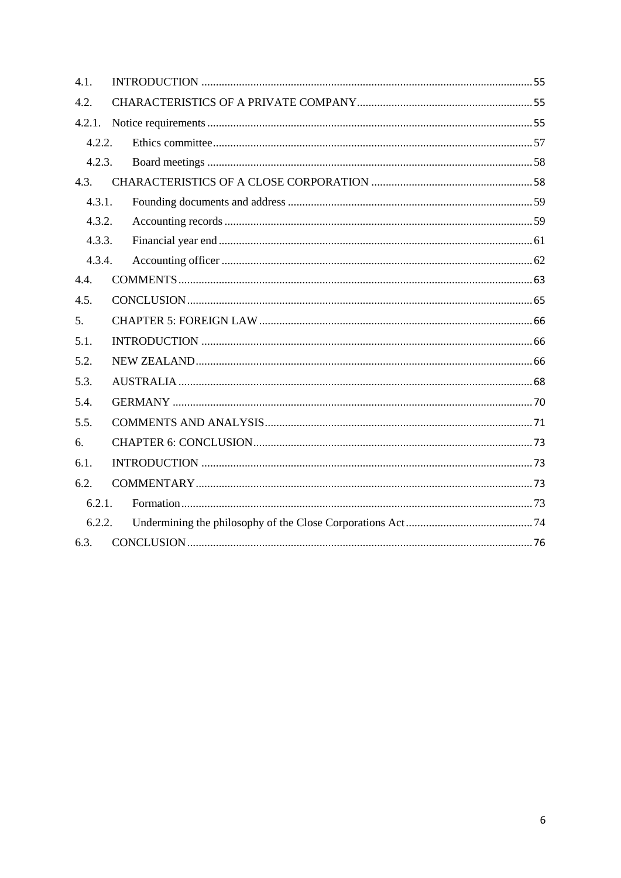| 4.1.   |  |  |
|--------|--|--|
| 4.2.   |  |  |
| 4.2.1. |  |  |
| 4.2.2. |  |  |
| 4.2.3. |  |  |
| 4.3.   |  |  |
| 4.3.1. |  |  |
| 4.3.2. |  |  |
| 4.3.3. |  |  |
| 4.3.4. |  |  |
| 4.4.   |  |  |
| 4.5.   |  |  |
| 5.     |  |  |
| 5.1.   |  |  |
| 5.2.   |  |  |
| 5.3.   |  |  |
| 5.4.   |  |  |
| 5.5.   |  |  |
| 6.     |  |  |
| 6.1.   |  |  |
| 6.2.   |  |  |
| 6.2.1. |  |  |
| 6.2.2. |  |  |
| 6.3.   |  |  |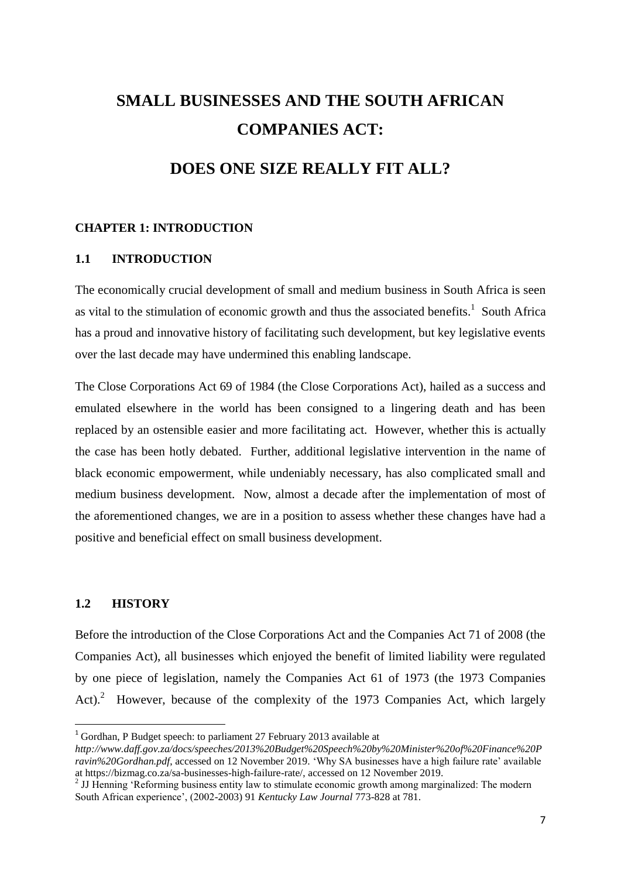# **SMALL BUSINESSES AND THE SOUTH AFRICAN COMPANIES ACT:**

# **DOES ONE SIZE REALLY FIT ALL?**

#### <span id="page-6-0"></span>**CHAPTER 1: INTRODUCTION**

#### <span id="page-6-1"></span>**1.1 INTRODUCTION**

The economically crucial development of small and medium business in South Africa is seen as vital to the stimulation of economic growth and thus the associated benefits.<sup>1</sup> South Africa has a proud and innovative history of facilitating such development, but key legislative events over the last decade may have undermined this enabling landscape.

The Close Corporations Act 69 of 1984 (the Close Corporations Act), hailed as a success and emulated elsewhere in the world has been consigned to a lingering death and has been replaced by an ostensible easier and more facilitating act. However, whether this is actually the case has been hotly debated. Further, additional legislative intervention in the name of black economic empowerment, while undeniably necessary, has also complicated small and medium business development. Now, almost a decade after the implementation of most of the aforementioned changes, we are in a position to assess whether these changes have had a positive and beneficial effect on small business development.

# <span id="page-6-2"></span>**1.2 HISTORY**

1

Before the introduction of the Close Corporations Act and the Companies Act 71 of 2008 (the Companies Act), all businesses which enjoyed the benefit of limited liability were regulated by one piece of legislation, namely the Companies Act 61 of 1973 (the 1973 Companies Act).<sup>2</sup> However, because of the complexity of the 1973 Companies Act, which largely

<sup>&</sup>lt;sup>1</sup> Gordhan, P Budget speech: to parliament 27 February 2013 available at

*http://www.daff.gov.za/docs/speeches/2013%20Budget%20Speech%20by%20Minister%20of%20Finance%20P ravin%20Gordhan.pdf*, accessed on 12 November 2019. "Why SA businesses have a high failure rate" available at https://bizmag.co.za/sa-businesses-high-failure-rate/, accessed on 12 November 2019.

<sup>&</sup>lt;sup>2</sup> JJ Henning 'Reforming business entity law to stimulate economic growth among marginalized: The modern South African experience", (2002-2003) 91 *Kentucky Law Journal* 773-828 at 781.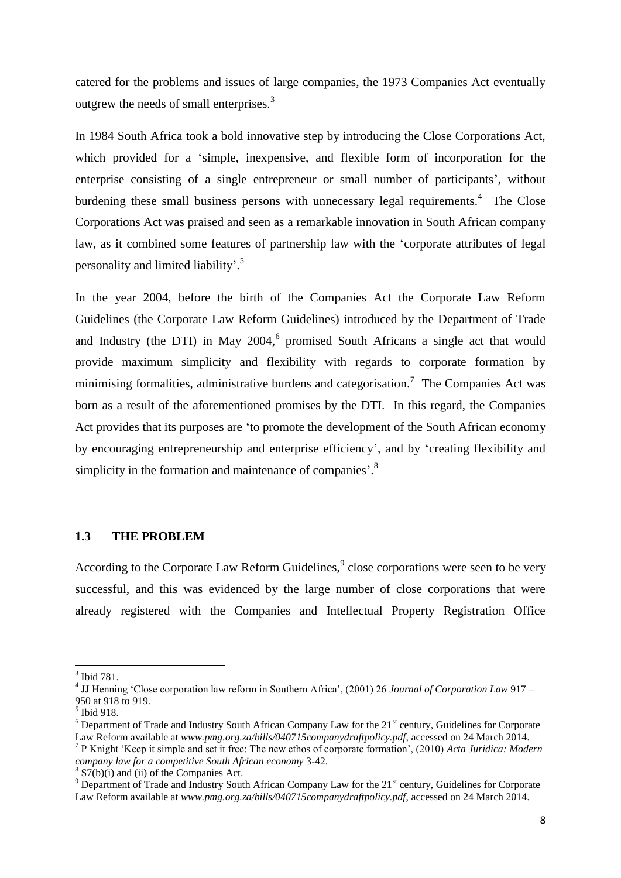catered for the problems and issues of large companies, the 1973 Companies Act eventually outgrew the needs of small enterprises.<sup>3</sup>

In 1984 South Africa took a bold innovative step by introducing the Close Corporations Act, which provided for a 'simple, inexpensive, and flexible form of incorporation for the enterprise consisting of a single entrepreneur or small number of participants', without burdening these small business persons with unnecessary legal requirements.<sup>4</sup> The Close Corporations Act was praised and seen as a remarkable innovation in South African company law, as it combined some features of partnership law with the "corporate attributes of legal personality and limited liability'.<sup>5</sup>

In the year 2004, before the birth of the Companies Act the Corporate Law Reform Guidelines (the Corporate Law Reform Guidelines) introduced by the Department of Trade and Industry (the DTI) in May  $2004$ , <sup>6</sup> promised South Africans a single act that would provide maximum simplicity and flexibility with regards to corporate formation by minimising formalities, administrative burdens and categorisation.<sup>7</sup> The Companies Act was born as a result of the aforementioned promises by the DTI. In this regard, the Companies Act provides that its purposes are "to promote the development of the South African economy by encouraging entrepreneurship and enterprise efficiency", and by "creating flexibility and simplicity in the formation and maintenance of companies'. $8$ 

#### <span id="page-7-0"></span>**1.3 THE PROBLEM**

According to the Corporate Law Reform Guidelines,<sup>9</sup> close corporations were seen to be very successful, and this was evidenced by the large number of close corporations that were already registered with the Companies and Intellectual Property Registration Office

<sup>3</sup> Ibid 781.

<sup>4</sup> JJ Henning "Close corporation law reform in Southern Africa", (2001) 26 *Journal of Corporation Law* 917 – 950 at 918 to 919.

<sup>5</sup> Ibid 918.

 $6$  Department of Trade and Industry South African Company Law for the 21 $\mathrm{^{st}}$  century, Guidelines for Corporate Law Reform available at *www.pmg.org.za/bills/040715companydraftpolicy.pdf*, accessed on 24 March 2014.

<sup>7</sup> P Knight "Keep it simple and set it free: The new ethos of corporate formation", (2010) *Acta Juridica: Modern company law for a competitive South African economy* 3-42.

 $8\overline{S7(b)(i)}$  and (ii) of the Companies Act.

<sup>&</sup>lt;sup>9</sup> Department of Trade and Industry South African Company Law for the 21<sup>st</sup> century, Guidelines for Corporate Law Reform available at *www.pmg.org.za/bills/040715companydraftpolicy.pdf*, accessed on 24 March 2014.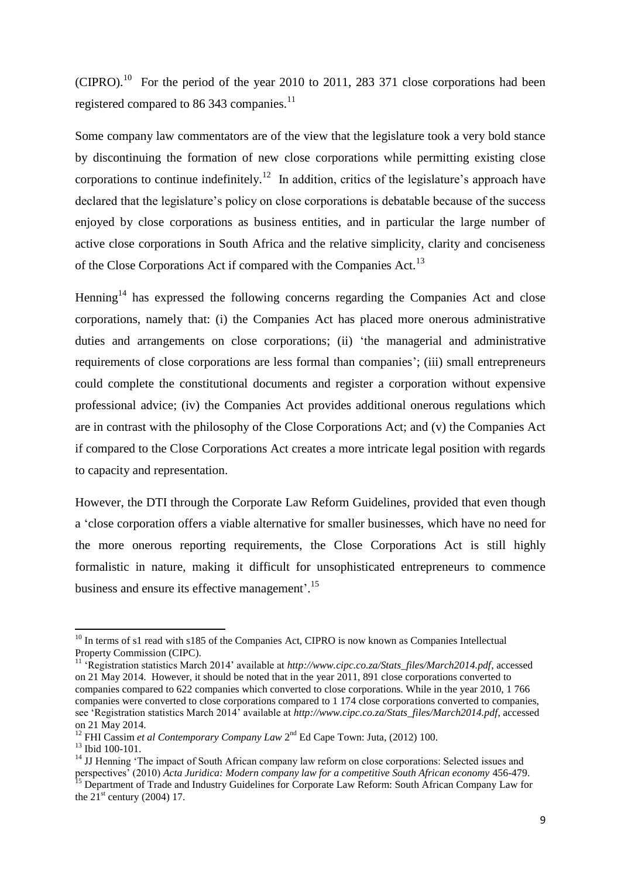$(CIPRO)$ .<sup>10</sup> For the period of the year 2010 to 2011, 283 371 close corporations had been registered compared to 86 343 companies.<sup>11</sup>

Some company law commentators are of the view that the legislature took a very bold stance by discontinuing the formation of new close corporations while permitting existing close corporations to continue indefinitely.<sup>12</sup> In addition, critics of the legislature's approach have declared that the legislature's policy on close corporations is debatable because of the success enjoyed by close corporations as business entities, and in particular the large number of active close corporations in South Africa and the relative simplicity, clarity and conciseness of the Close Corporations Act if compared with the Companies Act.<sup>13</sup>

Henning<sup>14</sup> has expressed the following concerns regarding the Companies Act and close corporations, namely that: (i) the Companies Act has placed more onerous administrative duties and arrangements on close corporations; (ii) 'the managerial and administrative requirements of close corporations are less formal than companies"; (iii) small entrepreneurs could complete the constitutional documents and register a corporation without expensive professional advice; (iv) the Companies Act provides additional onerous regulations which are in contrast with the philosophy of the Close Corporations Act; and (v) the Companies Act if compared to the Close Corporations Act creates a more intricate legal position with regards to capacity and representation.

However, the DTI through the Corporate Law Reform Guidelines*,* provided that even though a "close corporation offers a viable alternative for smaller businesses, which have no need for the more onerous reporting requirements, the Close Corporations Act is still highly formalistic in nature, making it difficult for unsophisticated entrepreneurs to commence business and ensure its effective management'.<sup>15</sup>

 $10$  In terms of s1 read with s185 of the Companies Act, CIPRO is now known as Companies Intellectual Property Commission (CIPC).

<sup>11</sup> "Registration statistics March 2014" available at *http://www.cipc.co.za/Stats\_files/March2014.pdf*, accessed on 21 May 2014. However, it should be noted that in the year 2011, 891 close corporations converted to companies compared to 622 companies which converted to close corporations. While in the year 2010, 1 766 companies were converted to close corporations compared to 1 174 close corporations converted to companies, see "Registration statistics March 2014" available at *http://www.cipc.co.za/Stats\_files/March2014.pdf*, accessed on 21 May 2014.

<sup>&</sup>lt;sup>12</sup> FHI Cassim *et al Contemporary Company Law* 2<sup>nd</sup> Ed Cape Town: Juta, (2012) 100.

<sup>13</sup> Ibid 100-101.

<sup>&</sup>lt;sup>14</sup> JJ Henning 'The impact of South African company law reform on close corporations: Selected issues and perspectives" (2010) *Acta Juridica: Modern company law for a competitive South African economy* 456-479.

<sup>&</sup>lt;sup>15</sup> Department of Trade and Industry Guidelines for Corporate Law Reform: South African Company Law for the  $21^{\text{st}}$  century (2004) 17.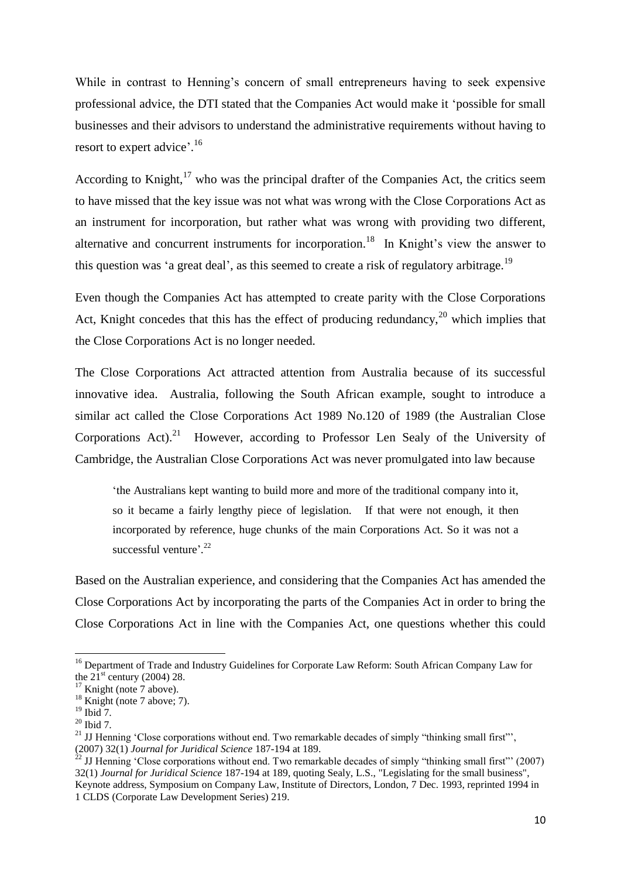While in contrast to Henning's concern of small entrepreneurs having to seek expensive professional advice, the DTI stated that the Companies Act would make it "possible for small businesses and their advisors to understand the administrative requirements without having to resort to expert advice'.<sup>16</sup>

According to Knight,  $17$  who was the principal drafter of the Companies Act, the critics seem to have missed that the key issue was not what was wrong with the Close Corporations Act as an instrument for incorporation, but rather what was wrong with providing two different, alternative and concurrent instruments for incorporation.<sup>18</sup> In Knight's view the answer to this question was 'a great deal', as this seemed to create a risk of regulatory arbitrage.<sup>19</sup>

Even though the Companies Act has attempted to create parity with the Close Corporations Act, Knight concedes that this has the effect of producing redundancy,  $^{20}$  which implies that the Close Corporations Act is no longer needed.

The Close Corporations Act attracted attention from Australia because of its successful innovative idea. Australia, following the South African example, sought to introduce a similar act called the Close Corporations Act 1989 No.120 of 1989 (the Australian Close Corporations Act).<sup>21</sup> However, according to Professor Len Sealy of the University of Cambridge, the Australian Close Corporations Act was never promulgated into law because

"the Australians kept wanting to build more and more of the traditional company into it, so it became a fairly lengthy piece of legislation. If that were not enough, it then incorporated by reference, huge chunks of the main Corporations Act. So it was not a successful venture<sup>'.22</sup>

Based on the Australian experience, and considering that the Companies Act has amended the Close Corporations Act by incorporating the parts of the Companies Act in order to bring the Close Corporations Act in line with the Companies Act, one questions whether this could

<sup>&</sup>lt;sup>16</sup> Department of Trade and Industry Guidelines for Corporate Law Reform: South African Company Law for the  $21^{\text{st}}$  century (2004) 28.

 $17$  Knight (note 7 above).

 $18$  Knight (note 7 above; 7).

 $19$  Ibid 7.

 $20$  Ibid 7.

<sup>&</sup>lt;sup>21</sup> JJ Henning 'Close corporations without end. Two remarkable decades of simply "thinking small first"'. (2007) 32(1) *Journal for Juridical Science* 187-194 at 189.

<sup>&</sup>lt;sup>22</sup> JJ Henning 'Close corporations without end. Two remarkable decades of simply "thinking small first"" (2007) 32(1) *Journal for Juridical Science* 187-194 at 189, quoting Sealy, L.S., "Legislating for the small business", Keynote address, Symposium on Company Law, Institute of Directors, London, 7 Dec. 1993, reprinted 1994 in 1 CLDS (Corporate Law Development Series) 219.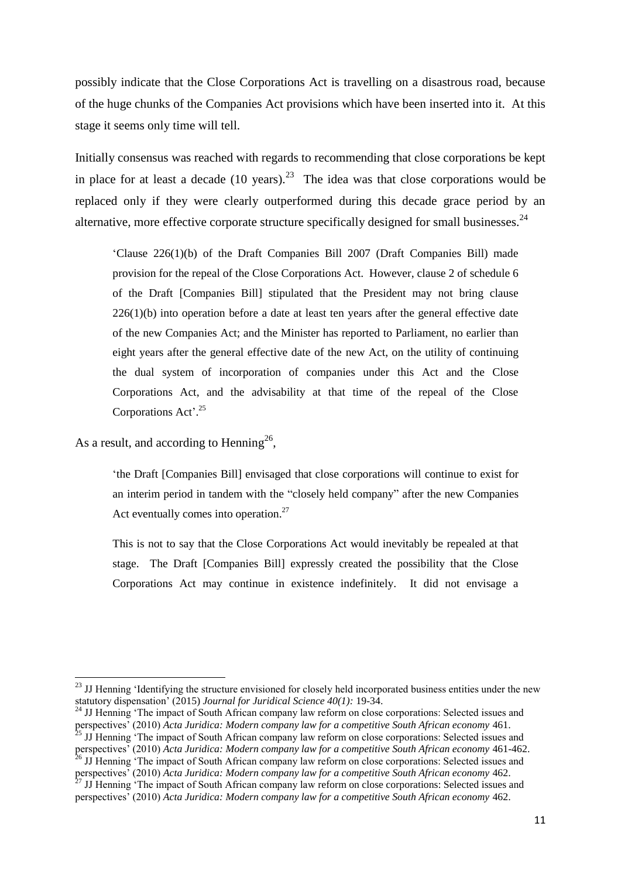possibly indicate that the Close Corporations Act is travelling on a disastrous road, because of the huge chunks of the Companies Act provisions which have been inserted into it. At this stage it seems only time will tell.

Initially consensus was reached with regards to recommending that close corporations be kept in place for at least a decade  $(10 \text{ years})^{23}$  The idea was that close corporations would be replaced only if they were clearly outperformed during this decade grace period by an alternative, more effective corporate structure specifically designed for small businesses. $^{24}$ 

"Clause 226(1)(b) of the Draft Companies Bill 2007 (Draft Companies Bill) made provision for the repeal of the Close Corporations Act. However, clause 2 of schedule 6 of the Draft [Companies Bill] stipulated that the President may not bring clause 226(1)(b) into operation before a date at least ten years after the general effective date of the new Companies Act; and the Minister has reported to Parliament, no earlier than eight years after the general effective date of the new Act, on the utility of continuing the dual system of incorporation of companies under this Act and the Close Corporations Act, and the advisability at that time of the repeal of the Close Corporations Act'.<sup>25</sup>

As a result, and according to Henning<sup>26</sup>,

**.** 

"the Draft [Companies Bill] envisaged that close corporations will continue to exist for an interim period in tandem with the "closely held company" after the new Companies Act eventually comes into operation.<sup>27</sup>

This is not to say that the Close Corporations Act would inevitably be repealed at that stage. The Draft [Companies Bill] expressly created the possibility that the Close Corporations Act may continue in existence indefinitely. It did not envisage a

<sup>&</sup>lt;sup>23</sup> JJ Henning 'Identifying the structure envisioned for closely held incorporated business entities under the new statutory dispensation" (2015) *Journal for Juridical Science 40(1):* 19-34.

<sup>&</sup>lt;sup>24</sup> JJ Henning 'The impact of South African company law reform on close corporations: Selected issues and perspectives<sup>7</sup> (2010) *Acta Juridica: Modern company law for a competitive South African economy* 461.  $<sup>5</sup>$  JJ Henning 'The impact of South African company law reform on close corporations: Selected issues and</sup> perspectives" (2010) *Acta Juridica: Modern company law for a competitive South African economy* 461-462.

<sup>&</sup>lt;sup>26</sup> JJ Henning 'The impact of South African company law reform on close corporations: Selected issues and perspectives<sup>7</sup> (2010) *Acta Juridica: Modern company law for a competitive South African economy* 462.

 $7 \text{ J}$  Henning  $\cdot$ The impact of South African company law reform on close corporations: Selected issues and perspectives" (2010) *Acta Juridica: Modern company law for a competitive South African economy* 462.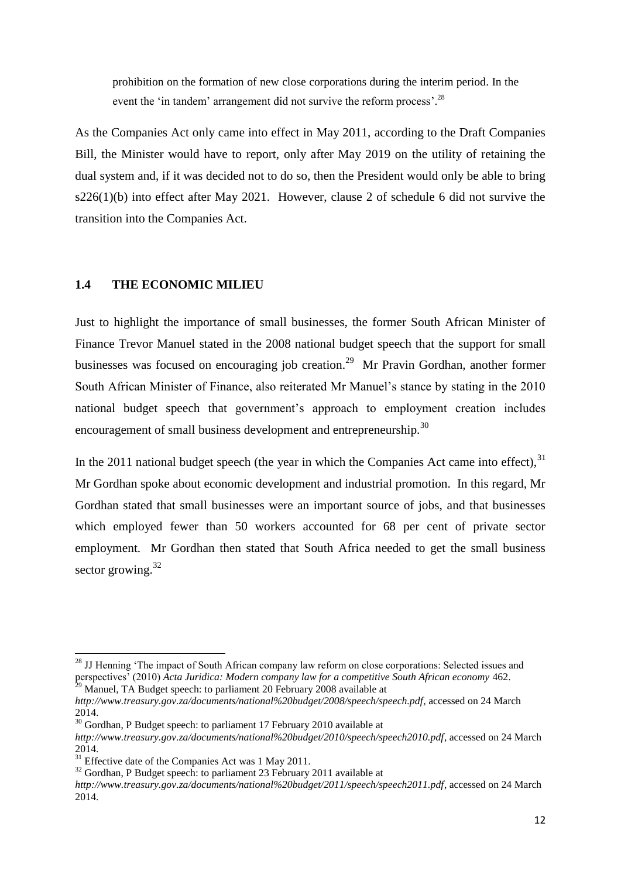prohibition on the formation of new close corporations during the interim period. In the event the 'in tandem' arrangement did not survive the reform process'.<sup>28</sup>

As the Companies Act only came into effect in May 2011, according to the Draft Companies Bill, the Minister would have to report, only after May 2019 on the utility of retaining the dual system and, if it was decided not to do so, then the President would only be able to bring s226(1)(b) into effect after May 2021. However, clause 2 of schedule 6 did not survive the transition into the Companies Act.

# <span id="page-11-0"></span>**1.4 THE ECONOMIC MILIEU**

Just to highlight the importance of small businesses, the former South African Minister of Finance Trevor Manuel stated in the 2008 national budget speech that the support for small businesses was focused on encouraging job creation.<sup>29</sup> Mr Pravin Gordhan, another former South African Minister of Finance, also reiterated Mr Manuel"s stance by stating in the 2010 national budget speech that government's approach to employment creation includes encouragement of small business development and entrepreneurship.<sup>30</sup>

In the 2011 national budget speech (the year in which the Companies Act came into effect),  $31$ Mr Gordhan spoke about economic development and industrial promotion. In this regard, Mr Gordhan stated that small businesses were an important source of jobs, and that businesses which employed fewer than 50 workers accounted for 68 per cent of private sector employment. Mr Gordhan then stated that South Africa needed to get the small business sector growing.<sup>32</sup>

<sup>&</sup>lt;sup>28</sup> JJ Henning 'The impact of South African company law reform on close corporations: Selected issues and perspectives" (2010) *Acta Juridica: Modern company law for a competitive South African economy* 462.  $^{29}$  Manuel, TA Budget speech: to parliament 20 February 2008 available at

*http://www.treasury.gov.za/documents/national%20budget/2008/speech/speech.pdf*, accessed on 24 March 2014.

<sup>&</sup>lt;sup>30</sup> Gordhan, P Budget speech: to parliament 17 February 2010 available at

*http://www.treasury.gov.za/documents/national%20budget/2010/speech/speech2010.pdf*, accessed on 24 March 2014.

 $31$  Effective date of the Companies Act was 1 May 2011.

 $32$  Gordhan, P Budget speech: to parliament 23 February 2011 available at

*http://www.treasury.gov.za/documents/national%20budget/2011/speech/speech2011.pdf*, accessed on 24 March 2014.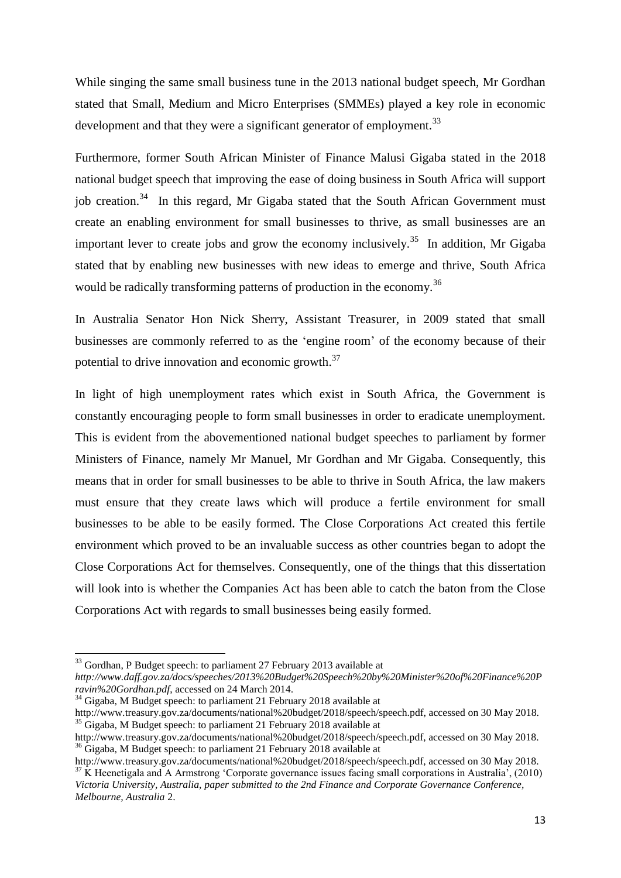While singing the same small business tune in the 2013 national budget speech, Mr Gordhan stated that Small, Medium and Micro Enterprises (SMMEs) played a key role in economic development and that they were a significant generator of employment.<sup>33</sup>

Furthermore, former South African Minister of Finance Malusi Gigaba stated in the 2018 national budget speech that improving the ease of doing business in South Africa will support job creation.<sup>34</sup> In this regard, Mr Gigaba stated that the South African Government must create an enabling environment for small businesses to thrive, as small businesses are an important lever to create jobs and grow the economy inclusively.<sup>35</sup> In addition, Mr Gigaba stated that by enabling new businesses with new ideas to emerge and thrive, South Africa would be radically transforming patterns of production in the economy.<sup>36</sup>

In Australia Senator Hon Nick Sherry, Assistant Treasurer, in 2009 stated that small businesses are commonly referred to as the "engine room" of the economy because of their potential to drive innovation and economic growth.<sup>37</sup>

In light of high unemployment rates which exist in South Africa, the Government is constantly encouraging people to form small businesses in order to eradicate unemployment. This is evident from the abovementioned national budget speeches to parliament by former Ministers of Finance, namely Mr Manuel, Mr Gordhan and Mr Gigaba. Consequently, this means that in order for small businesses to be able to thrive in South Africa, the law makers must ensure that they create laws which will produce a fertile environment for small businesses to be able to be easily formed. The Close Corporations Act created this fertile environment which proved to be an invaluable success as other countries began to adopt the Close Corporations Act for themselves. Consequently, one of the things that this dissertation will look into is whether the Companies Act has been able to catch the baton from the Close Corporations Act with regards to small businesses being easily formed.

<sup>&</sup>lt;sup>33</sup> Gordhan, P Budget speech: to parliament 27 February 2013 available at

*http://www.daff.gov.za/docs/speeches/2013%20Budget%20Speech%20by%20Minister%20of%20Finance%20P ravin%20Gordhan.pdf*, accessed on 24 March 2014.

<sup>&</sup>lt;sup>34</sup> Gigaba, M Budget speech: to parliament 21 February 2018 available at

http://www.treasury.gov.za/documents/national%20budget/2018/speech/speech.pdf, accessed on 30 May 2018.  $35$  Gigaba, M Budget speech: to parliament 21 February 2018 available at

http://www.treasury.gov.za/documents/national%20budget/2018/speech/speech.pdf, accessed on 30 May 2018. <sup>36</sup> Gigaba, M Budget speech: to parliament 21 February 2018 available at

http://www.treasury.gov.za/documents/national%20budget/2018/speech/speech.pdf, accessed on 30 May 2018. <sup>37</sup> K Heenetigala and A Armstrong 'Corporate governance issues facing small corporations in Australia', (2010) *Victoria University, Australia, paper submitted to the 2nd Finance and Corporate Governance Conference, Melbourne, Australia* 2.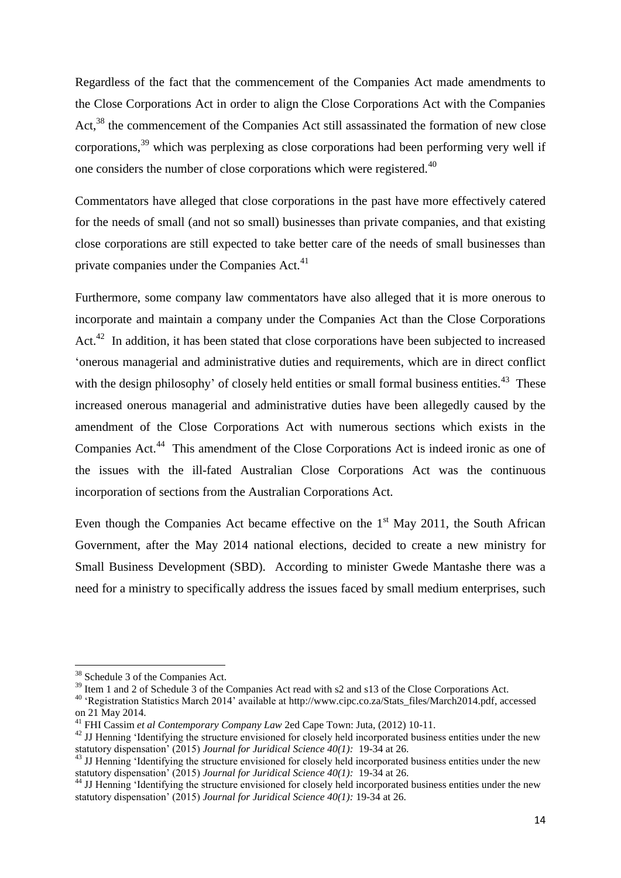Regardless of the fact that the commencement of the Companies Act made amendments to the Close Corporations Act in order to align the Close Corporations Act with the Companies Act,<sup>38</sup> the commencement of the Companies Act still assassinated the formation of new close corporations,<sup>39</sup> which was perplexing as close corporations had been performing very well if one considers the number of close corporations which were registered.<sup>40</sup>

Commentators have alleged that close corporations in the past have more effectively catered for the needs of small (and not so small) businesses than private companies, and that existing close corporations are still expected to take better care of the needs of small businesses than private companies under the Companies Act.<sup>41</sup>

Furthermore, some company law commentators have also alleged that it is more onerous to incorporate and maintain a company under the Companies Act than the Close Corporations Act.<sup>42</sup> In addition, it has been stated that close corporations have been subjected to increased "onerous managerial and administrative duties and requirements, which are in direct conflict with the design philosophy' of closely held entities or small formal business entities. $43$  These increased onerous managerial and administrative duties have been allegedly caused by the amendment of the Close Corporations Act with numerous sections which exists in the Companies Act.<sup>44</sup> This amendment of the Close Corporations Act is indeed ironic as one of the issues with the ill-fated Australian Close Corporations Act was the continuous incorporation of sections from the Australian Corporations Act.

Even though the Companies Act became effective on the  $1<sup>st</sup>$  May 2011, the South African Government, after the May 2014 national elections, decided to create a new ministry for Small Business Development (SBD). According to minister Gwede Mantashe there was a need for a ministry to specifically address the issues faced by small medium enterprises, such

<sup>&</sup>lt;sup>38</sup> Schedule 3 of the Companies Act.

<sup>&</sup>lt;sup>39</sup> Item 1 and 2 of Schedule 3 of the Companies Act read with s2 and s13 of the Close Corporations Act.

<sup>40</sup> "Registration Statistics March 2014" available at http://www.cipc.co.za/Stats\_files/March2014.pdf, accessed on 21 May 2014.

<sup>41</sup> FHI Cassim *et al Contemporary Company Law* 2ed Cape Town: Juta, (2012) 10-11.

<sup>&</sup>lt;sup>42</sup> JJ Henning 'Identifying the structure envisioned for closely held incorporated business entities under the new statutory dispensation" (2015) *Journal for Juridical Science 40(1):* 19-34 at 26.

<sup>&</sup>lt;sup>43</sup> JJ Henning 'Identifying the structure envisioned for closely held incorporated business entities under the new statutory dispensation" (2015) *Journal for Juridical Science 40(1):* 19-34 at 26.

<sup>&</sup>lt;sup>44</sup> JJ Henning 'Identifying the structure envisioned for closely held incorporated business entities under the new statutory dispensation" (2015) *Journal for Juridical Science 40(1):* 19-34 at 26.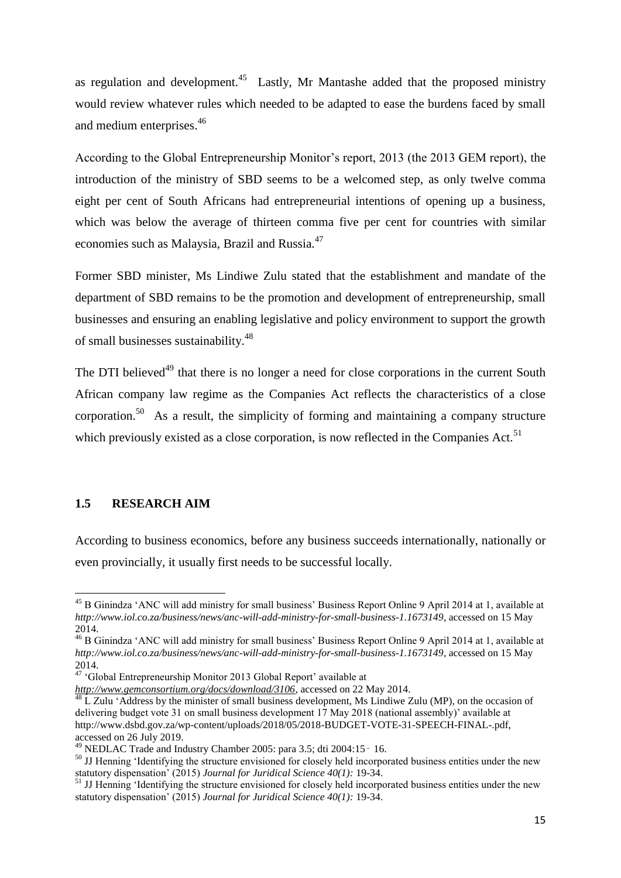as regulation and development. $45$  Lastly, Mr Mantashe added that the proposed ministry would review whatever rules which needed to be adapted to ease the burdens faced by small and medium enterprises.<sup>46</sup>

According to the Global Entrepreneurship Monitor"s report, 2013 (the 2013 GEM report), the introduction of the ministry of SBD seems to be a welcomed step, as only twelve comma eight per cent of South Africans had entrepreneurial intentions of opening up a business, which was below the average of thirteen comma five per cent for countries with similar economies such as Malaysia, Brazil and Russia.<sup>47</sup>

Former SBD minister, Ms Lindiwe Zulu stated that the establishment and mandate of the department of SBD remains to be the promotion and development of entrepreneurship, small businesses and ensuring an enabling legislative and policy environment to support the growth of small businesses sustainability.<sup>48</sup>

The DTI believed<sup>49</sup> that there is no longer a need for close corporations in the current South African company law regime as the Companies Act reflects the characteristics of a close corporation.<sup>50</sup> As a result, the simplicity of forming and maintaining a company structure which previously existed as a close corporation, is now reflected in the Companies Act.<sup>51</sup>

#### <span id="page-14-0"></span>**1.5 RESEARCH AIM**

**.** 

According to business economics, before any business succeeds internationally, nationally or even provincially, it usually first needs to be successful locally.

<sup>&</sup>lt;sup>45</sup> B Ginindza 'ANC will add ministry for small business' Business Report Online 9 April 2014 at 1, available at *http://www.iol.co.za/business/news/anc-will-add-ministry-for-small-business-1.1673149*, accessed on 15 May 2014.

<sup>&</sup>lt;sup>46</sup> B Ginindza 'ANC will add ministry for small business' Business Report Online 9 April 2014 at 1, available at *http://www.iol.co.za/business/news/anc-will-add-ministry-for-small-business-1.1673149*, accessed on 15 May 2014.

<sup>&</sup>lt;sup>47</sup> 'Global Entrepreneurship Monitor 2013 Global Report' available at

*http://www.gemconsortium.org/docs/download/3106*, accessed on 22 May 2014.

 $48$  L Zulu 'Address by the minister of small business development, Ms Lindiwe Zulu (MP), on the occasion of delivering budget vote 31 on small business development 17 May 2018 (national assembly)" available at http://www.dsbd.gov.za/wp-content/uploads/2018/05/2018-BUDGET-VOTE-31-SPEECH-FINAL-.pdf, accessed on 26 July 2019.

<sup>&</sup>lt;sup>49</sup> NEDLAC Trade and Industry Chamber 2005: para 3.5; dti 2004:15 - 16.

<sup>&</sup>lt;sup>50</sup> JJ Henning 'Identifying the structure envisioned for closely held incorporated business entities under the new statutory dispensation" (2015) *Journal for Juridical Science 40(1):* 19-34.

<sup>&</sup>lt;sup>51</sup> JJ Henning 'Identifying the structure envisioned for closely held incorporated business entities under the new statutory dispensation" (2015) *Journal for Juridical Science 40(1):* 19-34.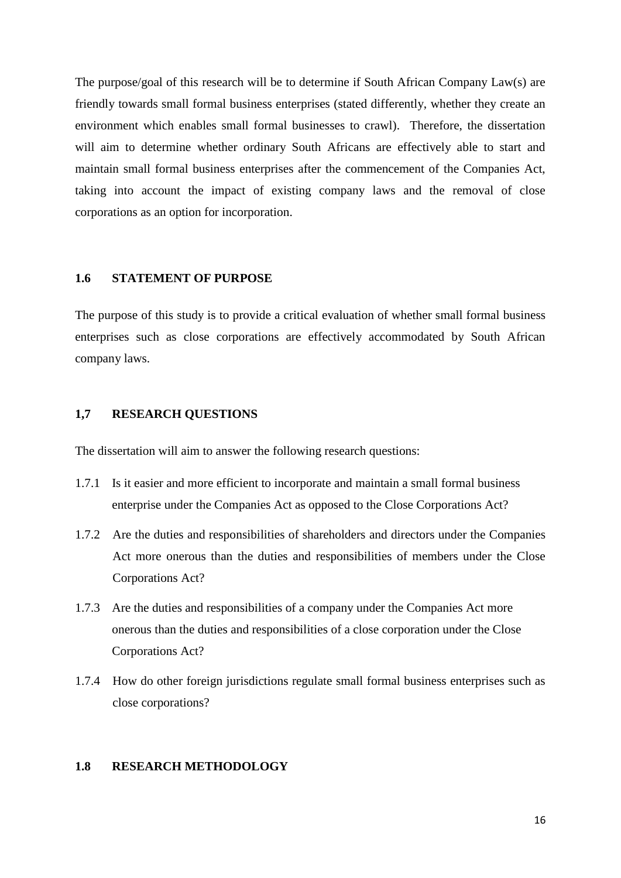The purpose/goal of this research will be to determine if South African Company Law(s) are friendly towards small formal business enterprises (stated differently, whether they create an environment which enables small formal businesses to crawl). Therefore, the dissertation will aim to determine whether ordinary South Africans are effectively able to start and maintain small formal business enterprises after the commencement of the Companies Act, taking into account the impact of existing company laws and the removal of close corporations as an option for incorporation.

#### <span id="page-15-0"></span>**1.6 STATEMENT OF PURPOSE**

The purpose of this study is to provide a critical evaluation of whether small formal business enterprises such as close corporations are effectively accommodated by South African company laws.

#### <span id="page-15-1"></span>**1,7 RESEARCH QUESTIONS**

The dissertation will aim to answer the following research questions:

- 1.7.1 Is it easier and more efficient to incorporate and maintain a small formal business enterprise under the Companies Act as opposed to the Close Corporations Act?
- 1.7.2 Are the duties and responsibilities of shareholders and directors under the Companies Act more onerous than the duties and responsibilities of members under the Close Corporations Act?
- 1.7.3 Are the duties and responsibilities of a company under the Companies Act more onerous than the duties and responsibilities of a close corporation under the Close Corporations Act?
- 1.7.4 How do other foreign jurisdictions regulate small formal business enterprises such as close corporations?

#### <span id="page-15-2"></span>**1.8 RESEARCH METHODOLOGY**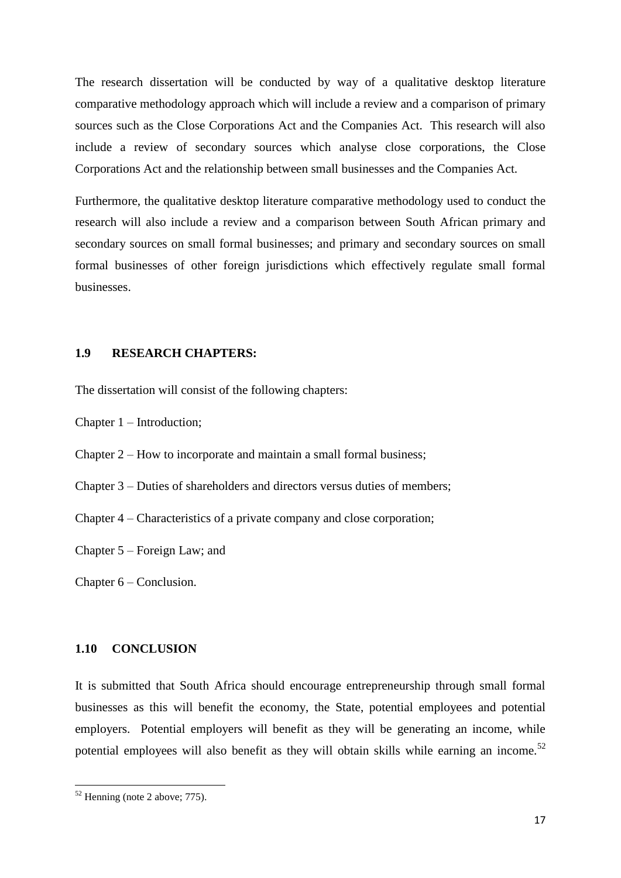The research dissertation will be conducted by way of a qualitative desktop literature comparative methodology approach which will include a review and a comparison of primary sources such as the Close Corporations Act and the Companies Act. This research will also include a review of secondary sources which analyse close corporations, the Close Corporations Act and the relationship between small businesses and the Companies Act.

Furthermore, the qualitative desktop literature comparative methodology used to conduct the research will also include a review and a comparison between South African primary and secondary sources on small formal businesses; and primary and secondary sources on small formal businesses of other foreign jurisdictions which effectively regulate small formal businesses.

# <span id="page-16-0"></span>**1.9 RESEARCH CHAPTERS:**

The dissertation will consist of the following chapters:

Chapter 1 – Introduction;

Chapter 2 – How to incorporate and maintain a small formal business;

Chapter 3 – Duties of shareholders and directors versus duties of members;

Chapter 4 – Characteristics of a private company and close corporation;

Chapter 5 – Foreign Law; and

Chapter 6 – Conclusion.

#### <span id="page-16-1"></span>**1.10 CONCLUSION**

It is submitted that South Africa should encourage entrepreneurship through small formal businesses as this will benefit the economy, the State, potential employees and potential employers. Potential employers will benefit as they will be generating an income, while potential employees will also benefit as they will obtain skills while earning an income.<sup>52</sup>

 $52$  Henning (note 2 above; 775).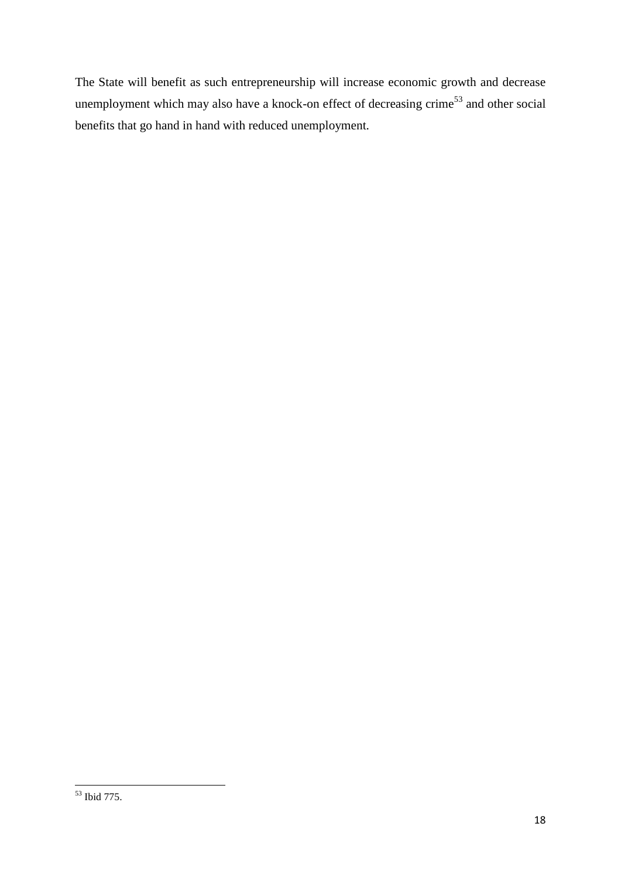The State will benefit as such entrepreneurship will increase economic growth and decrease unemployment which may also have a knock-on effect of decreasing crime<sup>53</sup> and other social benefits that go hand in hand with reduced unemployment.

**<sup>.</sup>** <sup>53</sup> Ibid 775.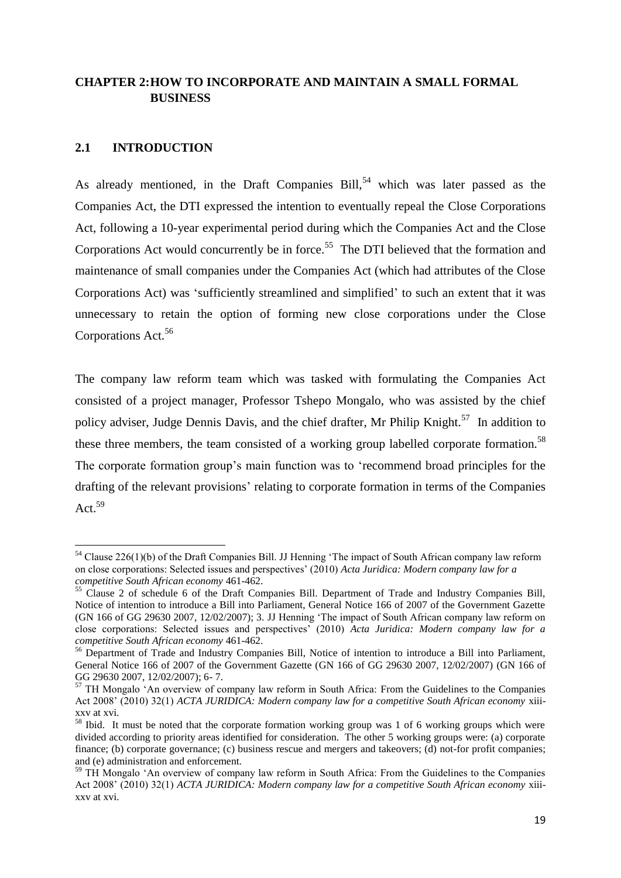# <span id="page-18-0"></span>**CHAPTER 2:HOW TO INCORPORATE AND MAINTAIN A SMALL FORMAL BUSINESS**

# <span id="page-18-1"></span>**2.1 INTRODUCTION**

1

As already mentioned, in the Draft Companies  $Bill$ ,<sup>54</sup> which was later passed as the Companies Act, the DTI expressed the intention to eventually repeal the Close Corporations Act, following a 10-year experimental period during which the Companies Act and the Close Corporations Act would concurrently be in force.<sup>55</sup> The DTI believed that the formation and maintenance of small companies under the Companies Act (which had attributes of the Close Corporations Act) was "sufficiently streamlined and simplified" to such an extent that it was unnecessary to retain the option of forming new close corporations under the Close Corporations Act.<sup>56</sup>

The company law reform team which was tasked with formulating the Companies Act consisted of a project manager, Professor Tshepo Mongalo, who was assisted by the chief policy adviser, Judge Dennis Davis, and the chief drafter, Mr Philip Knight.<sup>57</sup> In addition to these three members, the team consisted of a working group labelled corporate formation.<sup>58</sup> The corporate formation group"s main function was to "recommend broad principles for the drafting of the relevant provisions" relating to corporate formation in terms of the Companies Act.<sup>59</sup>

 $54$  Clause 226(1)(b) of the Draft Companies Bill. JJ Henning 'The impact of South African company law reform on close corporations: Selected issues and perspectives" (2010) *Acta Juridica: Modern company law for a competitive South African economy* 461-462.

<sup>&</sup>lt;sup>55</sup> Clause 2 of schedule 6 of the Draft Companies Bill. Department of Trade and Industry Companies Bill, Notice of intention to introduce a Bill into Parliament, General Notice 166 of 2007 of the Government Gazette (GN 166 of GG 29630 2007, 12/02/2007); 3. JJ Henning "The impact of South African company law reform on close corporations: Selected issues and perspectives" (2010) *Acta Juridica: Modern company law for a competitive South African economy* 461-462.

<sup>&</sup>lt;sup>56</sup> Department of Trade and Industry Companies Bill, Notice of intention to introduce a Bill into Parliament, General Notice 166 of 2007 of the Government Gazette (GN 166 of GG 29630 2007, 12/02/2007) (GN 166 of GG 29630 2007, 12/02/2007); 6- 7.

<sup>&</sup>lt;sup>57</sup> TH Mongalo 'An overview of company law reform in South Africa: From the Guidelines to the Companies Act 2008" (2010) 32(1) *ACTA JURIDICA: Modern company law for a competitive South African economy* xiiixxv at xvi.

<sup>&</sup>lt;sup>58</sup> Ibid. It must be noted that the corporate formation working group was 1 of 6 working groups which were divided according to priority areas identified for consideration. The other 5 working groups were: (a) corporate finance; (b) corporate governance; (c) business rescue and mergers and takeovers; (d) not-for profit companies; and (e) administration and enforcement.

<sup>&</sup>lt;sup>59</sup> TH Mongalo 'An overview of company law reform in South Africa: From the Guidelines to the Companies Act 2008" (2010) 32(1) *ACTA JURIDICA: Modern company law for a competitive South African economy* xiiixxv at xvi.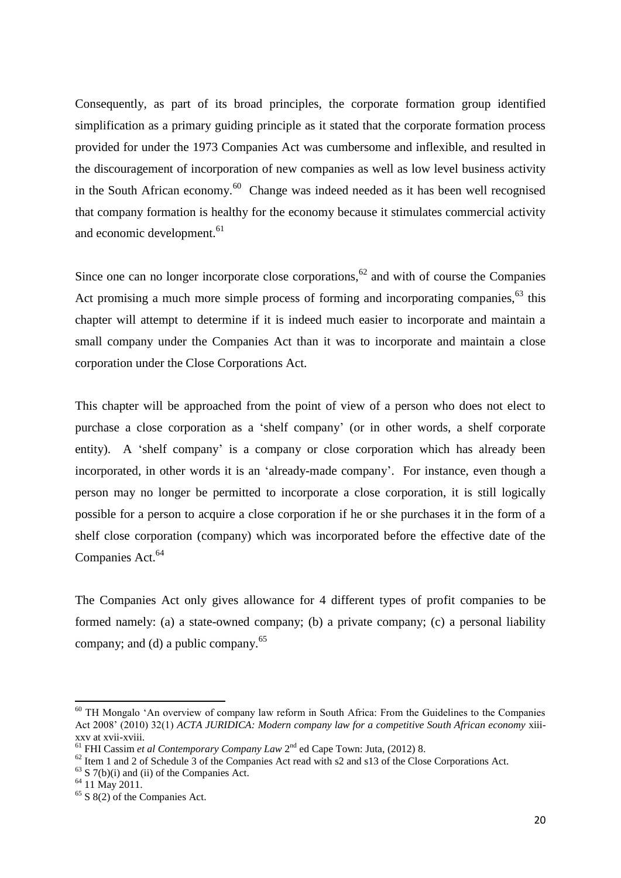Consequently, as part of its broad principles, the corporate formation group identified simplification as a primary guiding principle as it stated that the corporate formation process provided for under the 1973 Companies Act was cumbersome and inflexible, and resulted in the discouragement of incorporation of new companies as well as low level business activity in the South African economy. $60$  Change was indeed needed as it has been well recognised that company formation is healthy for the economy because it stimulates commercial activity and economic development.<sup>61</sup>

Since one can no longer incorporate close corporations,<sup>62</sup> and with of course the Companies Act promising a much more simple process of forming and incorporating companies,  $^{63}$  this chapter will attempt to determine if it is indeed much easier to incorporate and maintain a small company under the Companies Act than it was to incorporate and maintain a close corporation under the Close Corporations Act.

This chapter will be approached from the point of view of a person who does not elect to purchase a close corporation as a "shelf company" (or in other words, a shelf corporate entity). A 'shelf company' is a company or close corporation which has already been incorporated, in other words it is an "already-made company". For instance, even though a person may no longer be permitted to incorporate a close corporation, it is still logically possible for a person to acquire a close corporation if he or she purchases it in the form of a shelf close corporation (company) which was incorporated before the effective date of the Companies Act.<sup>64</sup>

The Companies Act only gives allowance for 4 different types of profit companies to be formed namely: (a) a state-owned company; (b) a private company; (c) a personal liability company; and (d) a public company.<sup>65</sup>

<sup>&</sup>lt;sup>60</sup> TH Mongalo 'An overview of company law reform in South Africa: From the Guidelines to the Companies Act 2008" (2010) 32(1) *ACTA JURIDICA: Modern company law for a competitive South African economy* xiiixxv at xvii-xviii.

<sup>&</sup>lt;sup>61</sup> FHI Cassim *et al Contemporary Company Law* 2<sup>nd</sup> ed Cape Town: Juta, (2012) 8.

 $62$  Item 1 and 2 of Schedule 3 of the Companies Act read with s2 and s13 of the Close Corporations Act.

 $63$  S 7(b)(i) and (ii) of the Companies Act.

<sup>64</sup> 11 May 2011.

 $65 S 8(2)$  of the Companies Act.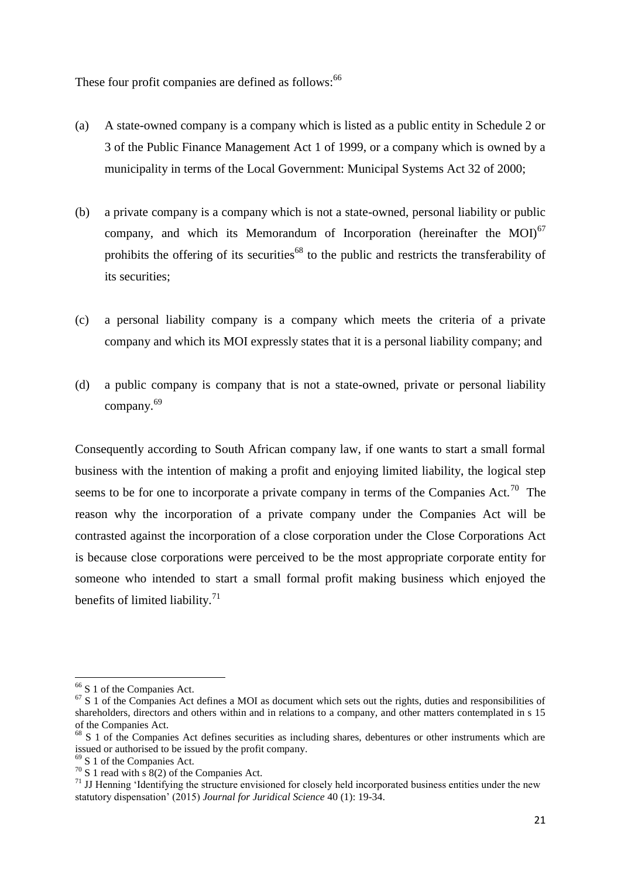These four profit companies are defined as follows:<sup>66</sup>

- (a) A state-owned company is a company which is listed as a public entity in Schedule 2 or 3 of the Public Finance Management Act 1 of 1999, or a company which is owned by a municipality in terms of the Local Government: Municipal Systems Act 32 of 2000;
- (b) a private company is a company which is not a state-owned, personal liability or public company, and which its Memorandum of Incorporation (hereinafter the MOI)<sup>67</sup> prohibits the offering of its securities<sup>68</sup> to the public and restricts the transferability of its securities;
- (c) a personal liability company is a company which meets the criteria of a private company and which its MOI expressly states that it is a personal liability company; and
- (d) a public company is company that is not a state-owned, private or personal liability company.<sup>69</sup>

Consequently according to South African company law, if one wants to start a small formal business with the intention of making a profit and enjoying limited liability, the logical step seems to be for one to incorporate a private company in terms of the Companies Act.<sup>70</sup> The reason why the incorporation of a private company under the Companies Act will be contrasted against the incorporation of a close corporation under the Close Corporations Act is because close corporations were perceived to be the most appropriate corporate entity for someone who intended to start a small formal profit making business which enjoyed the benefits of limited liability. $71$ 

**.** 

<sup>69</sup> S 1 of the Companies Act.

<sup>&</sup>lt;sup>66</sup> S 1 of the Companies Act.

 $67 S 1$  of the Companies Act defines a MOI as document which sets out the rights, duties and responsibilities of shareholders, directors and others within and in relations to a company, and other matters contemplated in s 15 of the Companies Act.

<sup>&</sup>lt;sup>68</sup> S 1 of the Companies Act defines securities as including shares, debentures or other instruments which are issued or authorised to be issued by the profit company.

 $70 S 1$  read with s  $8(2)$  of the Companies Act.

 $71$  JJ Henning 'Identifying the structure envisioned for closely held incorporated business entities under the new statutory dispensation" (2015) *Journal for Juridical Science* 40 (1): 19-34.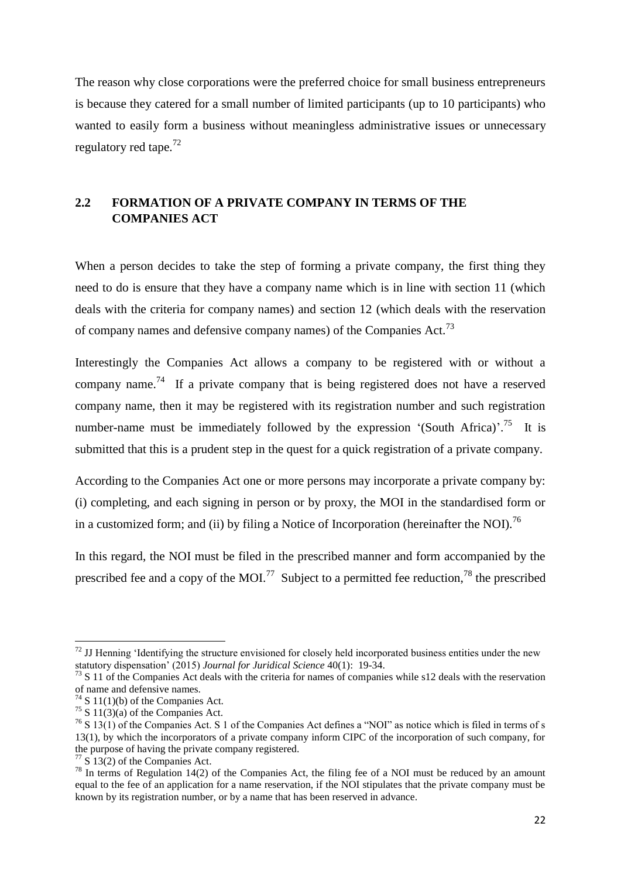The reason why close corporations were the preferred choice for small business entrepreneurs is because they catered for a small number of limited participants (up to 10 participants) who wanted to easily form a business without meaningless administrative issues or unnecessary regulatory red tape.<sup>72</sup>

# <span id="page-21-0"></span>**2.2 FORMATION OF A PRIVATE COMPANY IN TERMS OF THE COMPANIES ACT**

When a person decides to take the step of forming a private company, the first thing they need to do is ensure that they have a company name which is in line with section 11 (which deals with the criteria for company names) and section 12 (which deals with the reservation of company names and defensive company names) of the Companies Act.<sup>73</sup>

Interestingly the Companies Act allows a company to be registered with or without a company name.<sup>74</sup> If a private company that is being registered does not have a reserved company name, then it may be registered with its registration number and such registration number-name must be immediately followed by the expression '(South Africa)'.<sup>75</sup> It is submitted that this is a prudent step in the quest for a quick registration of a private company.

According to the Companies Act one or more persons may incorporate a private company by: (i) completing, and each signing in person or by proxy, the MOI in the standardised form or in a customized form; and (ii) by filing a Notice of Incorporation (hereinafter the NOI).<sup>76</sup>

In this regard, the NOI must be filed in the prescribed manner and form accompanied by the prescribed fee and a copy of the MOI.<sup>77</sup> Subject to a permitted fee reduction,<sup>78</sup> the prescribed

 $\overline{a}$ 

 $77 S 13(2)$  of the Companies Act.

 $72$  JJ Henning 'Identifying the structure envisioned for closely held incorporated business entities under the new statutory dispensation" (2015) *Journal for Juridical Science* 40(1): 19-34.

 $^{73}$  S 11 of the Companies Act deals with the criteria for names of companies while s12 deals with the reservation of name and defensive names.

 $74$  S 11(1)(b) of the Companies Act.

 $75$  S 11(3)(a) of the Companies Act.

 $76$  S 13(1) of the Companies Act. S 1 of the Companies Act defines a "NOI" as notice which is filed in terms of s 13(1), by which the incorporators of a private company inform CIPC of the incorporation of such company, for the purpose of having the private company registered.

 $78$  In terms of Regulation 14(2) of the Companies Act, the filing fee of a NOI must be reduced by an amount equal to the fee of an application for a name reservation, if the NOI stipulates that the private company must be known by its registration number, or by a name that has been reserved in advance.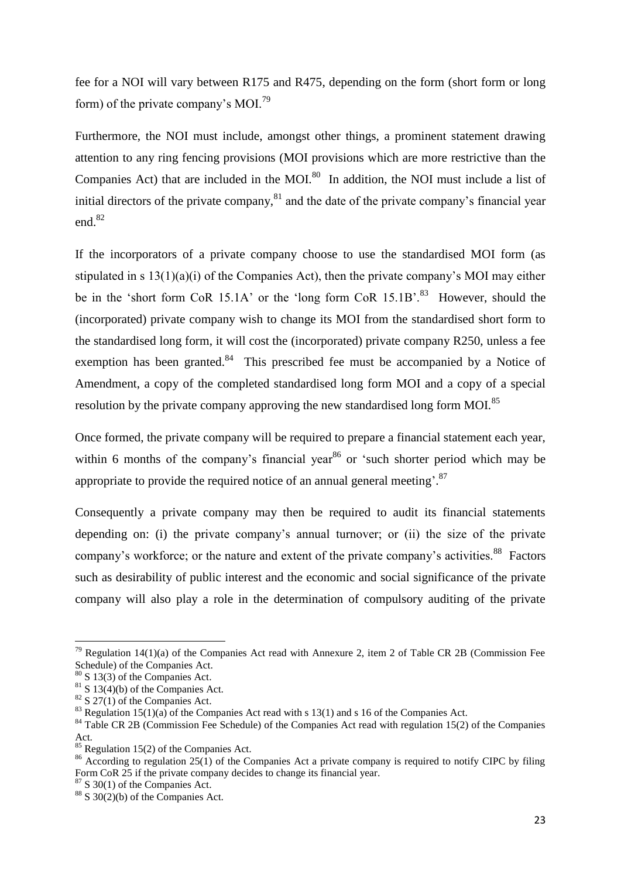fee for a NOI will vary between R175 and R475, depending on the form (short form or long form) of the private company's  $MOL<sup>79</sup>$ 

Furthermore, the NOI must include, amongst other things, a prominent statement drawing attention to any ring fencing provisions (MOI provisions which are more restrictive than the Companies Act) that are included in the MOI. $80$  In addition, the NOI must include a list of initial directors of the private company, $81$  and the date of the private company's financial year end.<sup>82</sup>

If the incorporators of a private company choose to use the standardised MOI form (as stipulated in s 13(1)(a)(i) of the Companies Act), then the private company"s MOI may either be in the 'short form CoR 15.1A' or the 'long form CoR 15.1B'.<sup>83</sup> However, should the (incorporated) private company wish to change its MOI from the standardised short form to the standardised long form, it will cost the (incorporated) private company R250, unless a fee exemption has been granted. $84$  This prescribed fee must be accompanied by a Notice of Amendment, a copy of the completed standardised long form MOI and a copy of a special resolution by the private company approving the new standardised long form MOI.<sup>85</sup>

Once formed, the private company will be required to prepare a financial statement each year, within 6 months of the company's financial year<sup>86</sup> or 'such shorter period which may be appropriate to provide the required notice of an annual general meeting'. $87$ 

Consequently a private company may then be required to audit its financial statements depending on: (i) the private company's annual turnover; or (ii) the size of the private company's workforce; or the nature and extent of the private company's activities.<sup>88</sup> Factors such as desirability of public interest and the economic and social significance of the private company will also play a role in the determination of compulsory auditing of the private

 $\overline{a}$ 

<sup>&</sup>lt;sup>79</sup> Regulation 14(1)(a) of the Companies Act read with Annexure 2, item 2 of Table CR 2B (Commission Fee Schedule) of the Companies Act.

 $80$  S 13(3) of the Companies Act.

 $81$  S 13(4)(b) of the Companies Act.

 $82$  S 27(1) of the Companies Act.

<sup>&</sup>lt;sup>83</sup> Regulation 15(1)(a) of the Companies Act read with s 13(1) and s 16 of the Companies Act.

<sup>&</sup>lt;sup>84</sup> Table CR 2B (Commission Fee Schedule) of the Companies Act read with regulation 15(2) of the Companies Act.

<sup>&</sup>lt;sup>85</sup> Regulation 15(2) of the Companies Act.

<sup>&</sup>lt;sup>86</sup> According to regulation 25(1) of the Companies Act a private company is required to notify CIPC by filing Form CoR 25 if the private company decides to change its financial year.

 $87$  S 30(1) of the Companies Act.

 $88$  S 30(2)(b) of the Companies Act.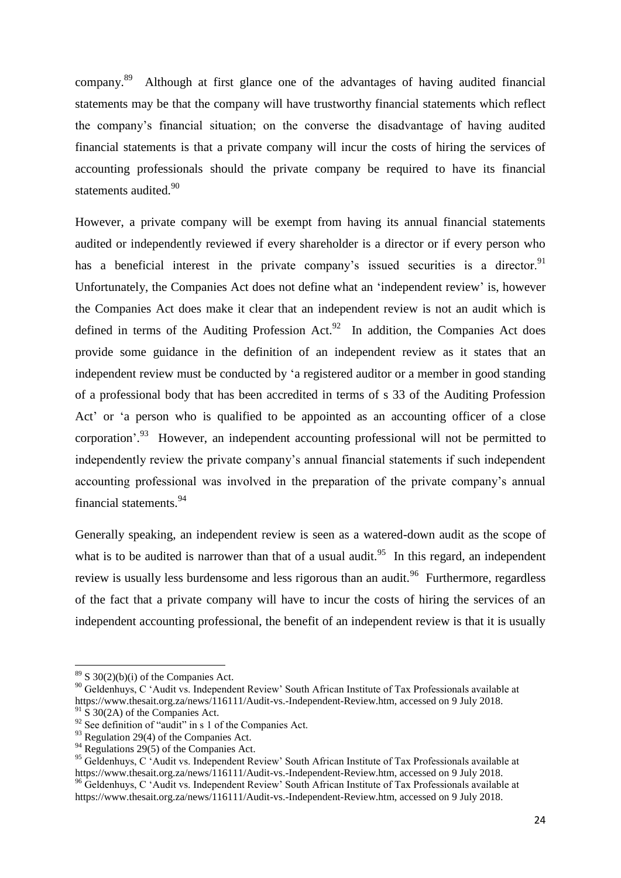company.<sup>89</sup> Although at first glance one of the advantages of having audited financial statements may be that the company will have trustworthy financial statements which reflect the company"s financial situation; on the converse the disadvantage of having audited financial statements is that a private company will incur the costs of hiring the services of accounting professionals should the private company be required to have its financial statements audited.<sup>90</sup>

However, a private company will be exempt from having its annual financial statements audited or independently reviewed if every shareholder is a director or if every person who has a beneficial interest in the private company's issued securities is a director.<sup>91</sup> Unfortunately, the Companies Act does not define what an "independent review" is, however the Companies Act does make it clear that an independent review is not an audit which is defined in terms of the Auditing Profession Act.<sup>92</sup> In addition, the Companies Act does provide some guidance in the definition of an independent review as it states that an independent review must be conducted by "a registered auditor or a member in good standing of a professional body that has been accredited in terms of s 33 of the Auditing Profession Act' or 'a person who is qualified to be appointed as an accounting officer of a close corporation'.<sup>93</sup> However, an independent accounting professional will not be permitted to independently review the private company"s annual financial statements if such independent accounting professional was involved in the preparation of the private company's annual financial statements.<sup>94</sup>

Generally speaking, an independent review is seen as a watered-down audit as the scope of what is to be audited is narrower than that of a usual audit.<sup>95</sup> In this regard, an independent review is usually less burdensome and less rigorous than an audit.<sup>96</sup> Furthermore, regardless of the fact that a private company will have to incur the costs of hiring the services of an independent accounting professional, the benefit of an independent review is that it is usually

 $89$  S 30(2)(b)(i) of the Companies Act.

<sup>&</sup>lt;sup>90</sup> Geldenhuys, C 'Audit vs. Independent Review' South African Institute of Tax Professionals available at https://www.thesait.org.za/news/116111/Audit-vs.-Independent-Review.htm, accessed on 9 July 2018.

 $91 \text{ S}$  30(2A) of the Companies Act.

<sup>&</sup>lt;sup>92</sup> See definition of "audit" in s 1 of the Companies Act.

 $93$  Regulation 29(4) of the Companies Act.

 $94$  Regulations 29(5) of the Companies Act.

<sup>&</sup>lt;sup>95</sup> Geldenhuys, C 'Audit vs. Independent Review' South African Institute of Tax Professionals available at https://www.thesait.org.za/news/116111/Audit-vs.-Independent-Review.htm, accessed on 9 July 2018.

<sup>&</sup>lt;sup>96</sup> Geldenhuys, C 'Audit vs. Independent Review' South African Institute of Tax Professionals available at https://www.thesait.org.za/news/116111/Audit-vs.-Independent-Review.htm, accessed on 9 July 2018.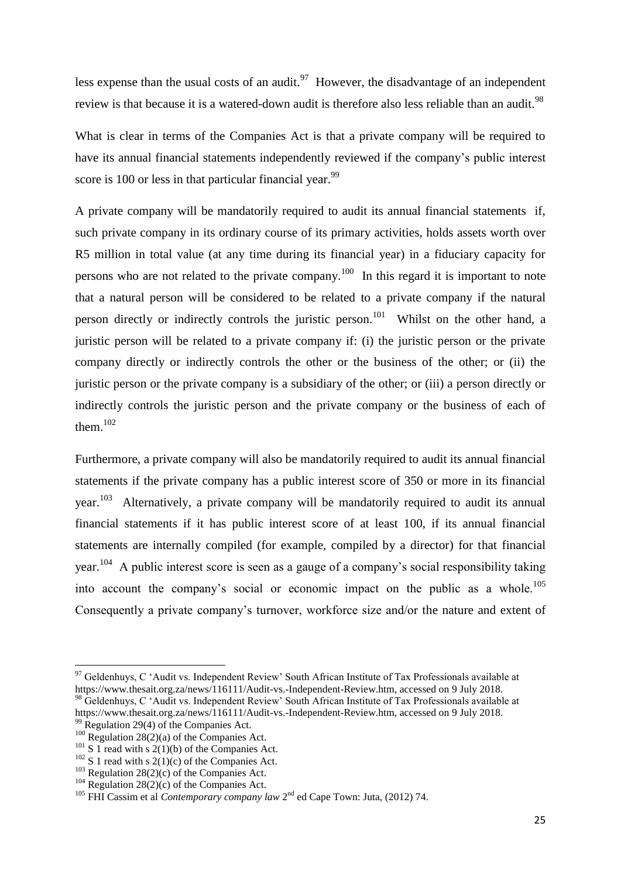less expense than the usual costs of an audit.<sup>97</sup> However, the disadvantage of an independent review is that because it is a watered-down audit is therefore also less reliable than an audit.<sup>98</sup>

What is clear in terms of the Companies Act is that a private company will be required to have its annual financial statements independently reviewed if the company"s public interest score is 100 or less in that particular financial year.<sup>99</sup>

A private company will be mandatorily required to audit its annual financial statements if, such private company in its ordinary course of its primary activities, holds assets worth over R5 million in total value (at any time during its financial year) in a fiduciary capacity for persons who are not related to the private company.<sup>100</sup> In this regard it is important to note that a natural person will be considered to be related to a private company if the natural person directly or indirectly controls the juristic person.<sup>101</sup> Whilst on the other hand, a juristic person will be related to a private company if: (i) the juristic person or the private company directly or indirectly controls the other or the business of the other; or (ii) the juristic person or the private company is a subsidiary of the other; or (iii) a person directly or indirectly controls the juristic person and the private company or the business of each of them. $102$ 

Furthermore, a private company will also be mandatorily required to audit its annual financial statements if the private company has a public interest score of 350 or more in its financial year.<sup>103</sup> Alternatively, a private company will be mandatorily required to audit its annual financial statements if it has public interest score of at least 100, if its annual financial statements are internally compiled (for example, compiled by a director) for that financial year.<sup>104</sup> A public interest score is seen as a gauge of a company's social responsibility taking into account the company's social or economic impact on the public as a whole.<sup>105</sup> Consequently a private company"s turnover, workforce size and/or the nature and extent of

 $97$  Geldenhuys, C 'Audit vs. Independent Review' South African Institute of Tax Professionals available at https://www.thesait.org.za/news/116111/Audit-vs.-Independent-Review.htm, accessed on 9 July 2018. 98 Geldenhuys, C 'Audit vs. Independent Review' South African Institute of Tax Professionals available at https://www.thesait.org.za/news/116111/Audit-vs.-Independent-Review.htm, accessed on 9 July 2018.

 $99 \text{ Regulation } 29(4)$  of the Companies Act.

<sup>&</sup>lt;sup>100</sup> Regulation 28(2)(a) of the Companies Act.

<sup>&</sup>lt;sup>101</sup> S 1 read with s  $2(1)(b)$  of the Companies Act.

 $102$  S 1 read with s 2(1)(c) of the Companies Act.

 $103$  Regulation 28(2)(c) of the Companies Act.

<sup>&</sup>lt;sup>104</sup> Regulation 28(2)(c) of the Companies Act.

<sup>&</sup>lt;sup>105</sup> FHI Cassim et al *Contemporary company law* 2<sup>nd</sup> ed Cape Town: Juta, (2012) 74.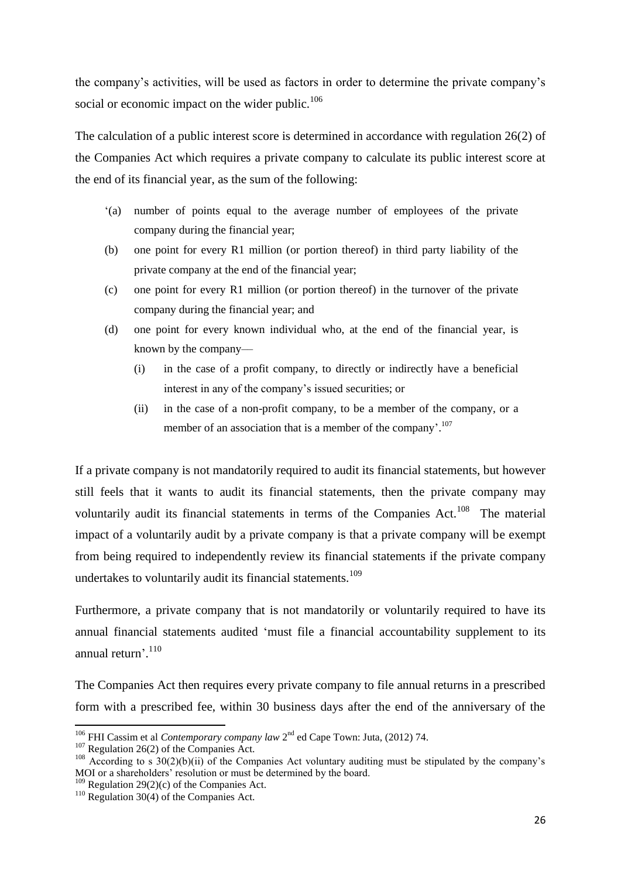the company"s activities, will be used as factors in order to determine the private company"s social or economic impact on the wider public.<sup>106</sup>

The calculation of a public interest score is determined in accordance with regulation 26(2) of the Companies Act which requires a private company to calculate its public interest score at the end of its financial year, as the sum of the following:

- "(a) number of points equal to the average number of employees of the private company during the financial year;
- (b) one point for every R1 million (or portion thereof) in third party liability of the private company at the end of the financial year;
- (c) one point for every R1 million (or portion thereof) in the turnover of the private company during the financial year; and
- (d) one point for every known individual who, at the end of the financial year, is known by the company––
	- (i) in the case of a profit company, to directly or indirectly have a beneficial interest in any of the company's issued securities; or
	- (ii) in the case of a non-profit company, to be a member of the company, or a member of an association that is a member of the company'.<sup>107</sup>

If a private company is not mandatorily required to audit its financial statements, but however still feels that it wants to audit its financial statements, then the private company may voluntarily audit its financial statements in terms of the Companies Act.<sup>108</sup> The material impact of a voluntarily audit by a private company is that a private company will be exempt from being required to independently review its financial statements if the private company undertakes to voluntarily audit its financial statements.<sup>109</sup>

Furthermore, a private company that is not mandatorily or voluntarily required to have its annual financial statements audited "must file a financial accountability supplement to its annual return'.<sup>110</sup>

The Companies Act then requires every private company to file annual returns in a prescribed form with a prescribed fee, within 30 business days after the end of the anniversary of the

<sup>&</sup>lt;sup>106</sup> FHI Cassim et al *Contemporary company law* 2<sup>nd</sup> ed Cape Town: Juta, (2012) 74.

 $107$  Regulation 26(2) of the Companies Act.

 $108$  According to s 30(2)(b)(ii) of the Companies Act voluntary auditing must be stipulated by the company's MOI or a shareholders' resolution or must be determined by the board.

 $109$  Regulation 29(2)(c) of the Companies Act.

 $110$  Regulation 30(4) of the Companies Act.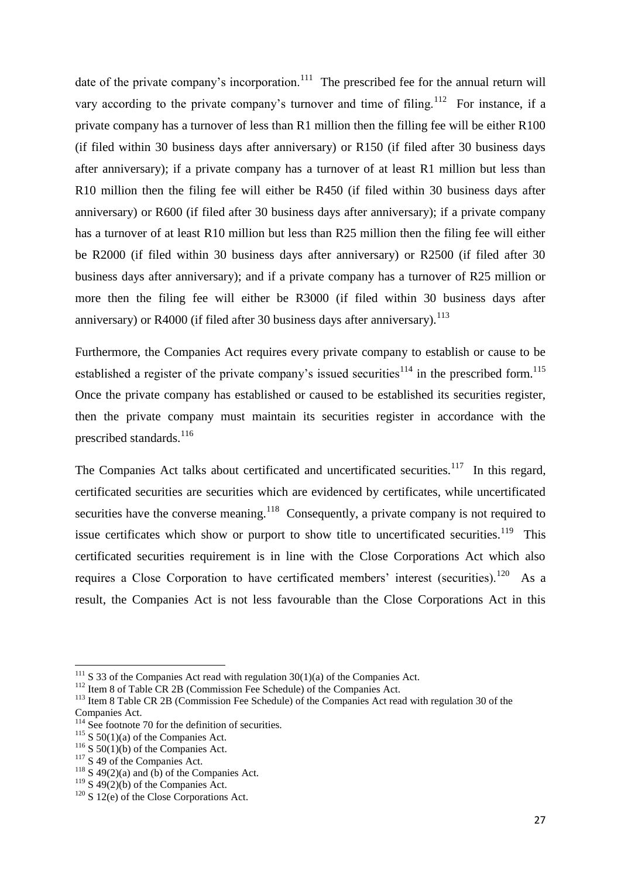date of the private company's incorporation.<sup>111</sup> The prescribed fee for the annual return will vary according to the private company's turnover and time of filing.<sup>112</sup> For instance, if a private company has a turnover of less than R1 million then the filling fee will be either R100 (if filed within 30 business days after anniversary) or R150 (if filed after 30 business days after anniversary); if a private company has a turnover of at least R1 million but less than R10 million then the filing fee will either be R450 (if filed within 30 business days after anniversary) or R600 (if filed after 30 business days after anniversary); if a private company has a turnover of at least R10 million but less than R25 million then the filing fee will either be R2000 (if filed within 30 business days after anniversary) or R2500 (if filed after 30 business days after anniversary); and if a private company has a turnover of R25 million or more then the filing fee will either be R3000 (if filed within 30 business days after anniversary) or R4000 (if filed after 30 business days after anniversary).<sup>113</sup>

Furthermore, the Companies Act requires every private company to establish or cause to be established a register of the private company's issued securities<sup>114</sup> in the prescribed form.<sup>115</sup> Once the private company has established or caused to be established its securities register, then the private company must maintain its securities register in accordance with the prescribed standards.<sup>116</sup>

The Companies Act talks about certificated and uncertificated securities.<sup>117</sup> In this regard, certificated securities are securities which are evidenced by certificates, while uncertificated securities have the converse meaning.<sup>118</sup> Consequently, a private company is not required to issue certificates which show or purport to show title to uncertificated securities.<sup>119</sup> This certificated securities requirement is in line with the Close Corporations Act which also requires a Close Corporation to have certificated members' interest (securities).<sup>120</sup> As a result, the Companies Act is not less favourable than the Close Corporations Act in this

 $111$  S 33 of the Companies Act read with regulation 30(1)(a) of the Companies Act.

<sup>&</sup>lt;sup>112</sup> Item 8 of Table CR 2B (Commission Fee Schedule) of the Companies Act.

<sup>&</sup>lt;sup>113</sup> Item 8 Table CR 2B (Commission Fee Schedule) of the Companies Act read with regulation 30 of the Companies Act.

<sup>&</sup>lt;sup>114</sup> See footnote 70 for the definition of securities.

 $115$  S 50(1)(a) of the Companies Act.

 $116$  S 50(1)(b) of the Companies Act.

 $117$  S 49 of the Companies Act.

 $118$  S 49(2)(a) and (b) of the Companies Act.

 $119$  S 49(2)(b) of the Companies Act.

 $120$  S 12(e) of the Close Corporations Act.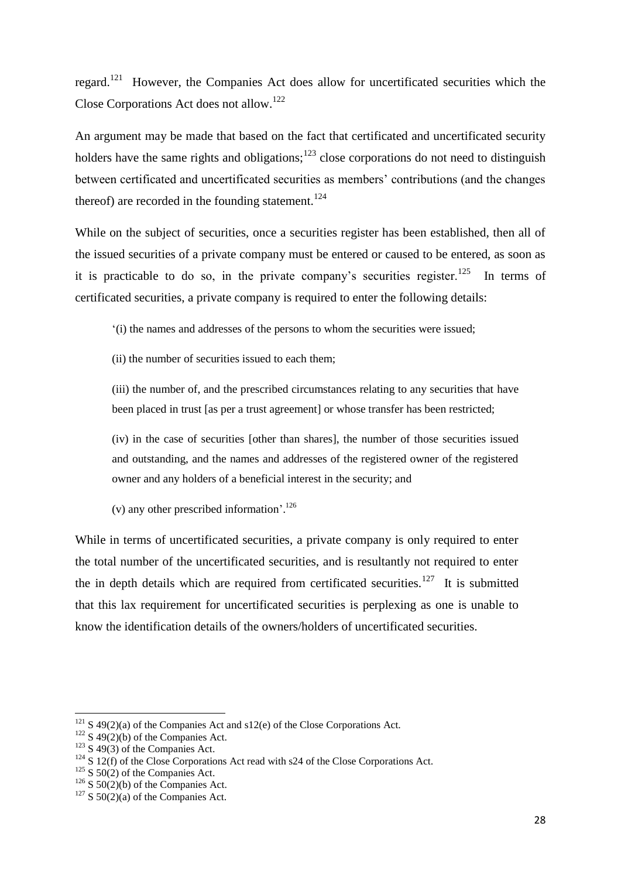regard.<sup>121</sup> However, the Companies Act does allow for uncertificated securities which the Close Corporations Act does not allow.<sup>122</sup>

An argument may be made that based on the fact that certificated and uncertificated security holders have the same rights and obligations; $123$  close corporations do not need to distinguish between certificated and uncertificated securities as members' contributions (and the changes thereof) are recorded in the founding statement.<sup>124</sup>

While on the subject of securities, once a securities register has been established, then all of the issued securities of a private company must be entered or caused to be entered, as soon as it is practicable to do so, in the private company's securities register.<sup>125</sup> In terms of certificated securities, a private company is required to enter the following details:

"(i) the names and addresses of the persons to whom the securities were issued;

(ii) the number of securities issued to each them;

(iii) the number of, and the prescribed circumstances relating to any securities that have been placed in trust [as per a trust agreement] or whose transfer has been restricted;

(iv) in the case of securities [other than shares], the number of those securities issued and outstanding, and the names and addresses of the registered owner of the registered owner and any holders of a beneficial interest in the security; and

(v) any other prescribed information'.<sup>126</sup>

While in terms of uncertificated securities, a private company is only required to enter the total number of the uncertificated securities, and is resultantly not required to enter the in depth details which are required from certificated securities.<sup>127</sup> It is submitted that this lax requirement for uncertificated securities is perplexing as one is unable to know the identification details of the owners/holders of uncertificated securities.

 $121$  S 49(2)(a) of the Companies Act and s12(e) of the Close Corporations Act.

<sup>&</sup>lt;sup>122</sup> S 49(2)(b) of the Companies Act.

 $123$  S 49(3) of the Companies Act.

 $124$  S 12(f) of the Close Corporations Act read with s24 of the Close Corporations Act.

 $125$  S  $50(2)$  of the Companies Act.

 $126$  S 50(2)(b) of the Companies Act.

 $127$  S 50(2)(a) of the Companies Act.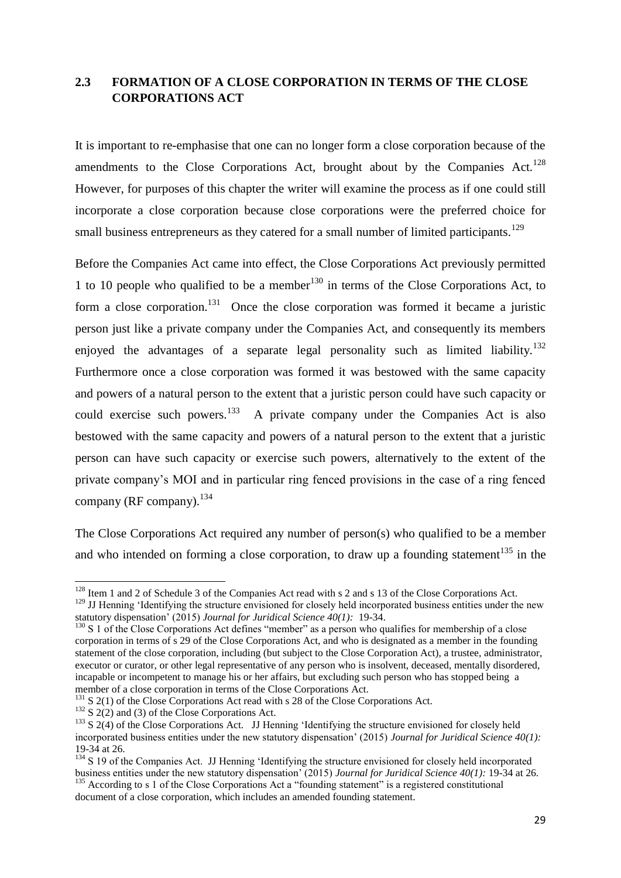# <span id="page-28-0"></span>**2.3 FORMATION OF A CLOSE CORPORATION IN TERMS OF THE CLOSE CORPORATIONS ACT**

It is important to re-emphasise that one can no longer form a close corporation because of the amendments to the Close Corporations Act, brought about by the Companies Act.<sup>128</sup> However, for purposes of this chapter the writer will examine the process as if one could still incorporate a close corporation because close corporations were the preferred choice for small business entrepreneurs as they catered for a small number of limited participants.<sup>129</sup>

Before the Companies Act came into effect, the Close Corporations Act previously permitted 1 to 10 people who qualified to be a member<sup>130</sup> in terms of the Close Corporations Act, to form a close corporation.<sup>131</sup> Once the close corporation was formed it became a juristic person just like a private company under the Companies Act, and consequently its members enjoyed the advantages of a separate legal personality such as limited liability.<sup>132</sup> Furthermore once a close corporation was formed it was bestowed with the same capacity and powers of a natural person to the extent that a juristic person could have such capacity or could exercise such powers.<sup>133</sup> A private company under the Companies Act is also bestowed with the same capacity and powers of a natural person to the extent that a juristic person can have such capacity or exercise such powers, alternatively to the extent of the private company"s MOI and in particular ring fenced provisions in the case of a ring fenced company (RF company).  $^{134}$ 

The Close Corporations Act required any number of person(s) who qualified to be a member and who intended on forming a close corporation, to draw up a founding statement<sup>135</sup> in the

 $132$  S 2(2) and (3) of the Close Corporations Act.

 $128$  Item 1 and 2 of Schedule 3 of the Companies Act read with s 2 and s 13 of the Close Corporations Act.

<sup>&</sup>lt;sup>129</sup> JJ Henning 'Identifying the structure envisioned for closely held incorporated business entities under the new statutory dispensation" (2015) *Journal for Juridical Science 40(1):* 19-34.

<sup>&</sup>lt;sup>130</sup> S 1 of the Close Corporations Act defines "member" as a person who qualifies for membership of a close corporation in terms of s 29 of the Close Corporations Act, and who is designated as a member in the founding statement of the close corporation, including (but subject to the Close Corporation Act), a trustee, administrator, executor or curator, or other legal representative of any person who is insolvent, deceased, mentally disordered, incapable or incompetent to manage his or her affairs, but excluding such person who has stopped being a member of a close corporation in terms of the Close Corporations Act.

 $131$  S 2(1) of the Close Corporations Act read with s 28 of the Close Corporations Act.

 $133$  S 2(4) of the Close Corporations Act. JJ Henning 'Identifying the structure envisioned for closely held incorporated business entities under the new statutory dispensation" (2015) *Journal for Juridical Science 40(1):*  19-34 at 26.

<sup>&</sup>lt;sup>134</sup> S 19 of the Companies Act. JJ Henning 'Identifying the structure envisioned for closely held incorporated business entities under the new statutory dispensation" (2015) *Journal for Juridical Science 40(1):* 19-34 at 26. <sup>135</sup> According to s 1 of the Close Corporations Act a "founding statement" is a registered constitutional

document of a close corporation, which includes an amended founding statement.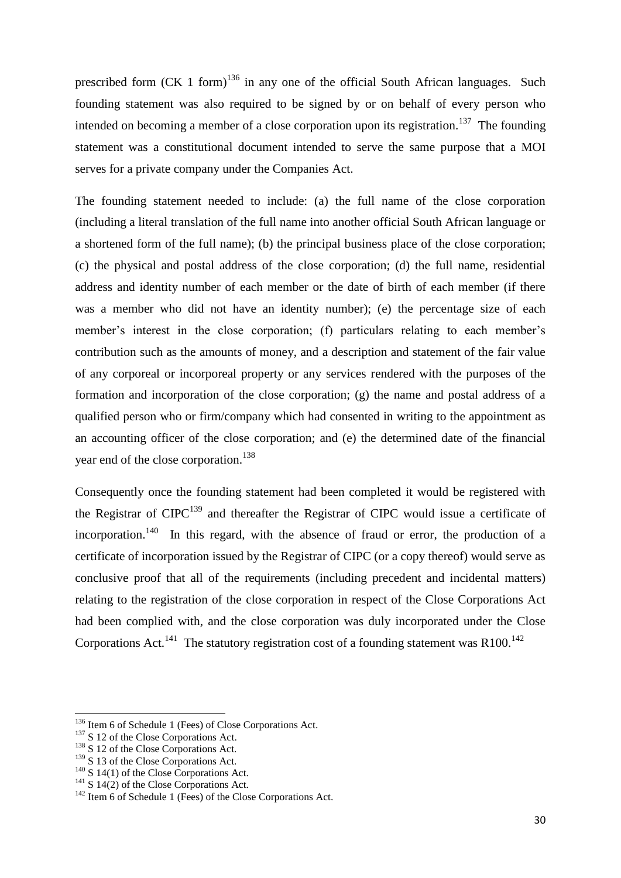prescribed form  $(CK 1$  form)<sup>136</sup> in any one of the official South African languages. Such founding statement was also required to be signed by or on behalf of every person who intended on becoming a member of a close corporation upon its registration.<sup>137</sup> The founding statement was a constitutional document intended to serve the same purpose that a MOI serves for a private company under the Companies Act.

The founding statement needed to include: (a) the full name of the close corporation (including a literal translation of the full name into another official South African language or a shortened form of the full name); (b) the principal business place of the close corporation; (c) the physical and postal address of the close corporation; (d) the full name, residential address and identity number of each member or the date of birth of each member (if there was a member who did not have an identity number); (e) the percentage size of each member's interest in the close corporation; (f) particulars relating to each member's contribution such as the amounts of money, and a description and statement of the fair value of any corporeal or incorporeal property or any services rendered with the purposes of the formation and incorporation of the close corporation; (g) the name and postal address of a qualified person who or firm/company which had consented in writing to the appointment as an accounting officer of the close corporation; and (e) the determined date of the financial year end of the close corporation.<sup>138</sup>

Consequently once the founding statement had been completed it would be registered with the Registrar of  $CIPC^{139}$  and thereafter the Registrar of CIPC would issue a certificate of incorporation.<sup>140</sup> In this regard, with the absence of fraud or error, the production of a certificate of incorporation issued by the Registrar of CIPC (or a copy thereof) would serve as conclusive proof that all of the requirements (including precedent and incidental matters) relating to the registration of the close corporation in respect of the Close Corporations Act had been complied with, and the close corporation was duly incorporated under the Close Corporations Act.<sup>141</sup> The statutory registration cost of a founding statement was R100.<sup>142</sup>

<sup>&</sup>lt;sup>136</sup> Item 6 of Schedule 1 (Fees) of Close Corporations Act.

<sup>&</sup>lt;sup>137</sup> S 12 of the Close Corporations Act.

<sup>&</sup>lt;sup>138</sup> S 12 of the Close Corporations Act.

 $139$  S 13 of the Close Corporations Act.

 $140$  S 14(1) of the Close Corporations Act.

 $141$  S  $14(2)$  of the Close Corporations Act.

 $142$  Item 6 of Schedule 1 (Fees) of the Close Corporations Act.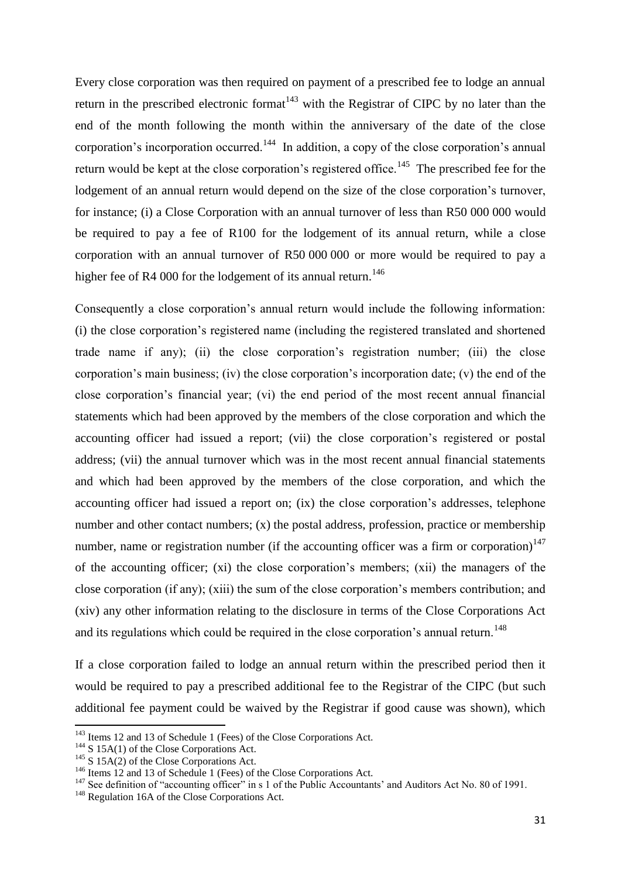Every close corporation was then required on payment of a prescribed fee to lodge an annual return in the prescribed electronic format<sup>143</sup> with the Registrar of CIPC by no later than the end of the month following the month within the anniversary of the date of the close corporation's incorporation occurred.<sup>144</sup> In addition, a copy of the close corporation's annual return would be kept at the close corporation's registered office.<sup>145</sup> The prescribed fee for the lodgement of an annual return would depend on the size of the close corporation's turnover, for instance; (i) a Close Corporation with an annual turnover of less than R50 000 000 would be required to pay a fee of R100 for the lodgement of its annual return, while a close corporation with an annual turnover of R50 000 000 or more would be required to pay a higher fee of R4 000 for the lodgement of its annual return.<sup>146</sup>

Consequently a close corporation"s annual return would include the following information: (i) the close corporation"s registered name (including the registered translated and shortened trade name if any); (ii) the close corporation"s registration number; (iii) the close corporation"s main business; (iv) the close corporation"s incorporation date; (v) the end of the close corporation"s financial year; (vi) the end period of the most recent annual financial statements which had been approved by the members of the close corporation and which the accounting officer had issued a report; (vii) the close corporation"s registered or postal address; (vii) the annual turnover which was in the most recent annual financial statements and which had been approved by the members of the close corporation, and which the accounting officer had issued a report on; (ix) the close corporation's addresses, telephone number and other contact numbers; (x) the postal address, profession, practice or membership number, name or registration number (if the accounting officer was a firm or corporation)<sup>147</sup> of the accounting officer; (xi) the close corporation"s members; (xii) the managers of the close corporation (if any); (xiii) the sum of the close corporation"s members contribution; and (xiv) any other information relating to the disclosure in terms of the Close Corporations Act and its regulations which could be required in the close corporation's annual return.<sup>148</sup>

If a close corporation failed to lodge an annual return within the prescribed period then it would be required to pay a prescribed additional fee to the Registrar of the CIPC (but such additional fee payment could be waived by the Registrar if good cause was shown), which

<sup>&</sup>lt;sup>143</sup> Items 12 and 13 of Schedule 1 (Fees) of the Close Corporations Act.

<sup>&</sup>lt;sup>144</sup> S 15A(1) of the Close Corporations Act.

 $145$  S 15A(2) of the Close Corporations Act.

<sup>146</sup> Items 12 and 13 of Schedule 1 (Fees) of the Close Corporations Act.

<sup>&</sup>lt;sup>147</sup> See definition of "accounting officer" in s 1 of the Public Accountants' and Auditors Act No. 80 of 1991.

<sup>&</sup>lt;sup>148</sup> Regulation 16A of the Close Corporations Act.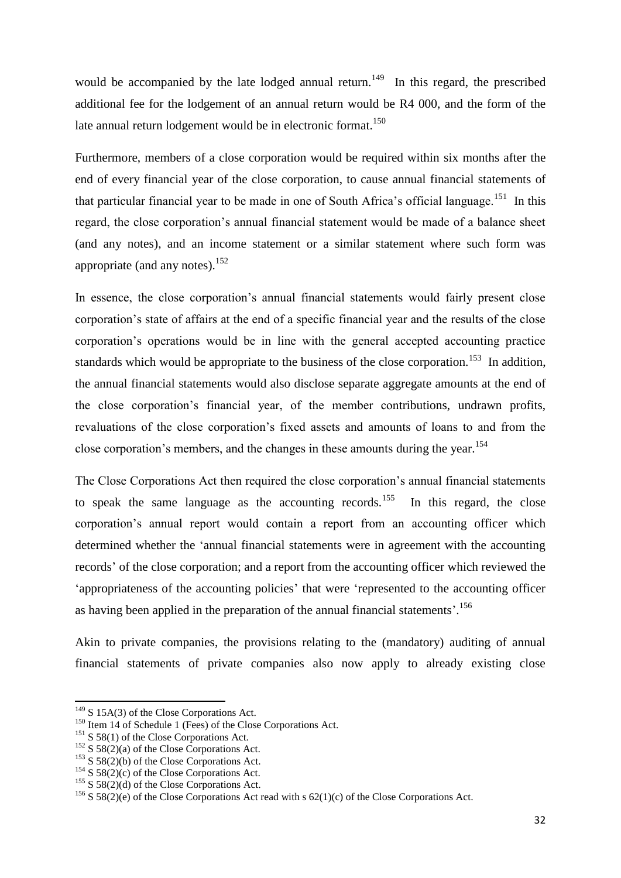would be accompanied by the late lodged annual return.<sup>149</sup> In this regard, the prescribed additional fee for the lodgement of an annual return would be R4 000, and the form of the late annual return lodgement would be in electronic format.<sup>150</sup>

Furthermore, members of a close corporation would be required within six months after the end of every financial year of the close corporation, to cause annual financial statements of that particular financial year to be made in one of South Africa's official language.<sup>151</sup> In this regard, the close corporation"s annual financial statement would be made of a balance sheet (and any notes), and an income statement or a similar statement where such form was appropriate (and any notes). $152$ 

In essence, the close corporation"s annual financial statements would fairly present close corporation"s state of affairs at the end of a specific financial year and the results of the close corporation"s operations would be in line with the general accepted accounting practice standards which would be appropriate to the business of the close corporation.<sup>153</sup> In addition, the annual financial statements would also disclose separate aggregate amounts at the end of the close corporation"s financial year, of the member contributions, undrawn profits, revaluations of the close corporation"s fixed assets and amounts of loans to and from the close corporation's members, and the changes in these amounts during the year.<sup>154</sup>

The Close Corporations Act then required the close corporation"s annual financial statements to speak the same language as the accounting records.<sup>155</sup> In this regard, the close corporation"s annual report would contain a report from an accounting officer which determined whether the "annual financial statements were in agreement with the accounting records" of the close corporation; and a report from the accounting officer which reviewed the 'appropriateness of the accounting policies' that were 'represented to the accounting officer as having been applied in the preparation of the annual financial statements'.<sup>156</sup>

Akin to private companies, the provisions relating to the (mandatory) auditing of annual financial statements of private companies also now apply to already existing close

 $149$  S 15A(3) of the Close Corporations Act.

<sup>&</sup>lt;sup>150</sup> Item 14 of Schedule 1 (Fees) of the Close Corporations Act.

<sup>&</sup>lt;sup>151</sup> S 58(1) of the Close Corporations Act.

<sup>&</sup>lt;sup>152</sup> S 58(2)(a) of the Close Corporations Act.

<sup>&</sup>lt;sup>153</sup> S 58(2)(b) of the Close Corporations Act.

<sup>&</sup>lt;sup>154</sup> S 58(2)(c) of the Close Corporations Act.

<sup>&</sup>lt;sup>155</sup> S 58(2)(d) of the Close Corporations Act.

<sup>&</sup>lt;sup>156</sup> S 58(2)(e) of the Close Corporations Act read with s  $62(1)(c)$  of the Close Corporations Act.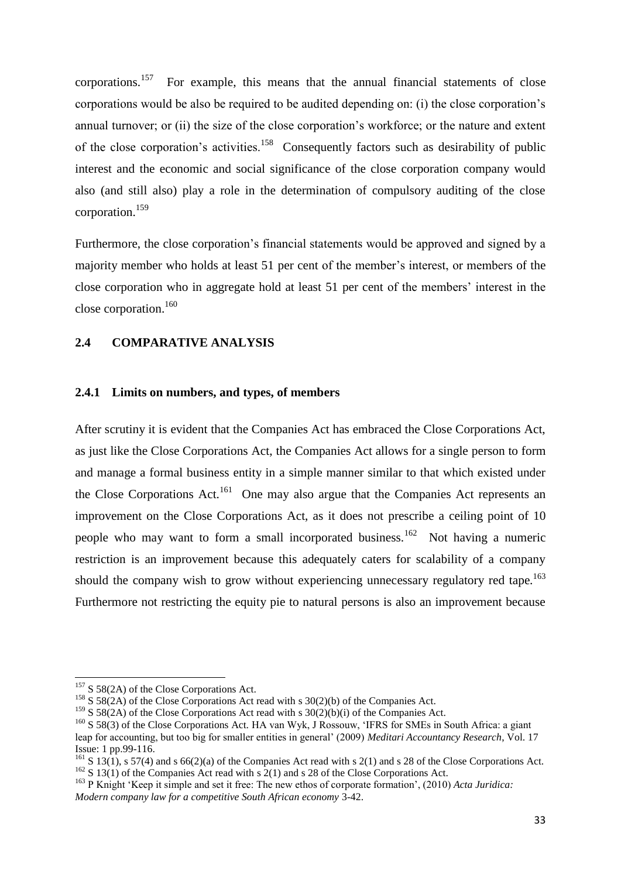corporations.<sup>157</sup> For example, this means that the annual financial statements of close corporations would be also be required to be audited depending on: (i) the close corporation"s annual turnover; or (ii) the size of the close corporation"s workforce; or the nature and extent of the close corporation's activities.<sup>158</sup> Consequently factors such as desirability of public interest and the economic and social significance of the close corporation company would also (and still also) play a role in the determination of compulsory auditing of the close corporation.<sup>159</sup>

Furthermore, the close corporation's financial statements would be approved and signed by a majority member who holds at least 51 per cent of the member"s interest, or members of the close corporation who in aggregate hold at least 51 per cent of the members" interest in the close corporation.<sup>160</sup>

#### <span id="page-32-0"></span>**2.4 COMPARATIVE ANALYSIS**

#### <span id="page-32-1"></span>**2.4.1 Limits on numbers, and types, of members**

After scrutiny it is evident that the Companies Act has embraced the Close Corporations Act, as just like the Close Corporations Act, the Companies Act allows for a single person to form and manage a formal business entity in a simple manner similar to that which existed under the Close Corporations  $Act.$ <sup>161</sup> One may also argue that the Companies Act represents an improvement on the Close Corporations Act, as it does not prescribe a ceiling point of 10 people who may want to form a small incorporated business.<sup>162</sup> Not having a numeric restriction is an improvement because this adequately caters for scalability of a company should the company wish to grow without experiencing unnecessary regulatory red tape.<sup>163</sup> Furthermore not restricting the equity pie to natural persons is also an improvement because

 $157$  S 58(2A) of the Close Corporations Act.

<sup>&</sup>lt;sup>158</sup> S 58(2A) of the Close Corporations Act read with s 30(2)(b) of the Companies Act.

<sup>&</sup>lt;sup>159</sup> S 58(2A) of the Close Corporations Act read with s  $30(2)(b)(i)$  of the Companies Act.

<sup>&</sup>lt;sup>160</sup> S 58(3) of the Close Corporations Act. HA van Wyk, J Rossouw, 'IFRS for SMEs in South Africa: a giant

leap for accounting, but too big for smaller entities in general" (2009) *Meditari Accountancy Research*, Vol. 17 Issue: 1 pp.99-116.

<sup>&</sup>lt;sup>161</sup> S 13(1), s 57(4) and s 66(2)(a) of the Companies Act read with s 2(1) and s 28 of the Close Corporations Act.  $162$  S  $13(1)$  of the Companies Act read with s 2(1) and s 28 of the Close Corporations Act.

<sup>&</sup>lt;sup>163</sup> P Knight 'Keep it simple and set it free: The new ethos of corporate formation', (2010) *Acta Juridica*: *Modern company law for a competitive South African economy* 3-42.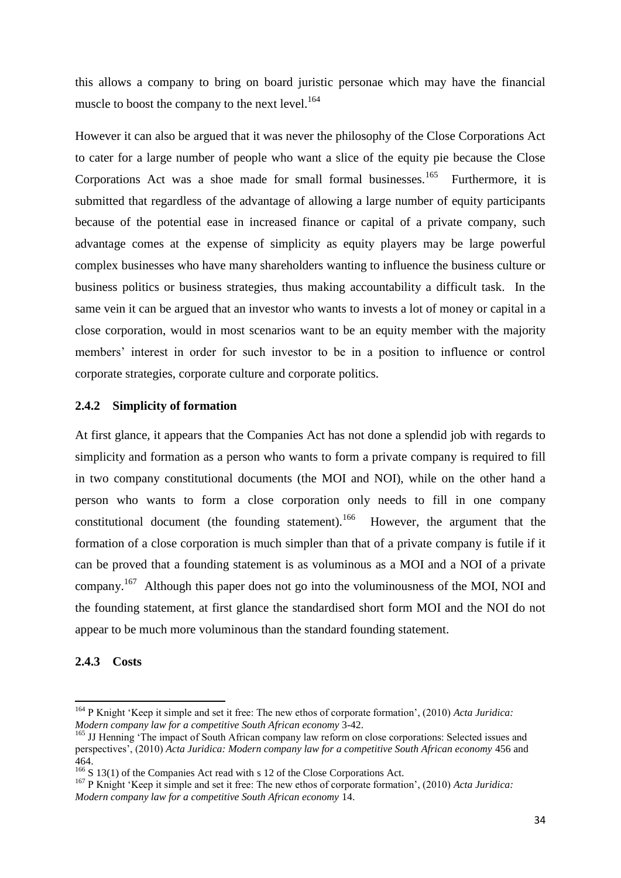this allows a company to bring on board juristic personae which may have the financial muscle to boost the company to the next level. $164$ 

However it can also be argued that it was never the philosophy of the Close Corporations Act to cater for a large number of people who want a slice of the equity pie because the Close Corporations Act was a shoe made for small formal businesses.<sup>165</sup> Furthermore, it is submitted that regardless of the advantage of allowing a large number of equity participants because of the potential ease in increased finance or capital of a private company, such advantage comes at the expense of simplicity as equity players may be large powerful complex businesses who have many shareholders wanting to influence the business culture or business politics or business strategies, thus making accountability a difficult task. In the same vein it can be argued that an investor who wants to invests a lot of money or capital in a close corporation, would in most scenarios want to be an equity member with the majority members' interest in order for such investor to be in a position to influence or control corporate strategies, corporate culture and corporate politics.

# <span id="page-33-0"></span>**2.4.2 Simplicity of formation**

At first glance, it appears that the Companies Act has not done a splendid job with regards to simplicity and formation as a person who wants to form a private company is required to fill in two company constitutional documents (the MOI and NOI), while on the other hand a person who wants to form a close corporation only needs to fill in one company constitutional document (the founding statement). <sup>166</sup> However, the argument that the formation of a close corporation is much simpler than that of a private company is futile if it can be proved that a founding statement is as voluminous as a MOI and a NOI of a private company.<sup>167</sup> Although this paper does not go into the voluminousness of the MOI, NOI and the founding statement, at first glance the standardised short form MOI and the NOI do not appear to be much more voluminous than the standard founding statement.

#### <span id="page-33-1"></span>**2.4.3 Costs**

<sup>164</sup> P Knight "Keep it simple and set it free: The new ethos of corporate formation", (2010) *Acta Juridica: Modern company law for a competitive South African economy* 3-42.

<sup>&</sup>lt;sup>165</sup> JJ Henning 'The impact of South African company law reform on close corporations: Selected issues and perspectives", (2010) *Acta Juridica: Modern company law for a competitive South African economy* 456 and 464.

<sup>&</sup>lt;sup>166</sup> S 13(1) of the Companies Act read with s 12 of the Close Corporations Act.

<sup>167</sup> P Knight "Keep it simple and set it free: The new ethos of corporate formation", (2010) *Acta Juridica: Modern company law for a competitive South African economy* 14.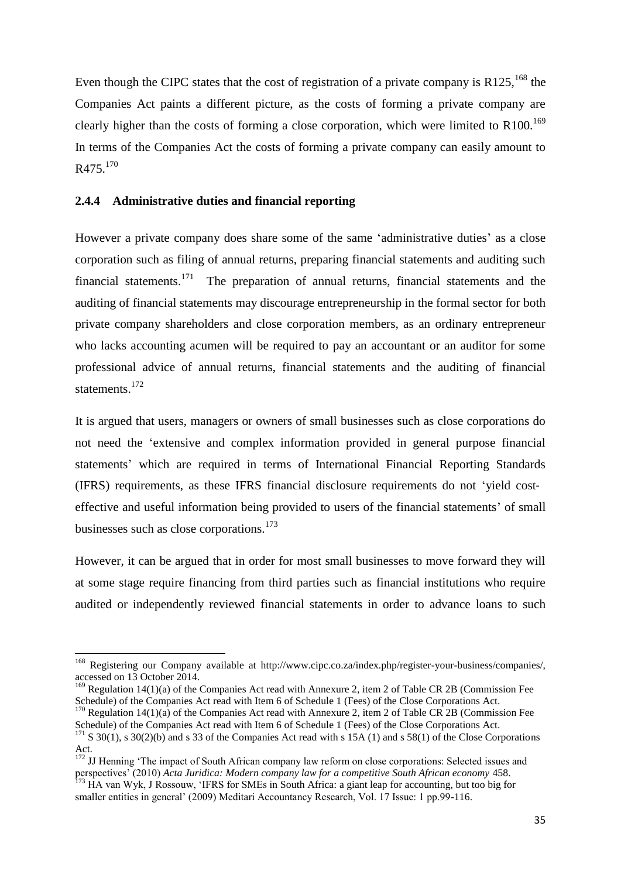Even though the CIPC states that the cost of registration of a private company is  $R125$ ,  $^{168}$  the Companies Act paints a different picture, as the costs of forming a private company are clearly higher than the costs of forming a close corporation, which were limited to  $R100$ .<sup>169</sup> In terms of the Companies Act the costs of forming a private company can easily amount to R475.<sup>170</sup>

#### <span id="page-34-0"></span>**2.4.4 Administrative duties and financial reporting**

1

However a private company does share some of the same 'administrative duties' as a close corporation such as filing of annual returns, preparing financial statements and auditing such financial statements.<sup>171</sup> The preparation of annual returns, financial statements and the auditing of financial statements may discourage entrepreneurship in the formal sector for both private company shareholders and close corporation members, as an ordinary entrepreneur who lacks accounting acumen will be required to pay an accountant or an auditor for some professional advice of annual returns, financial statements and the auditing of financial statements.<sup>172</sup>

It is argued that users, managers or owners of small businesses such as close corporations do not need the "extensive and complex information provided in general purpose financial statements' which are required in terms of International Financial Reporting Standards (IFRS) requirements, as these IFRS financial disclosure requirements do not "yield cost‐ effective and useful information being provided to users of the financial statements' of small businesses such as close corporations.<sup>173</sup>

However, it can be argued that in order for most small businesses to move forward they will at some stage require financing from third parties such as financial institutions who require audited or independently reviewed financial statements in order to advance loans to such

<sup>&</sup>lt;sup>168</sup> Registering our Company available at http://www.cipc.co.za/index.php/register-your-business/companies/, accessed on 13 October 2014.

<sup>&</sup>lt;sup>169</sup> Regulation 14(1)(a) of the Companies Act read with Annexure 2, item 2 of Table CR 2B (Commission Fee Schedule) of the Companies Act read with Item 6 of Schedule 1 (Fees) of the Close Corporations Act.

<sup>&</sup>lt;sup>170</sup> Regulation 14(1)(a) of the Companies Act read with Annexure 2, item 2 of Table CR 2B (Commission Fee Schedule) of the Companies Act read with Item 6 of Schedule 1 (Fees) of the Close Corporations Act.  $171$  S 30(1), s 30(2)(b) and s 33 of the Companies Act read with s 15A (1) and s 58(1) of the Close Corporations

Act.

<sup>&</sup>lt;sup>172</sup> JJ Henning 'The impact of South African company law reform on close corporations: Selected issues and perspectives" (2010) *Acta Juridica: Modern company law for a competitive South African economy* 458.  $173$  HA van Wyk, J Rossouw, 'IFRS for SMEs in South Africa: a giant leap for accounting, but too big for

smaller entities in general' (2009) Meditari Accountancy Research, Vol. 17 Issue: 1 pp.99-116.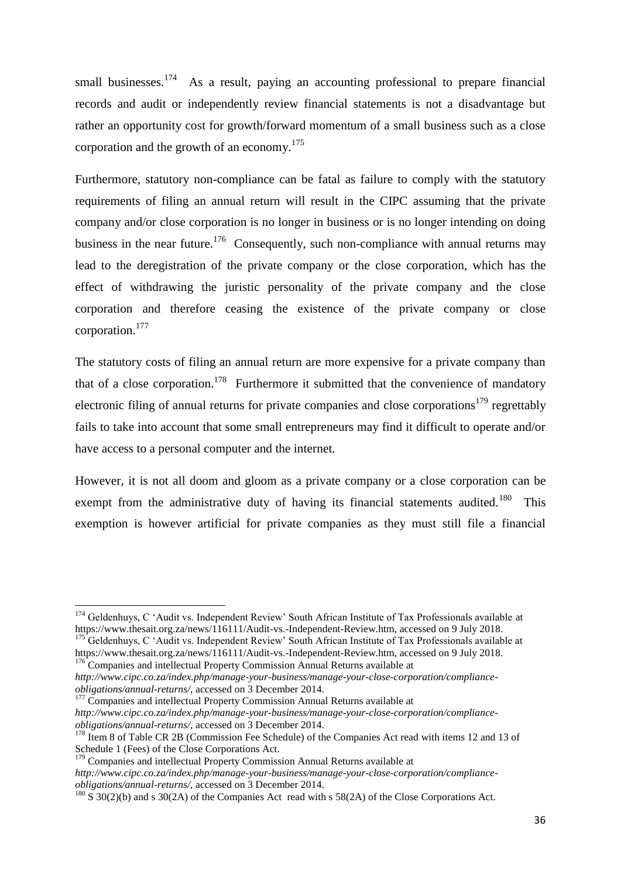small businesses.<sup>174</sup> As a result, paying an accounting professional to prepare financial records and audit or independently review financial statements is not a disadvantage but rather an opportunity cost for growth/forward momentum of a small business such as a close corporation and the growth of an economy.<sup>175</sup>

Furthermore, statutory non-compliance can be fatal as failure to comply with the statutory requirements of filing an annual return will result in the CIPC assuming that the private company and/or close corporation is no longer in business or is no longer intending on doing business in the near future.<sup>176</sup> Consequently, such non-compliance with annual returns may lead to the deregistration of the private company or the close corporation, which has the effect of withdrawing the juristic personality of the private company and the close corporation and therefore ceasing the existence of the private company or close corporation. 177

The statutory costs of filing an annual return are more expensive for a private company than that of a close corporation.<sup>178</sup> Furthermore it submitted that the convenience of mandatory electronic filing of annual returns for private companies and close corporations<sup>179</sup> regrettably fails to take into account that some small entrepreneurs may find it difficult to operate and/or have access to a personal computer and the internet.

However, it is not all doom and gloom as a private company or a close corporation can be exempt from the administrative duty of having its financial statements audited.<sup>180</sup> This exemption is however artificial for private companies as they must still file a financial

 $177$  Companies and intellectual Property Commission Annual Returns available at *http://www.cipc.co.za/index.php/manage-your-business/manage-your-close-corporation/complianceobligations/annual-returns/*, accessed on 3 December 2014.

 $179$  Companies and intellectual Property Commission Annual Returns available at

<sup>&</sup>lt;sup>174</sup> Geldenhuys, C 'Audit vs. Independent Review' South African Institute of Tax Professionals available at https://www.thesait.org.za/news/116111/Audit-vs.-Independent-Review.htm, accessed on 9 July 2018.

<sup>&</sup>lt;sup>175</sup> Geldenhuys, C 'Audit vs. Independent Review' South African Institute of Tax Professionals available at https://www.thesait.org.za/news/116111/Audit-vs.-Independent-Review.htm, accessed on 9 July 2018. <sup>176</sup> Companies and intellectual Property Commission Annual Returns available at

*http://www.cipc.co.za/index.php/manage-your-business/manage-your-close-corporation/complianceobligations/annual-returns/*, accessed on 3 December 2014.

<sup>&</sup>lt;sup>178</sup> Item 8 of Table CR 2B (Commission Fee Schedule) of the Companies Act read with items 12 and 13 of Schedule 1 (Fees) of the Close Corporations Act.

*http://www.cipc.co.za/index.php/manage-your-business/manage-your-close-corporation/complianceobligations/annual-returns/*, accessed on 3 December 2014.

 $180\text{ S }30(2)$ (b) and s 30(2A) of the Companies Act read with s 58(2A) of the Close Corporations Act.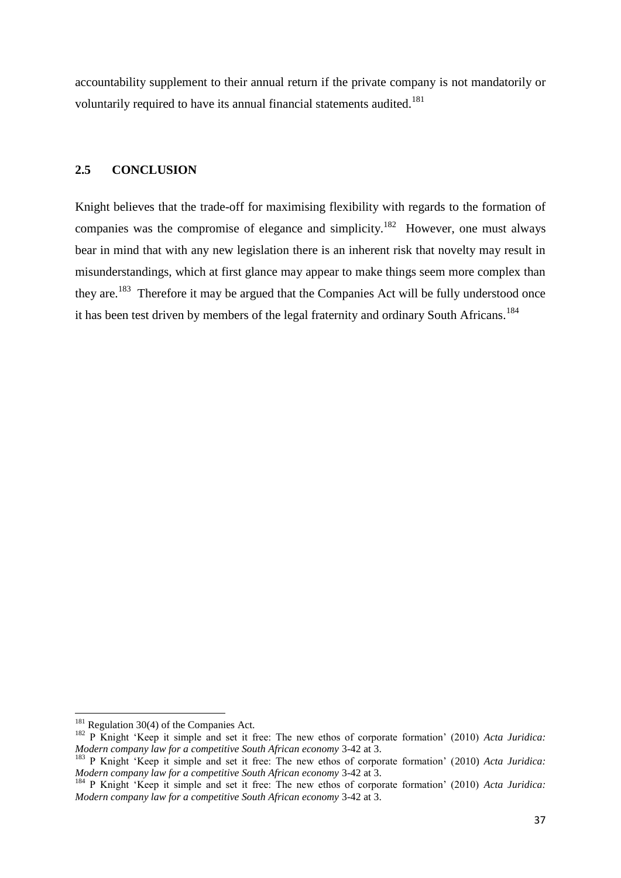accountability supplement to their annual return if the private company is not mandatorily or voluntarily required to have its annual financial statements audited.<sup>181</sup>

# **2.5 CONCLUSION**

Knight believes that the trade-off for maximising flexibility with regards to the formation of companies was the compromise of elegance and simplicity.<sup>182</sup> However, one must always bear in mind that with any new legislation there is an inherent risk that novelty may result in misunderstandings, which at first glance may appear to make things seem more complex than they are.<sup>183</sup> Therefore it may be argued that the Companies Act will be fully understood once it has been test driven by members of the legal fraternity and ordinary South Africans.<sup>184</sup>

 $181$  Regulation 30(4) of the Companies Act.

<sup>&</sup>lt;sup>182</sup> P Knight 'Keep it simple and set it free: The new ethos of corporate formation' (2010) *Acta Juridica*: *Modern company law for a competitive South African economy* 3-42 at 3.

<sup>&</sup>lt;sup>183</sup> P Knight 'Keep it simple and set it free: The new ethos of corporate formation' (2010) *Acta Juridica*: *Modern company law for a competitive South African economy* 3-42 at 3.

<sup>184</sup> P Knight "Keep it simple and set it free: The new ethos of corporate formation" (2010) *Acta Juridica: Modern company law for a competitive South African economy* 3-42 at 3.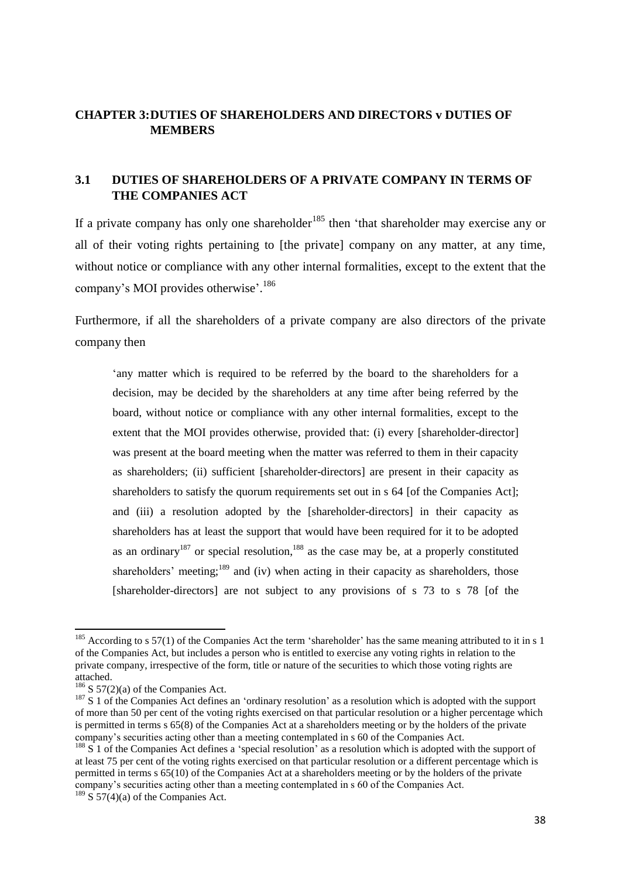# **CHAPTER 3:DUTIES OF SHAREHOLDERS AND DIRECTORS v DUTIES OF MEMBERS**

# **3.1 DUTIES OF SHAREHOLDERS OF A PRIVATE COMPANY IN TERMS OF THE COMPANIES ACT**

If a private company has only one shareholder<sup>185</sup> then 'that shareholder may exercise any or all of their voting rights pertaining to [the private] company on any matter, at any time, without notice or compliance with any other internal formalities, except to the extent that the company's MOI provides otherwise'.<sup>186</sup>

Furthermore, if all the shareholders of a private company are also directors of the private company then

"any matter which is required to be referred by the board to the shareholders for a decision, may be decided by the shareholders at any time after being referred by the board, without notice or compliance with any other internal formalities, except to the extent that the MOI provides otherwise, provided that: (i) every [shareholder-director] was present at the board meeting when the matter was referred to them in their capacity as shareholders; (ii) sufficient [shareholder-directors] are present in their capacity as shareholders to satisfy the quorum requirements set out in s 64 [of the Companies Act]; and (iii) a resolution adopted by the [shareholder-directors] in their capacity as shareholders has at least the support that would have been required for it to be adopted as an ordinary<sup>187</sup> or special resolution,  $188$  as the case may be, at a properly constituted shareholders' meeting;<sup>189</sup> and (iv) when acting in their capacity as shareholders, those [shareholder-directors] are not subject to any provisions of s 73 to s 78 [of the

 $185$  According to s 57(1) of the Companies Act the term 'shareholder' has the same meaning attributed to it in s 1 of the Companies Act, but includes a person who is entitled to exercise any voting rights in relation to the private company, irrespective of the form, title or nature of the securities to which those voting rights are attached.

 $186$  S 57(2)(a) of the Companies Act.

<sup>&</sup>lt;sup>187</sup> S 1 of the Companies Act defines an 'ordinary resolution' as a resolution which is adopted with the support of more than 50 per cent of the voting rights exercised on that particular resolution or a higher percentage which is permitted in terms s 65(8) of the Companies Act at a shareholders meeting or by the holders of the private company"s securities acting other than a meeting contemplated in s 60 of the Companies Act.

 $188 \text{ S}$  1 of the Companies Act defines a 'special resolution' as a resolution which is adopted with the support of at least 75 per cent of the voting rights exercised on that particular resolution or a different percentage which is permitted in terms s 65(10) of the Companies Act at a shareholders meeting or by the holders of the private company"s securities acting other than a meeting contemplated in s 60 of the Companies Act.

 $189 \text{ S}$  57(4)(a) of the Companies Act.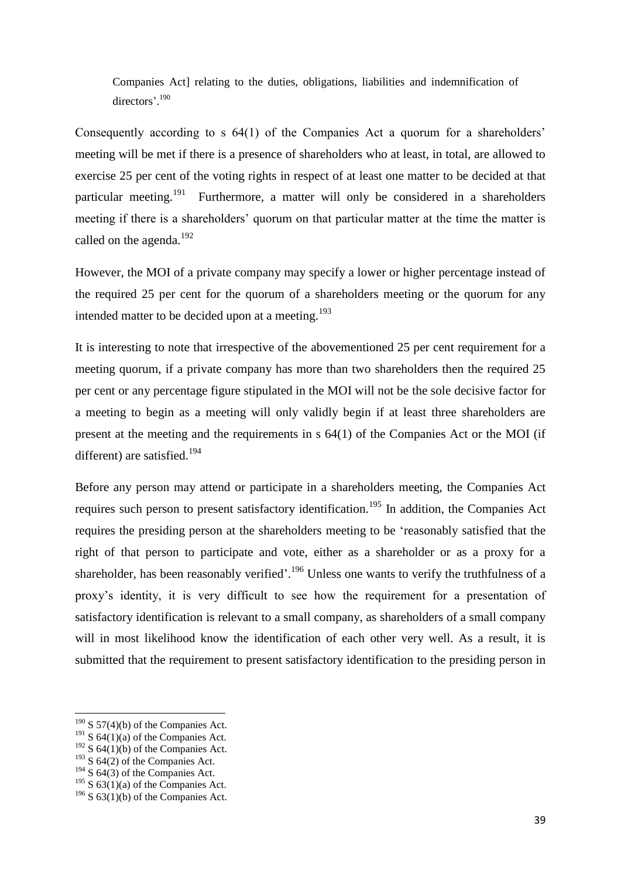Companies Act] relating to the duties, obligations, liabilities and indemnification of directors'.<sup>190</sup>

Consequently according to s 64(1) of the Companies Act a quorum for a shareholders' meeting will be met if there is a presence of shareholders who at least, in total, are allowed to exercise 25 per cent of the voting rights in respect of at least one matter to be decided at that particular meeting.<sup>191</sup> Furthermore, a matter will only be considered in a shareholders meeting if there is a shareholders' quorum on that particular matter at the time the matter is called on the agenda.<sup>192</sup>

However, the MOI of a private company may specify a lower or higher percentage instead of the required 25 per cent for the quorum of a shareholders meeting or the quorum for any intended matter to be decided upon at a meeting.<sup>193</sup>

It is interesting to note that irrespective of the abovementioned 25 per cent requirement for a meeting quorum, if a private company has more than two shareholders then the required 25 per cent or any percentage figure stipulated in the MOI will not be the sole decisive factor for a meeting to begin as a meeting will only validly begin if at least three shareholders are present at the meeting and the requirements in s 64(1) of the Companies Act or the MOI (if different) are satisfied.<sup>194</sup>

Before any person may attend or participate in a shareholders meeting, the Companies Act requires such person to present satisfactory identification.<sup>195</sup> In addition, the Companies Act requires the presiding person at the shareholders meeting to be "reasonably satisfied that the right of that person to participate and vote, either as a shareholder or as a proxy for a shareholder, has been reasonably verified'.<sup>196</sup> Unless one wants to verify the truthfulness of a proxy"s identity, it is very difficult to see how the requirement for a presentation of satisfactory identification is relevant to a small company, as shareholders of a small company will in most likelihood know the identification of each other very well. As a result, it is submitted that the requirement to present satisfactory identification to the presiding person in

 $190$  S 57(4)(b) of the Companies Act.

<sup>&</sup>lt;sup>191</sup> S  $64(1)(a)$  of the Companies Act.

 $192$  S 64(1)(b) of the Companies Act.

 $193$  S 64(2) of the Companies Act.

 $194$  S 64(3) of the Companies Act.

<sup>&</sup>lt;sup>195</sup> S  $63(1)(a)$  of the Companies Act.

 $196$  S 63(1)(b) of the Companies Act.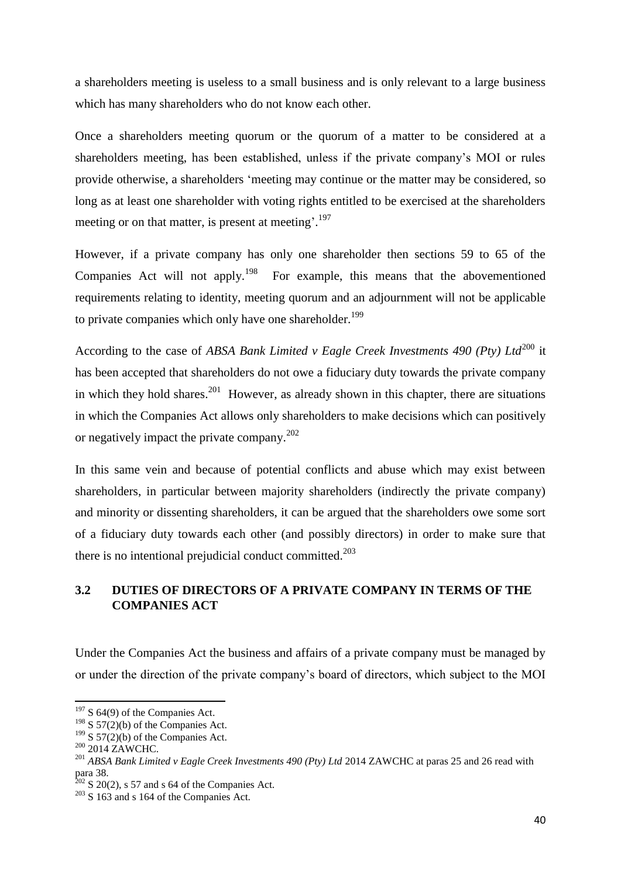a shareholders meeting is useless to a small business and is only relevant to a large business which has many shareholders who do not know each other.

Once a shareholders meeting quorum or the quorum of a matter to be considered at a shareholders meeting, has been established, unless if the private company"s MOI or rules provide otherwise, a shareholders "meeting may continue or the matter may be considered, so long as at least one shareholder with voting rights entitled to be exercised at the shareholders meeting or on that matter, is present at meeting'.<sup>197</sup>

However, if a private company has only one shareholder then sections 59 to 65 of the Companies Act will not apply.<sup>198</sup> For example, this means that the abovementioned requirements relating to identity, meeting quorum and an adjournment will not be applicable to private companies which only have one shareholder.<sup>199</sup>

According to the case of *ABSA Bank Limited v Eagle Creek Investments 490 (Ptv) Ltd*<sup>200</sup> it has been accepted that shareholders do not owe a fiduciary duty towards the private company in which they hold shares.<sup>201</sup> However, as already shown in this chapter, there are situations in which the Companies Act allows only shareholders to make decisions which can positively or negatively impact the private company.<sup>202</sup>

In this same vein and because of potential conflicts and abuse which may exist between shareholders, in particular between majority shareholders (indirectly the private company) and minority or dissenting shareholders, it can be argued that the shareholders owe some sort of a fiduciary duty towards each other (and possibly directors) in order to make sure that there is no intentional prejudicial conduct committed.<sup>203</sup>

# **3.2 DUTIES OF DIRECTORS OF A PRIVATE COMPANY IN TERMS OF THE COMPANIES ACT**

Under the Companies Act the business and affairs of a private company must be managed by or under the direction of the private company"s board of directors, which subject to the MOI

 $197$  S 64(9) of the Companies Act.

<sup>&</sup>lt;sup>198</sup> S 57(2)(b) of the Companies Act.

<sup>&</sup>lt;sup>199</sup> S 57(2)(b) of the Companies Act.

 $^{200}$  2014 ZAWCHC.

<sup>201</sup> *ABSA Bank Limited v Eagle Creek Investments 490 (Pty) Ltd* 2014 ZAWCHC at paras 25 and 26 read with para 38.

 $202$  S 20(2), s 57 and s 64 of the Companies Act.

 $203$  S 163 and s 164 of the Companies Act.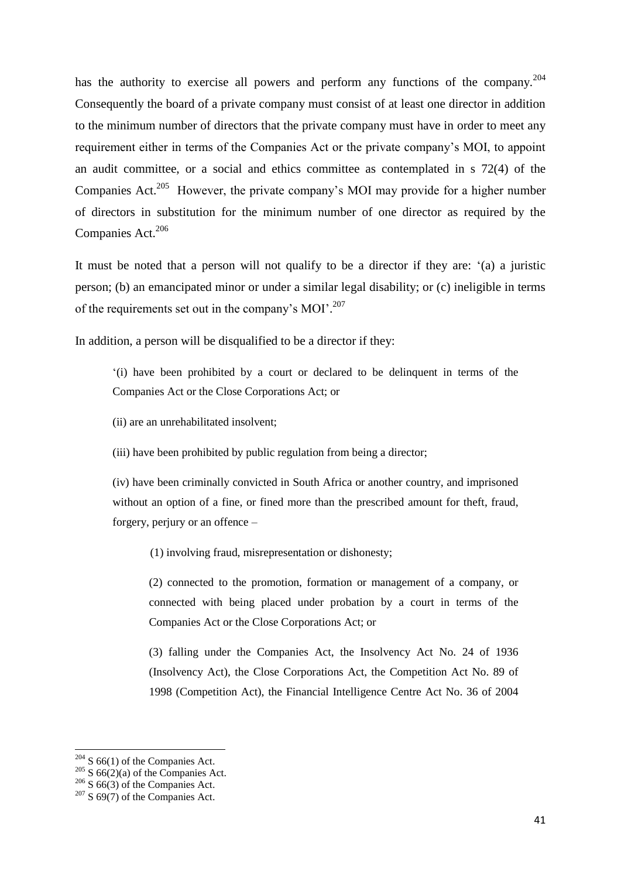has the authority to exercise all powers and perform any functions of the company.<sup>204</sup> Consequently the board of a private company must consist of at least one director in addition to the minimum number of directors that the private company must have in order to meet any requirement either in terms of the Companies Act or the private company"s MOI, to appoint an audit committee, or a social and ethics committee as contemplated in s 72(4) of the Companies Act.<sup>205</sup> However, the private company's MOI may provide for a higher number of directors in substitution for the minimum number of one director as required by the Companies Act.<sup>206</sup>

It must be noted that a person will not qualify to be a director if they are: "(a) a juristic person; (b) an emancipated minor or under a similar legal disability; or (c) ineligible in terms of the requirements set out in the company's MOI'.<sup>207</sup>

In addition, a person will be disqualified to be a director if they:

"(i) have been prohibited by a court or declared to be delinquent in terms of the Companies Act or the Close Corporations Act; or

(ii) are an unrehabilitated insolvent;

(iii) have been prohibited by public regulation from being a director;

(iv) have been criminally convicted in South Africa or another country, and imprisoned without an option of a fine, or fined more than the prescribed amount for theft, fraud, forgery, perjury or an offence –

(1) involving fraud, misrepresentation or dishonesty;

(2) connected to the promotion, formation or management of a company, or connected with being placed under probation by a court in terms of the Companies Act or the Close Corporations Act; or

(3) falling under the Companies Act, the Insolvency Act No. 24 of 1936 (Insolvency Act), the Close Corporations Act, the Competition Act No. 89 of 1998 (Competition Act), the Financial Intelligence Centre Act No. 36 of 2004

 $204$  S 66(1) of the Companies Act.

 $205 \text{ S } 66(2)(a)$  of the Companies Act.

 $206$  S 66(3) of the Companies Act.

 $207$  S 69(7) of the Companies Act.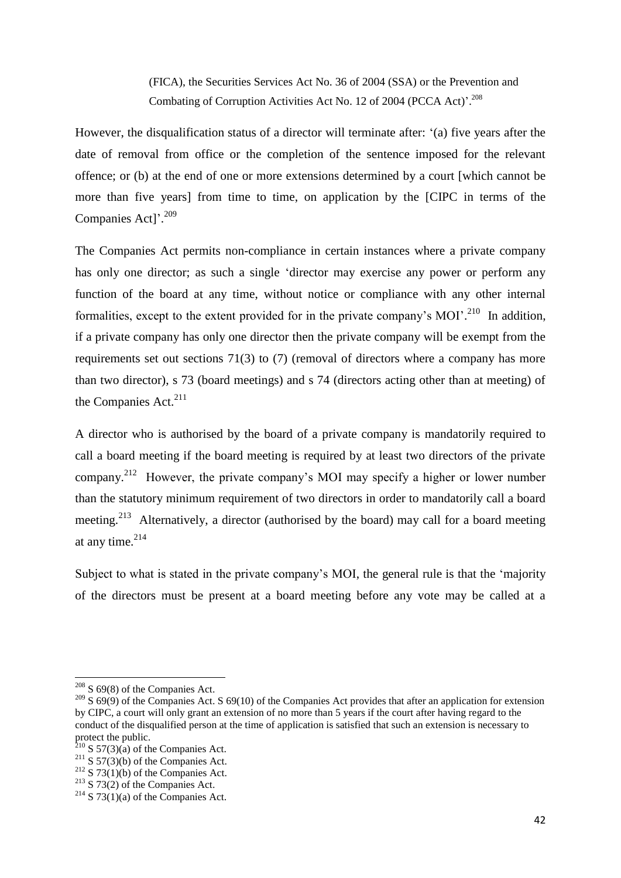(FICA), the Securities Services Act No. 36 of 2004 (SSA) or the Prevention and Combating of Corruption Activities Act No. 12 of 2004 (PCCA Act)<sup>'</sup>.<sup>208</sup>

However, the disqualification status of a director will terminate after: "(a) five years after the date of removal from office or the completion of the sentence imposed for the relevant offence; or (b) at the end of one or more extensions determined by a court [which cannot be more than five years] from time to time, on application by the [CIPC in terms of the Companies Act]'.<sup>209</sup>

The Companies Act permits non-compliance in certain instances where a private company has only one director; as such a single "director may exercise any power or perform any function of the board at any time, without notice or compliance with any other internal formalities, except to the extent provided for in the private company's MOI'.<sup>210</sup> In addition, if a private company has only one director then the private company will be exempt from the requirements set out sections 71(3) to (7) (removal of directors where a company has more than two director), s 73 (board meetings) and s 74 (directors acting other than at meeting) of the Companies Act. $211$ 

A director who is authorised by the board of a private company is mandatorily required to call a board meeting if the board meeting is required by at least two directors of the private company.<sup>212</sup> However, the private company's MOI may specify a higher or lower number than the statutory minimum requirement of two directors in order to mandatorily call a board meeting.<sup>213</sup> Alternatively, a director (authorised by the board) may call for a board meeting at any time. $214$ 

Subject to what is stated in the private company's MOI, the general rule is that the 'majority of the directors must be present at a board meeting before any vote may be called at a

 $208$  S 69(8) of the Companies Act.

<sup>&</sup>lt;sup>209</sup> S 69(9) of the Companies Act. S 69(10) of the Companies Act provides that after an application for extension by CIPC, a court will only grant an extension of no more than 5 years if the court after having regard to the conduct of the disqualified person at the time of application is satisfied that such an extension is necessary to protect the public.

 $2^{10}$  S 57(3)(a) of the Companies Act.

 $2^{11}$  S 57(3)(b) of the Companies Act.

 $212$  S 73(1)(b) of the Companies Act.

 $213$  S 73(2) of the Companies Act.

 $2^{14}$  S 73(1)(a) of the Companies Act.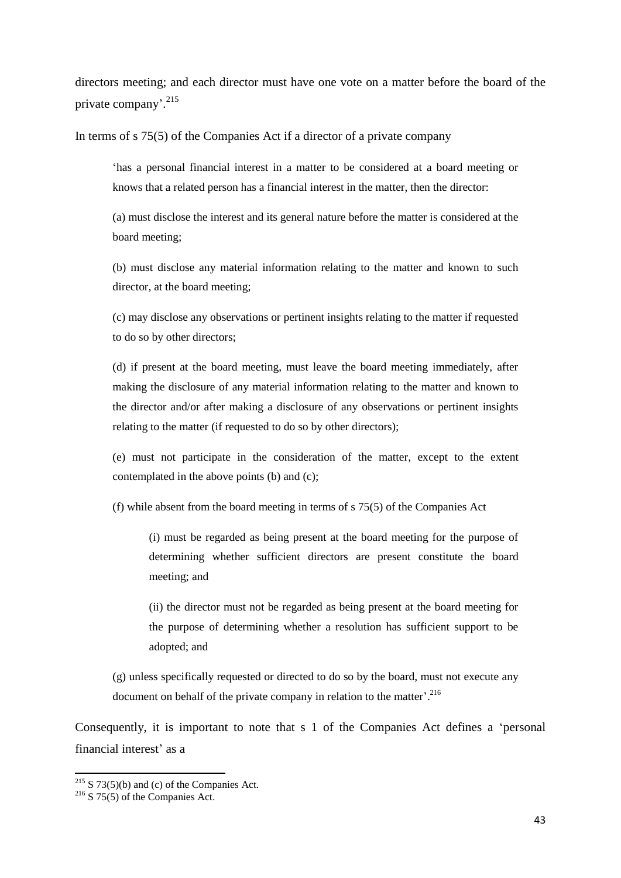directors meeting; and each director must have one vote on a matter before the board of the private company'.<sup>215</sup>

In terms of s 75(5) of the Companies Act if a director of a private company

"has a personal financial interest in a matter to be considered at a board meeting or knows that a related person has a financial interest in the matter, then the director:

(a) must disclose the interest and its general nature before the matter is considered at the board meeting;

(b) must disclose any material information relating to the matter and known to such director, at the board meeting;

(c) may disclose any observations or pertinent insights relating to the matter if requested to do so by other directors;

(d) if present at the board meeting, must leave the board meeting immediately, after making the disclosure of any material information relating to the matter and known to the director and/or after making a disclosure of any observations or pertinent insights relating to the matter (if requested to do so by other directors);

(e) must not participate in the consideration of the matter, except to the extent contemplated in the above points (b) and (c);

(f) while absent from the board meeting in terms of s 75(5) of the Companies Act

(i) must be regarded as being present at the board meeting for the purpose of determining whether sufficient directors are present constitute the board meeting; and

(ii) the director must not be regarded as being present at the board meeting for the purpose of determining whether a resolution has sufficient support to be adopted; and

(g) unless specifically requested or directed to do so by the board, must not execute any document on behalf of the private company in relation to the matter'.<sup>216</sup>

Consequently, it is important to note that s 1 of the Companies Act defines a "personal financial interest' as a

 $2^{15}$  S 73(5)(b) and (c) of the Companies Act.

 $2^{16}$  S 75(5) of the Companies Act.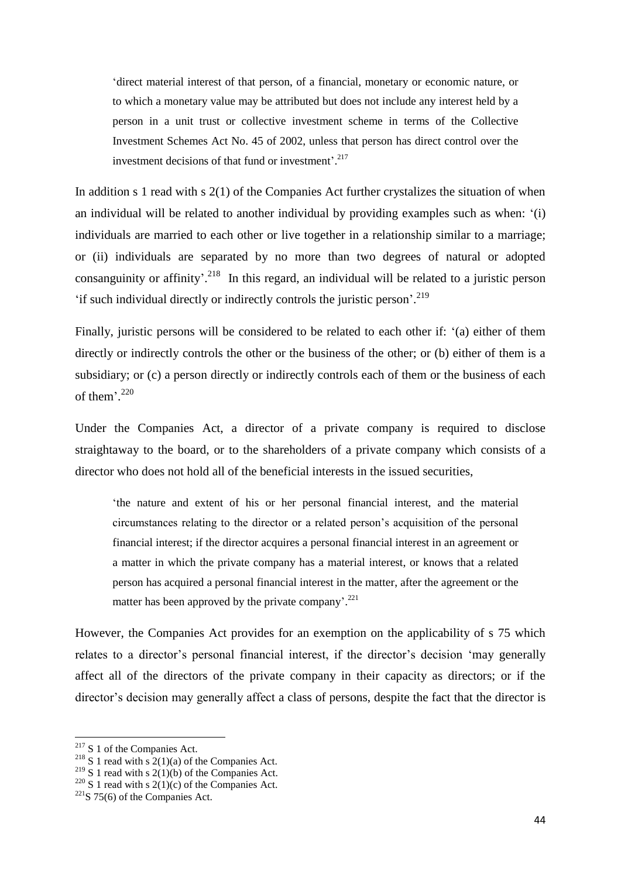"direct material interest of that person, of a financial, monetary or economic nature, or to which a monetary value may be attributed but does not include any interest held by a person in a unit trust or collective investment scheme in terms of the Collective Investment Schemes Act No. 45 of 2002, unless that person has direct control over the investment decisions of that fund or investment'.<sup>217</sup>

In addition s 1 read with s 2(1) of the Companies Act further crystalizes the situation of when an individual will be related to another individual by providing examples such as when: "(i) individuals are married to each other or live together in a relationship similar to a marriage; or (ii) individuals are separated by no more than two degrees of natural or adopted consanguinity or affinity'.<sup>218</sup> In this regard, an individual will be related to a juristic person 'if such individual directly or indirectly controls the juristic person'.<sup>219</sup>

Finally, juristic persons will be considered to be related to each other if: "(a) either of them directly or indirectly controls the other or the business of the other; or (b) either of them is a subsidiary; or (c) a person directly or indirectly controls each of them or the business of each of them'.<sup>220</sup>

Under the Companies Act, a director of a private company is required to disclose straightaway to the board, or to the shareholders of a private company which consists of a director who does not hold all of the beneficial interests in the issued securities,

"the nature and extent of his or her personal financial interest, and the material circumstances relating to the director or a related person"s acquisition of the personal financial interest; if the director acquires a personal financial interest in an agreement or a matter in which the private company has a material interest, or knows that a related person has acquired a personal financial interest in the matter, after the agreement or the matter has been approved by the private company'.<sup>221</sup>

However, the Companies Act provides for an exemption on the applicability of s 75 which relates to a director's personal financial interest, if the director's decision 'may generally affect all of the directors of the private company in their capacity as directors; or if the director's decision may generally affect a class of persons, despite the fact that the director is

 $2^{17}$  S 1 of the Companies Act.

<sup>&</sup>lt;sup>218</sup> S 1 read with s  $2(1)(a)$  of the Companies Act.

<sup>&</sup>lt;sup>219</sup> S 1 read with s 2(1)(b) of the Companies Act.

<sup>&</sup>lt;sup>220</sup> S 1 read with s 2(1)(c) of the Companies Act.

 $221S$  75(6) of the Companies Act.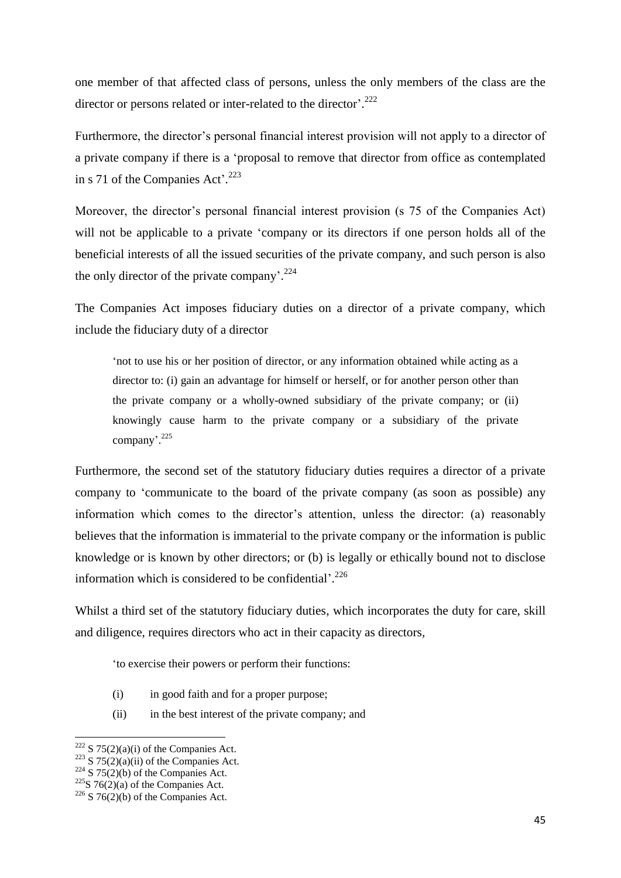one member of that affected class of persons, unless the only members of the class are the director or persons related or inter-related to the director'.<sup>222</sup>

Furthermore, the director's personal financial interest provision will not apply to a director of a private company if there is a "proposal to remove that director from office as contemplated in s 71 of the Companies Act'.<sup>223</sup>

Moreover, the director's personal financial interest provision (s 75 of the Companies Act) will not be applicable to a private 'company or its directors if one person holds all of the beneficial interests of all the issued securities of the private company, and such person is also the only director of the private company'.<sup>224</sup>

The Companies Act imposes fiduciary duties on a director of a private company, which include the fiduciary duty of a director

"not to use his or her position of director, or any information obtained while acting as a director to: (i) gain an advantage for himself or herself, or for another person other than the private company or a wholly-owned subsidiary of the private company; or (ii) knowingly cause harm to the private company or a subsidiary of the private company'.<sup>225</sup>

Furthermore, the second set of the statutory fiduciary duties requires a director of a private company to "communicate to the board of the private company (as soon as possible) any information which comes to the director's attention, unless the director: (a) reasonably believes that the information is immaterial to the private company or the information is public knowledge or is known by other directors; or (b) is legally or ethically bound not to disclose information which is considered to be confidential'.<sup>226</sup>

Whilst a third set of the statutory fiduciary duties, which incorporates the duty for care, skill and diligence, requires directors who act in their capacity as directors,

"to exercise their powers or perform their functions:

- (i) in good faith and for a proper purpose;
- (ii) in the best interest of the private company; and

**<sup>.</sup>**  $222$  S 75(2)(a)(i) of the Companies Act.

 $223$  S  $75(2)(a)(ii)$  of the Companies Act.

 $224\overline{S}$  75(2)(b) of the Companies Act.

 $225S$  76(2)(a) of the Companies Act.

 $226$  S 76(2)(b) of the Companies Act.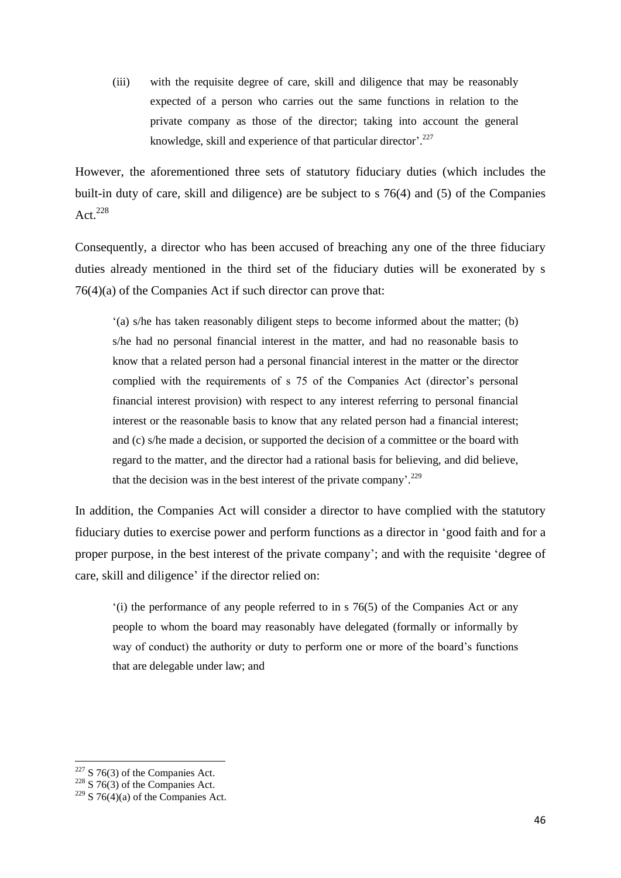(iii) with the requisite degree of care, skill and diligence that may be reasonably expected of a person who carries out the same functions in relation to the private company as those of the director; taking into account the general knowledge, skill and experience of that particular director'.<sup>227</sup>

However, the aforementioned three sets of statutory fiduciary duties (which includes the built-in duty of care, skill and diligence) are be subject to s 76(4) and (5) of the Companies Act. $^{228}$ 

Consequently, a director who has been accused of breaching any one of the three fiduciary duties already mentioned in the third set of the fiduciary duties will be exonerated by s 76(4)(a) of the Companies Act if such director can prove that:

 $'(a)$  s/he has taken reasonably diligent steps to become informed about the matter; (b) s/he had no personal financial interest in the matter, and had no reasonable basis to know that a related person had a personal financial interest in the matter or the director complied with the requirements of s 75 of the Companies Act (director's personal financial interest provision) with respect to any interest referring to personal financial interest or the reasonable basis to know that any related person had a financial interest; and (c) s/he made a decision, or supported the decision of a committee or the board with regard to the matter, and the director had a rational basis for believing, and did believe, that the decision was in the best interest of the private company'.<sup>229</sup>

In addition, the Companies Act will consider a director to have complied with the statutory fiduciary duties to exercise power and perform functions as a director in "good faith and for a proper purpose, in the best interest of the private company"; and with the requisite "degree of care, skill and diligence' if the director relied on:

 $'(i)$  the performance of any people referred to in s 76(5) of the Companies Act or any people to whom the board may reasonably have delegated (formally or informally by way of conduct) the authority or duty to perform one or more of the board"s functions that are delegable under law; and

<sup>1</sup>  $227$  S 76(3) of the Companies Act.

 $228 \times 76(3)$  of the Companies Act.

<sup>&</sup>lt;sup>229</sup> S 76(4)(a) of the Companies Act.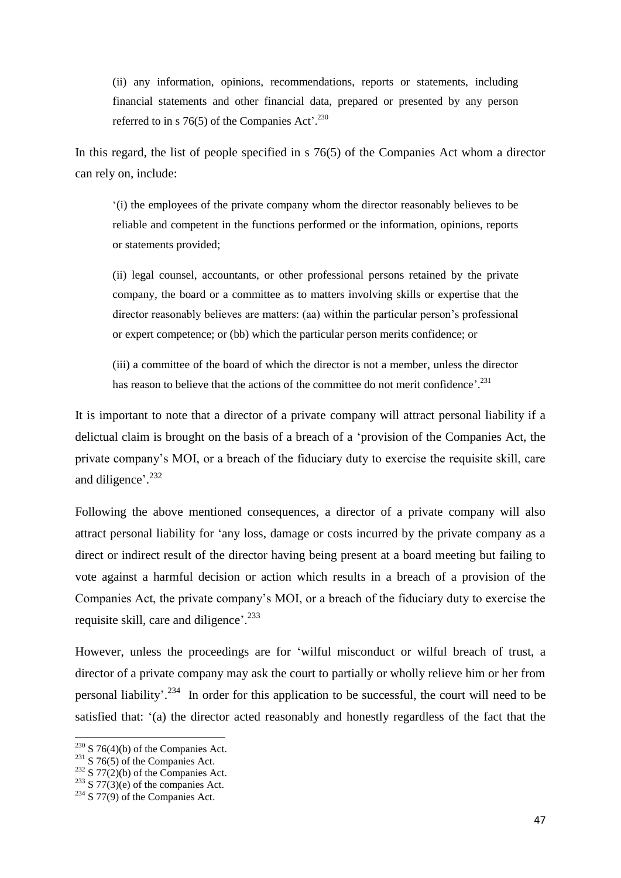(ii) any information, opinions, recommendations, reports or statements, including financial statements and other financial data, prepared or presented by any person referred to in s 76(5) of the Companies Act'. $^{230}$ 

In this regard, the list of people specified in s 76(5) of the Companies Act whom a director can rely on, include:

"(i) the employees of the private company whom the director reasonably believes to be reliable and competent in the functions performed or the information, opinions, reports or statements provided;

(ii) legal counsel, accountants, or other professional persons retained by the private company, the board or a committee as to matters involving skills or expertise that the director reasonably believes are matters: (aa) within the particular person"s professional or expert competence; or (bb) which the particular person merits confidence; or

(iii) a committee of the board of which the director is not a member, unless the director has reason to believe that the actions of the committee do not merit confidence'.<sup>231</sup>

It is important to note that a director of a private company will attract personal liability if a delictual claim is brought on the basis of a breach of a "provision of the Companies Act, the private company"s MOI, or a breach of the fiduciary duty to exercise the requisite skill, care and diligence'.<sup>232</sup>

Following the above mentioned consequences, a director of a private company will also attract personal liability for "any loss, damage or costs incurred by the private company as a direct or indirect result of the director having being present at a board meeting but failing to vote against a harmful decision or action which results in a breach of a provision of the Companies Act, the private company"s MOI, or a breach of the fiduciary duty to exercise the requisite skill, care and diligence'.<sup>233</sup>

However, unless the proceedings are for "wilful misconduct or wilful breach of trust, a director of a private company may ask the court to partially or wholly relieve him or her from personal liability'.<sup>234</sup> In order for this application to be successful, the court will need to be satisfied that: "(a) the director acted reasonably and honestly regardless of the fact that the

 $2^{230}$  S 76(4)(b) of the Companies Act.

 $231$  S 76(5) of the Companies Act.

 $232 \overline{S}$  77(2)(b) of the Companies Act.

 $233$  S 77(3)(e) of the companies Act.

 $234$  S 77(9) of the Companies Act.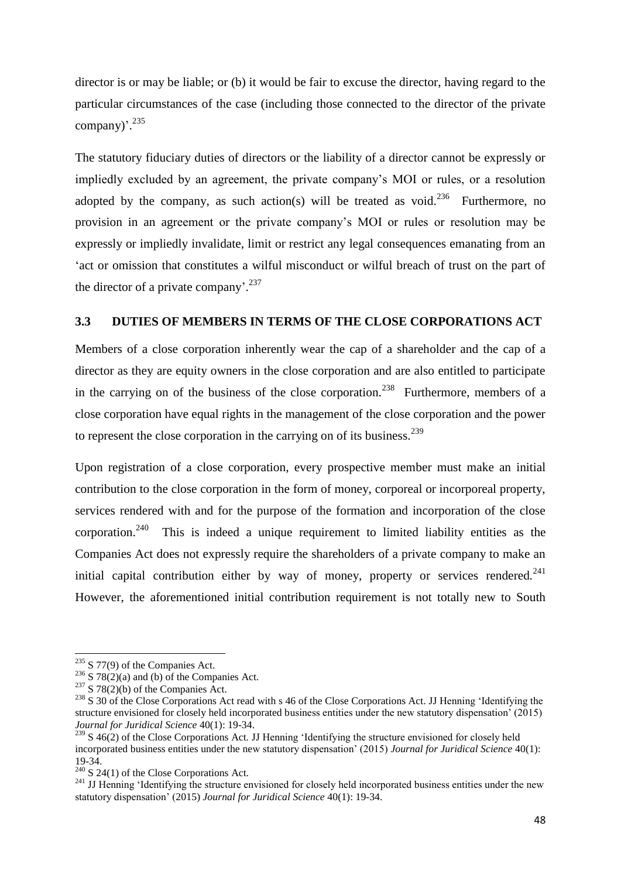director is or may be liable; or (b) it would be fair to excuse the director, having regard to the particular circumstances of the case (including those connected to the director of the private company)'.<sup>235</sup>

The statutory fiduciary duties of directors or the liability of a director cannot be expressly or impliedly excluded by an agreement, the private company"s MOI or rules, or a resolution adopted by the company, as such action(s) will be treated as void.<sup>236</sup> Furthermore, no provision in an agreement or the private company"s MOI or rules or resolution may be expressly or impliedly invalidate, limit or restrict any legal consequences emanating from an act or omission that constitutes a wilful misconduct or wilful breach of trust on the part of the director of a private company'.<sup>237</sup>

# **3.3 DUTIES OF MEMBERS IN TERMS OF THE CLOSE CORPORATIONS ACT**

Members of a close corporation inherently wear the cap of a shareholder and the cap of a director as they are equity owners in the close corporation and are also entitled to participate in the carrying on of the business of the close corporation.<sup>238</sup> Furthermore, members of a close corporation have equal rights in the management of the close corporation and the power to represent the close corporation in the carrying on of its business.<sup>239</sup>

Upon registration of a close corporation, every prospective member must make an initial contribution to the close corporation in the form of money, corporeal or incorporeal property, services rendered with and for the purpose of the formation and incorporation of the close corporation.<sup>240</sup> This is indeed a unique requirement to limited liability entities as the Companies Act does not expressly require the shareholders of a private company to make an initial capital contribution either by way of money, property or services rendered. $241$ However, the aforementioned initial contribution requirement is not totally new to South

1

 $235$  S 77(9) of the Companies Act.

<sup>&</sup>lt;sup>236</sup> S 78(2)(a) and (b) of the Companies Act.

 $237$  S 78(2)(b) of the Companies Act.

<sup>&</sup>lt;sup>238</sup> S 30 of the Close Corporations Act read with s 46 of the Close Corporations Act. JJ Henning 'Identifying the structure envisioned for closely held incorporated business entities under the new statutory dispensation" (2015) *Journal for Juridical Science* 40(1): 19-34.

<sup>&</sup>lt;sup>239</sup> S 46(2) of the Close Corporations Act. JJ Henning 'Identifying the structure envisioned for closely held incorporated business entities under the new statutory dispensation" (2015) *Journal for Juridical Science* 40(1): 19-34.

 $240$  S 24(1) of the Close Corporations Act.

<sup>&</sup>lt;sup>241</sup> JJ Henning 'Identifying the structure envisioned for closely held incorporated business entities under the new statutory dispensation" (2015) *Journal for Juridical Science* 40(1): 19-34.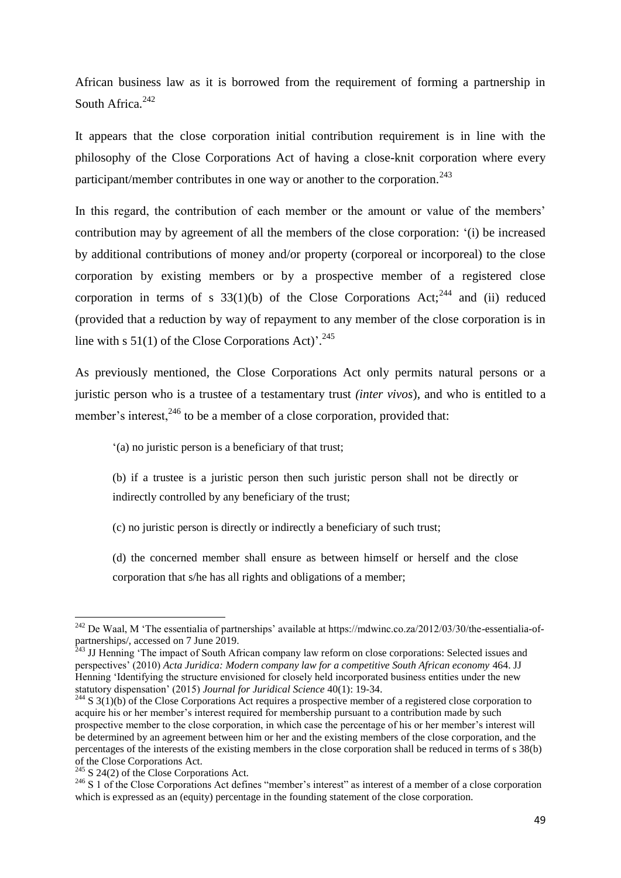African business law as it is borrowed from the requirement of forming a partnership in South Africa.<sup>242</sup>

It appears that the close corporation initial contribution requirement is in line with the philosophy of the Close Corporations Act of having a close-knit corporation where every participant/member contributes in one way or another to the corporation.<sup>243</sup>

In this regard, the contribution of each member or the amount or value of the members' contribution may by agreement of all the members of the close corporation: "(i) be increased by additional contributions of money and/or property (corporeal or incorporeal) to the close corporation by existing members or by a prospective member of a registered close corporation in terms of s  $33(1)(b)$  of the Close Corporations Act;<sup>244</sup> and (ii) reduced (provided that a reduction by way of repayment to any member of the close corporation is in line with s  $51(1)$  of the Close Corporations Act)'.<sup>245</sup>

As previously mentioned, the Close Corporations Act only permits natural persons or a juristic person who is a trustee of a testamentary trust *(inter vivos*), and who is entitled to a member's interest,  $246$  to be a member of a close corporation, provided that:

"(a) no juristic person is a beneficiary of that trust;

(b) if a trustee is a juristic person then such juristic person shall not be directly or indirectly controlled by any beneficiary of the trust;

(c) no juristic person is directly or indirectly a beneficiary of such trust;

(d) the concerned member shall ensure as between himself or herself and the close corporation that s/he has all rights and obligations of a member;

1

 $^{242}$  De Waal, M 'The essentialia of partnerships' available at https://mdwinc.co.za/2012/03/30/the-essentialia-ofpartnerships/, accessed on 7 June 2019.

<sup>&</sup>lt;sup>243</sup> JJ Henning 'The impact of South African company law reform on close corporations: Selected issues and perspectives" (2010) *Acta Juridica: Modern company law for a competitive South African economy* 464. JJ Henning "Identifying the structure envisioned for closely held incorporated business entities under the new statutory dispensation" (2015) *Journal for Juridical Science* 40(1): 19-34.

 $^{244}$  S 3(1)(b) of the Close Corporations Act requires a prospective member of a registered close corporation to acquire his or her member's interest required for membership pursuant to a contribution made by such prospective member to the close corporation, in which case the percentage of his or her member"s interest will be determined by an agreement between him or her and the existing members of the close corporation, and the percentages of the interests of the existing members in the close corporation shall be reduced in terms of s 38(b) of the Close Corporations Act.

 $245$  S 24(2) of the Close Corporations Act.

<sup>&</sup>lt;sup>246</sup> S 1 of the Close Corporations Act defines "member's interest" as interest of a member of a close corporation which is expressed as an (equity) percentage in the founding statement of the close corporation.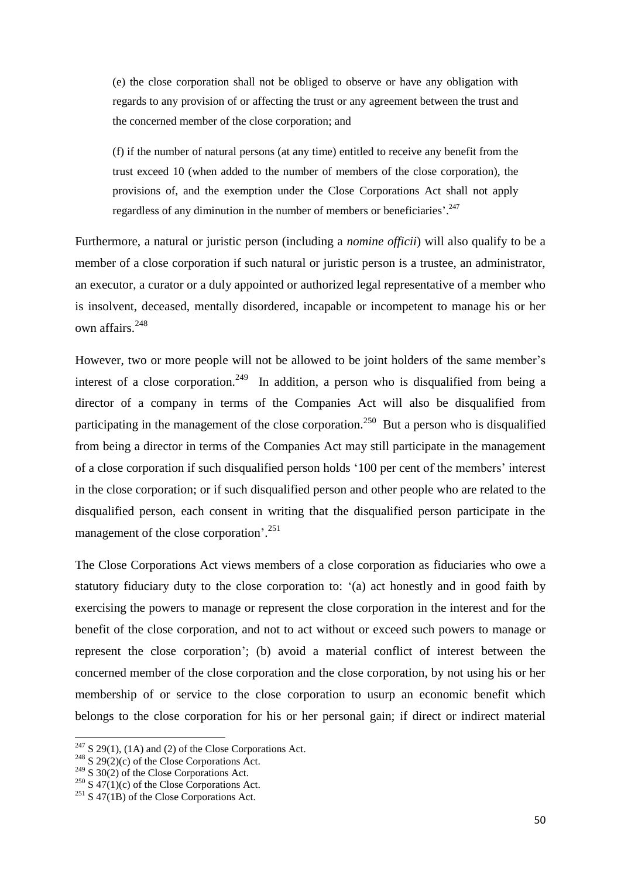(e) the close corporation shall not be obliged to observe or have any obligation with regards to any provision of or affecting the trust or any agreement between the trust and the concerned member of the close corporation; and

(f) if the number of natural persons (at any time) entitled to receive any benefit from the trust exceed 10 (when added to the number of members of the close corporation), the provisions of, and the exemption under the Close Corporations Act shall not apply regardless of any diminution in the number of members or beneficiaries'.<sup>247</sup>

Furthermore, a natural or juristic person (including a *nomine officii*) will also qualify to be a member of a close corporation if such natural or juristic person is a trustee, an administrator, an executor, a curator or a duly appointed or authorized legal representative of a member who is insolvent, deceased, mentally disordered, incapable or incompetent to manage his or her own affairs.<sup>248</sup>

However, two or more people will not be allowed to be joint holders of the same member's interest of a close corporation.<sup>249</sup> In addition, a person who is disqualified from being a director of a company in terms of the Companies Act will also be disqualified from participating in the management of the close corporation.<sup>250</sup> But a person who is disqualified from being a director in terms of the Companies Act may still participate in the management of a close corporation if such disqualified person holds "100 per cent of the members" interest in the close corporation; or if such disqualified person and other people who are related to the disqualified person, each consent in writing that the disqualified person participate in the management of the close corporation'.<sup>251</sup>

The Close Corporations Act views members of a close corporation as fiduciaries who owe a statutory fiduciary duty to the close corporation to: "(a) act honestly and in good faith by exercising the powers to manage or represent the close corporation in the interest and for the benefit of the close corporation, and not to act without or exceed such powers to manage or represent the close corporation"; (b) avoid a material conflict of interest between the concerned member of the close corporation and the close corporation, by not using his or her membership of or service to the close corporation to usurp an economic benefit which belongs to the close corporation for his or her personal gain; if direct or indirect material

 $2^{47}$  S 29(1), (1A) and (2) of the Close Corporations Act.

 $248$  S 29(2)(c) of the Close Corporations Act.

 $249\overline{\smash{\big)}\ 30(2)}$  of the Close Corporations Act.

<sup>&</sup>lt;sup>250</sup> S 47(1)(c) of the Close Corporations Act.

 $251$  S 47(1B) of the Close Corporations Act.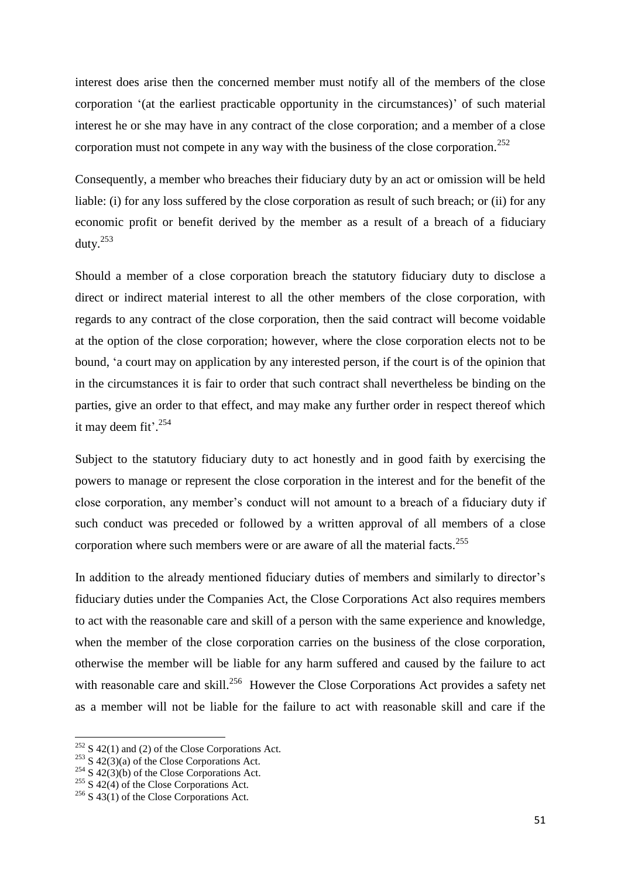interest does arise then the concerned member must notify all of the members of the close corporation "(at the earliest practicable opportunity in the circumstances)" of such material interest he or she may have in any contract of the close corporation; and a member of a close corporation must not compete in any way with the business of the close corporation.<sup>252</sup>

Consequently, a member who breaches their fiduciary duty by an act or omission will be held liable: (i) for any loss suffered by the close corporation as result of such breach; or (ii) for any economic profit or benefit derived by the member as a result of a breach of a fiduciary duty. $^{253}$ 

Should a member of a close corporation breach the statutory fiduciary duty to disclose a direct or indirect material interest to all the other members of the close corporation, with regards to any contract of the close corporation, then the said contract will become voidable at the option of the close corporation; however, where the close corporation elects not to be bound, "a court may on application by any interested person, if the court is of the opinion that in the circumstances it is fair to order that such contract shall nevertheless be binding on the parties, give an order to that effect, and may make any further order in respect thereof which it may deem fit'. $254$ 

Subject to the statutory fiduciary duty to act honestly and in good faith by exercising the powers to manage or represent the close corporation in the interest and for the benefit of the close corporation, any member"s conduct will not amount to a breach of a fiduciary duty if such conduct was preceded or followed by a written approval of all members of a close corporation where such members were or are aware of all the material facts.<sup>255</sup>

In addition to the already mentioned fiduciary duties of members and similarly to director's fiduciary duties under the Companies Act, the Close Corporations Act also requires members to act with the reasonable care and skill of a person with the same experience and knowledge, when the member of the close corporation carries on the business of the close corporation, otherwise the member will be liable for any harm suffered and caused by the failure to act with reasonable care and skill.<sup>256</sup> However the Close Corporations Act provides a safety net as a member will not be liable for the failure to act with reasonable skill and care if the

 $252$  S 42(1) and (2) of the Close Corporations Act.

 $253$  S  $42(3)(a)$  of the Close Corporations Act.

 $254$  S 42(3)(b) of the Close Corporations Act.

 $255$  S 42(4) of the Close Corporations Act.

 $256$  S 43(1) of the Close Corporations Act.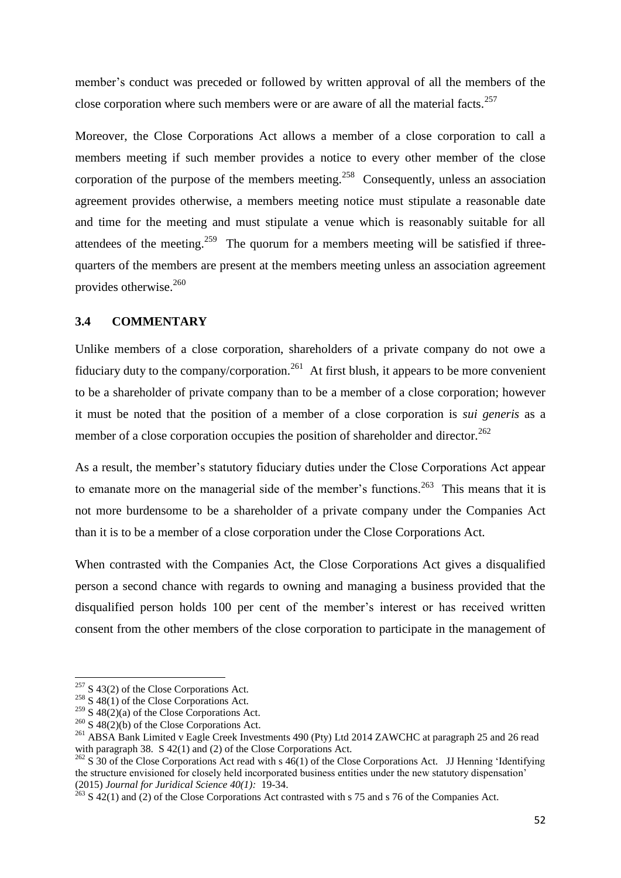member's conduct was preceded or followed by written approval of all the members of the close corporation where such members were or are aware of all the material facts.<sup>257</sup>

Moreover, the Close Corporations Act allows a member of a close corporation to call a members meeting if such member provides a notice to every other member of the close corporation of the purpose of the members meeting.<sup>258</sup> Consequently, unless an association agreement provides otherwise, a members meeting notice must stipulate a reasonable date and time for the meeting and must stipulate a venue which is reasonably suitable for all attendees of the meeting.<sup>259</sup> The quorum for a members meeting will be satisfied if threequarters of the members are present at the members meeting unless an association agreement provides otherwise.<sup>260</sup>

# **3.4 COMMENTARY**

Unlike members of a close corporation, shareholders of a private company do not owe a fiduciary duty to the company/corporation.<sup>261</sup> At first blush, it appears to be more convenient to be a shareholder of private company than to be a member of a close corporation; however it must be noted that the position of a member of a close corporation is *sui generis* as a member of a close corporation occupies the position of shareholder and director.<sup>262</sup>

As a result, the member's statutory fiduciary duties under the Close Corporations Act appear to emanate more on the managerial side of the member's functions.<sup>263</sup> This means that it is not more burdensome to be a shareholder of a private company under the Companies Act than it is to be a member of a close corporation under the Close Corporations Act.

When contrasted with the Companies Act, the Close Corporations Act gives a disqualified person a second chance with regards to owning and managing a business provided that the disqualified person holds 100 per cent of the member"s interest or has received written consent from the other members of the close corporation to participate in the management of

 $257$  S 43(2) of the Close Corporations Act.

 $258$  S 48(1) of the Close Corporations Act.

<sup>&</sup>lt;sup>259</sup> S 48(2)(a) of the Close Corporations Act.

 $260$  S 48(2)(b) of the Close Corporations Act.

<sup>&</sup>lt;sup>261</sup> ABSA Bank Limited v Eagle Creek Investments 490 (Pty) Ltd 2014 ZAWCHC at paragraph 25 and 26 read with paragraph 38. S 42(1) and (2) of the Close Corporations Act.

 $262$  S 30 of the Close Corporations Act read with s  $46(1)$  of the Close Corporations Act. JJ Henning 'Identifying the structure envisioned for closely held incorporated business entities under the new statutory dispensation" (2015) *Journal for Juridical Science 40(1):* 19-34.

<sup>263</sup> S 42(1) and (2) of the Close Corporations Act contrasted with s 75 and s 76 of the Companies Act.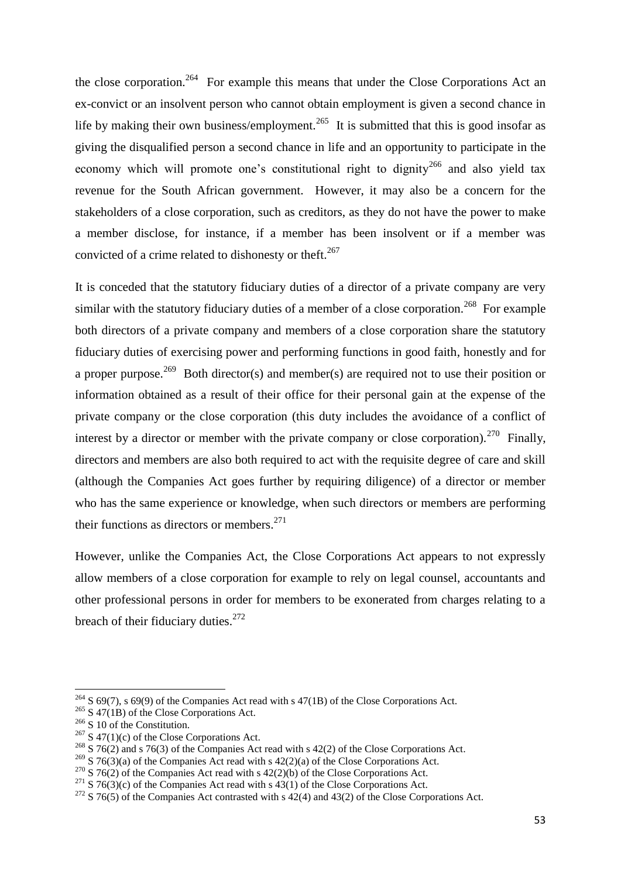the close corporation.<sup>264</sup> For example this means that under the Close Corporations Act an ex-convict or an insolvent person who cannot obtain employment is given a second chance in life by making their own business/employment.<sup>265</sup> It is submitted that this is good insofar as giving the disqualified person a second chance in life and an opportunity to participate in the economy which will promote one's constitutional right to dignity<sup>266</sup> and also yield tax revenue for the South African government. However, it may also be a concern for the stakeholders of a close corporation, such as creditors, as they do not have the power to make a member disclose, for instance, if a member has been insolvent or if a member was convicted of a crime related to dishonesty or theft.<sup>267</sup>

It is conceded that the statutory fiduciary duties of a director of a private company are very similar with the statutory fiduciary duties of a member of a close corporation.<sup>268</sup> For example both directors of a private company and members of a close corporation share the statutory fiduciary duties of exercising power and performing functions in good faith, honestly and for a proper purpose.<sup>269</sup> Both director(s) and member(s) are required not to use their position or information obtained as a result of their office for their personal gain at the expense of the private company or the close corporation (this duty includes the avoidance of a conflict of interest by a director or member with the private company or close corporation).<sup>270</sup> Finally, directors and members are also both required to act with the requisite degree of care and skill (although the Companies Act goes further by requiring diligence) of a director or member who has the same experience or knowledge, when such directors or members are performing their functions as directors or members. $271$ 

However, unlike the Companies Act, the Close Corporations Act appears to not expressly allow members of a close corporation for example to rely on legal counsel, accountants and other professional persons in order for members to be exonerated from charges relating to a breach of their fiduciary duties. $272$ 

 $\overline{a}$ 

 $^{264}$  S 69(7), s 69(9) of the Companies Act read with s 47(1B) of the Close Corporations Act.

 $265$  S 47(1B) of the Close Corporations Act.

 $266$  S 10 of the Constitution.

 $267$  S 47(1)(c) of the Close Corporations Act.

 $^{268}$  S 76(2) and s 76(3) of the Companies Act read with s 42(2) of the Close Corporations Act.

<sup>&</sup>lt;sup>269</sup> S 76(3)(a) of the Companies Act read with s 42(2)(a) of the Close Corporations Act.

 $270$  S 76(2) of the Companies Act read with s 42(2)(b) of the Close Corporations Act.

<sup>&</sup>lt;sup>271</sup> S 76(3)(c) of the Companies Act read with s 43(1) of the Close Corporations Act.

 $272$  S 76(5) of the Companies Act contrasted with s 42(4) and 43(2) of the Close Corporations Act.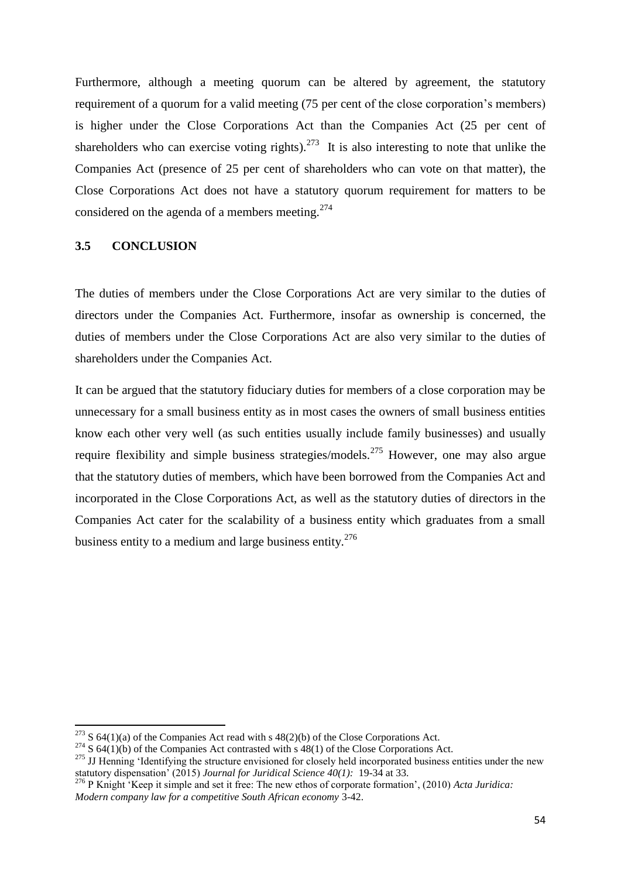Furthermore, although a meeting quorum can be altered by agreement, the statutory requirement of a quorum for a valid meeting (75 per cent of the close corporation"s members) is higher under the Close Corporations Act than the Companies Act (25 per cent of shareholders who can exercise voting rights).<sup>273</sup> It is also interesting to note that unlike the Companies Act (presence of 25 per cent of shareholders who can vote on that matter), the Close Corporations Act does not have a statutory quorum requirement for matters to be considered on the agenda of a members meeting.<sup>274</sup>

# **3.5 CONCLUSION**

1

The duties of members under the Close Corporations Act are very similar to the duties of directors under the Companies Act. Furthermore, insofar as ownership is concerned, the duties of members under the Close Corporations Act are also very similar to the duties of shareholders under the Companies Act.

It can be argued that the statutory fiduciary duties for members of a close corporation may be unnecessary for a small business entity as in most cases the owners of small business entities know each other very well (as such entities usually include family businesses) and usually require flexibility and simple business strategies/models.<sup>275</sup> However, one may also argue that the statutory duties of members, which have been borrowed from the Companies Act and incorporated in the Close Corporations Act, as well as the statutory duties of directors in the Companies Act cater for the scalability of a business entity which graduates from a small business entity to a medium and large business entity. $276$ 

<sup>&</sup>lt;sup>273</sup> S 64(1)(a) of the Companies Act read with s 48(2)(b) of the Close Corporations Act.

 $274$  S 64(1)(b) of the Companies Act contrasted with s 48(1) of the Close Corporations Act.

<sup>&</sup>lt;sup>275</sup> JJ Henning 'Identifying the structure envisioned for closely held incorporated business entities under the new statutory dispensation" (2015) *Journal for Juridical Science 40(1):* 19-34 at 33.

<sup>&</sup>lt;sup>276</sup> P Knight 'Keep it simple and set it free: The new ethos of corporate formation', (2010) *Acta Juridica*: *Modern company law for a competitive South African economy* 3-42.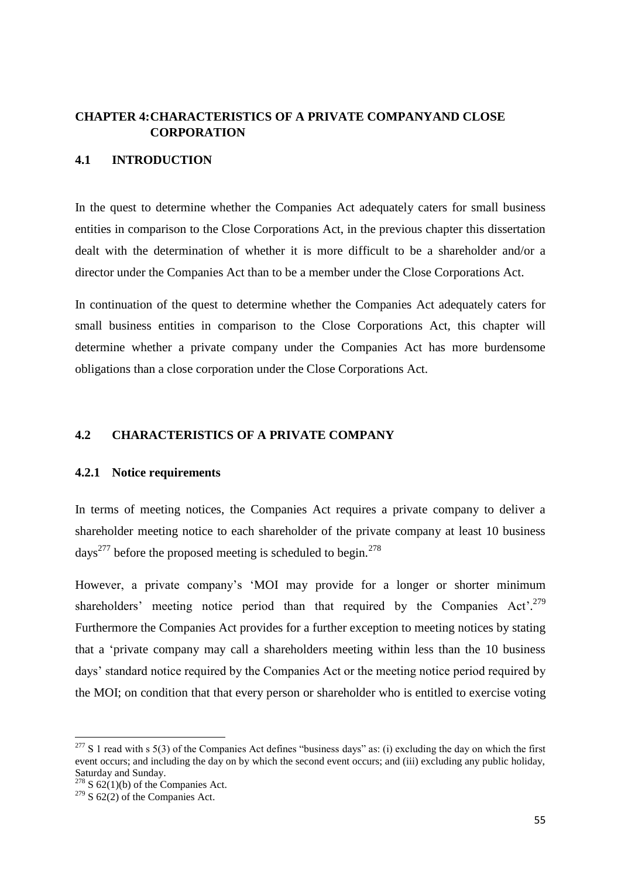# **CHAPTER 4:CHARACTERISTICS OF A PRIVATE COMPANYAND CLOSE CORPORATION**

## **4.1 INTRODUCTION**

In the quest to determine whether the Companies Act adequately caters for small business entities in comparison to the Close Corporations Act, in the previous chapter this dissertation dealt with the determination of whether it is more difficult to be a shareholder and/or a director under the Companies Act than to be a member under the Close Corporations Act.

In continuation of the quest to determine whether the Companies Act adequately caters for small business entities in comparison to the Close Corporations Act, this chapter will determine whether a private company under the Companies Act has more burdensome obligations than a close corporation under the Close Corporations Act.

# **4.2 CHARACTERISTICS OF A PRIVATE COMPANY**

#### **4.2.1 Notice requirements**

In terms of meeting notices, the Companies Act requires a private company to deliver a shareholder meeting notice to each shareholder of the private company at least 10 business days<sup>277</sup> before the proposed meeting is scheduled to begin.<sup>278</sup>

However, a private company's 'MOI may provide for a longer or shorter minimum shareholders' meeting notice period than that required by the Companies Act'.<sup>279</sup> Furthermore the Companies Act provides for a further exception to meeting notices by stating that a "private company may call a shareholders meeting within less than the 10 business days" standard notice required by the Companies Act or the meeting notice period required by the MOI; on condition that that every person or shareholder who is entitled to exercise voting

 $277$  S 1 read with s 5(3) of the Companies Act defines "business days" as: (i) excluding the day on which the first event occurs; and including the day on by which the second event occurs; and (iii) excluding any public holiday, Saturday and Sunday.

 $278$  S 62(1)(b) of the Companies Act.

 $279$  S 62(2) of the Companies Act.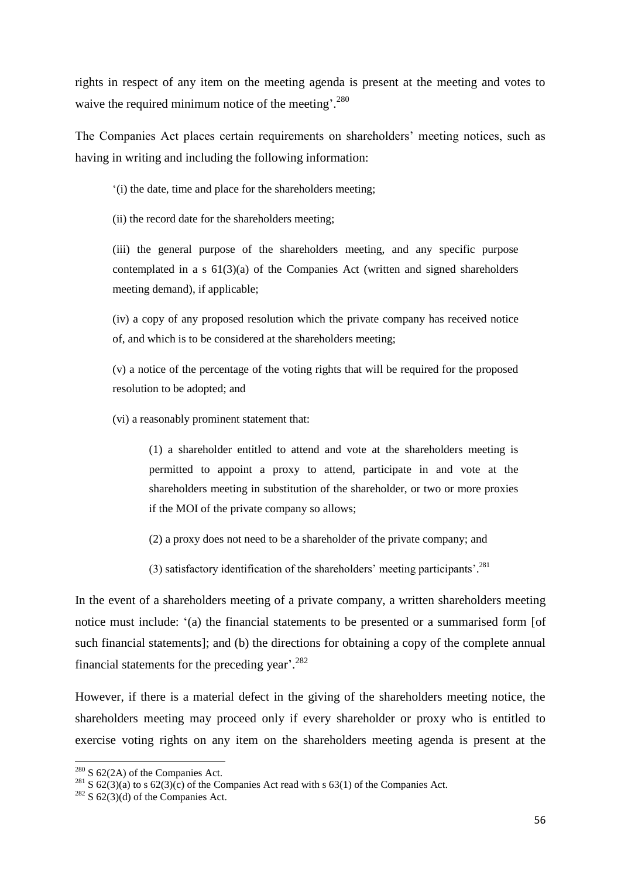rights in respect of any item on the meeting agenda is present at the meeting and votes to waive the required minimum notice of the meeting'.<sup>280</sup>

The Companies Act places certain requirements on shareholders' meeting notices, such as having in writing and including the following information:

"(i) the date, time and place for the shareholders meeting;

(ii) the record date for the shareholders meeting;

(iii) the general purpose of the shareholders meeting, and any specific purpose contemplated in a  $s \frac{61}{3}$ (a) of the Companies Act (written and signed shareholders meeting demand), if applicable;

(iv) a copy of any proposed resolution which the private company has received notice of, and which is to be considered at the shareholders meeting;

(v) a notice of the percentage of the voting rights that will be required for the proposed resolution to be adopted; and

(vi) a reasonably prominent statement that:

(1) a shareholder entitled to attend and vote at the shareholders meeting is permitted to appoint a proxy to attend, participate in and vote at the shareholders meeting in substitution of the shareholder, or two or more proxies if the MOI of the private company so allows;

- (2) a proxy does not need to be a shareholder of the private company; and
- (3) satisfactory identification of the shareholders' meeting participants'.<sup>281</sup>

In the event of a shareholders meeting of a private company, a written shareholders meeting notice must include: "(a) the financial statements to be presented or a summarised form [of such financial statements]; and (b) the directions for obtaining a copy of the complete annual financial statements for the preceding year'. $282$ 

However, if there is a material defect in the giving of the shareholders meeting notice, the shareholders meeting may proceed only if every shareholder or proxy who is entitled to exercise voting rights on any item on the shareholders meeting agenda is present at the

1

 $280$  S 62(2A) of the Companies Act.

 $281$  S 62(3)(a) to s 62(3)(c) of the Companies Act read with s 63(1) of the Companies Act.

 $282$  S 62(3)(d) of the Companies Act.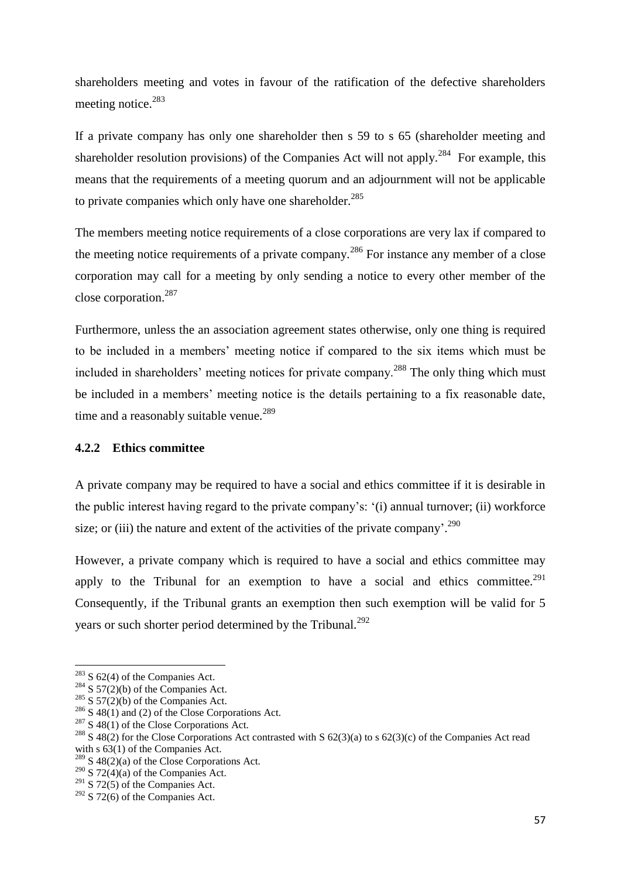shareholders meeting and votes in favour of the ratification of the defective shareholders meeting notice.<sup>283</sup>

If a private company has only one shareholder then s 59 to s 65 (shareholder meeting and shareholder resolution provisions) of the Companies Act will not apply.<sup>284</sup> For example, this means that the requirements of a meeting quorum and an adjournment will not be applicable to private companies which only have one shareholder. $285$ 

The members meeting notice requirements of a close corporations are very lax if compared to the meeting notice requirements of a private company.<sup>286</sup> For instance any member of a close corporation may call for a meeting by only sending a notice to every other member of the close corporation.<sup>287</sup>

Furthermore, unless the an association agreement states otherwise, only one thing is required to be included in a members" meeting notice if compared to the six items which must be included in shareholders' meeting notices for private company.<sup>288</sup> The only thing which must be included in a members' meeting notice is the details pertaining to a fix reasonable date, time and a reasonably suitable venue.<sup>289</sup>

#### **4.2.2 Ethics committee**

A private company may be required to have a social and ethics committee if it is desirable in the public interest having regard to the private company"s: "(i) annual turnover; (ii) workforce size; or (iii) the nature and extent of the activities of the private company'.<sup>290</sup>

However, a private company which is required to have a social and ethics committee may apply to the Tribunal for an exemption to have a social and ethics committee.<sup>291</sup> Consequently, if the Tribunal grants an exemption then such exemption will be valid for 5 years or such shorter period determined by the Tribunal.<sup>292</sup>

 $283$  S 62(4) of the Companies Act.

<sup>&</sup>lt;sup>284</sup> S 57(2)(b) of the Companies Act.

<sup>&</sup>lt;sup>285</sup> S 57(2)(b) of the Companies Act.

 $286$  S 48(1) and (2) of the Close Corporations Act.

 $287$  S 48(1) of the Close Corporations Act.

<sup>&</sup>lt;sup>288</sup> S 48(2) for the Close Corporations Act contrasted with S 62(3)(a) to s 62(3)(c) of the Companies Act read with s  $63(1)$  of the Companies Act.

 $289$  S 48(2)(a) of the Close Corporations Act.

 $290\overline{S}$  72(4)(a) of the Companies Act.

 $291$  S 72(5) of the Companies Act.

 $292$  S 72(6) of the Companies Act.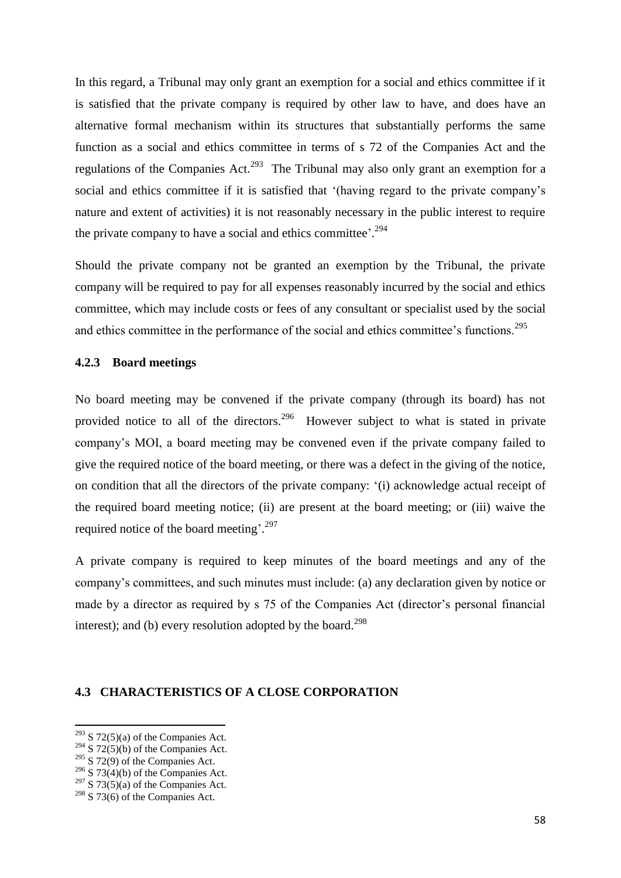In this regard, a Tribunal may only grant an exemption for a social and ethics committee if it is satisfied that the private company is required by other law to have, and does have an alternative formal mechanism within its structures that substantially performs the same function as a social and ethics committee in terms of s 72 of the Companies Act and the regulations of the Companies Act.<sup>293</sup> The Tribunal may also only grant an exemption for a social and ethics committee if it is satisfied that '(having regard to the private company's nature and extent of activities) it is not reasonably necessary in the public interest to require the private company to have a social and ethics committee'. $294$ 

Should the private company not be granted an exemption by the Tribunal, the private company will be required to pay for all expenses reasonably incurred by the social and ethics committee, which may include costs or fees of any consultant or specialist used by the social and ethics committee in the performance of the social and ethics committee's functions.<sup>295</sup>

#### **4.2.3 Board meetings**

No board meeting may be convened if the private company (through its board) has not provided notice to all of the directors.<sup>296</sup> However subject to what is stated in private company"s MOI, a board meeting may be convened even if the private company failed to give the required notice of the board meeting, or there was a defect in the giving of the notice, on condition that all the directors of the private company: "(i) acknowledge actual receipt of the required board meeting notice; (ii) are present at the board meeting; or (iii) waive the required notice of the board meeting'.<sup>297</sup>

A private company is required to keep minutes of the board meetings and any of the company"s committees, and such minutes must include: (a) any declaration given by notice or made by a director as required by s 75 of the Companies Act (director's personal financial interest); and (b) every resolution adopted by the board. $^{298}$ 

### **4.3 CHARACTERISTICS OF A CLOSE CORPORATION**

1

 $293$  S 72(5)(a) of the Companies Act.

<sup>&</sup>lt;sup>294</sup> S 72(5)(b) of the Companies Act.

 $295$  S 72(9) of the Companies Act.

<sup>&</sup>lt;sup>296</sup> S 73(4)(b) of the Companies Act.

 $297$  S 73(5)(a) of the Companies Act.

 $298$  S 73(6) of the Companies Act.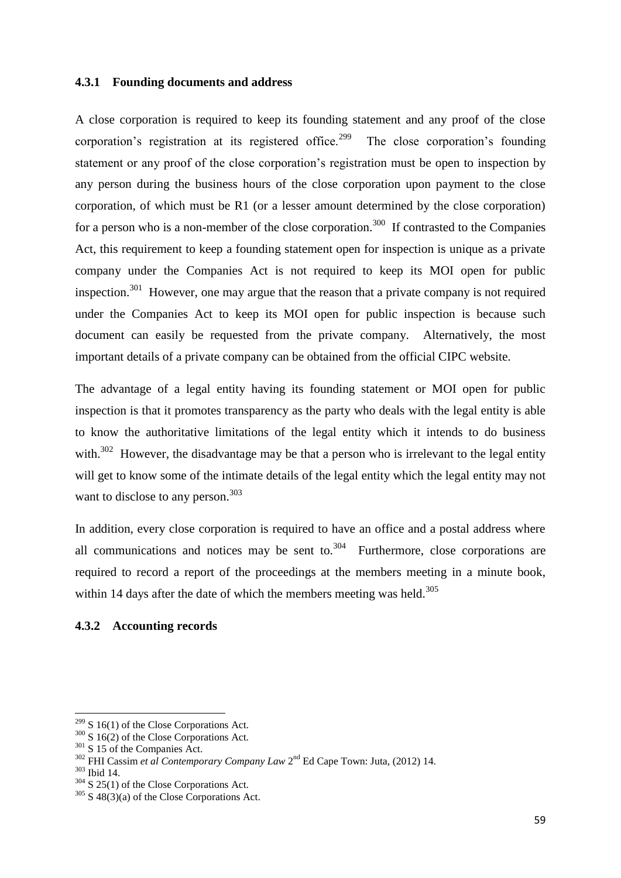#### **4.3.1 Founding documents and address**

A close corporation is required to keep its founding statement and any proof of the close corporation's registration at its registered office.<sup>299</sup> The close corporation's founding statement or any proof of the close corporation"s registration must be open to inspection by any person during the business hours of the close corporation upon payment to the close corporation, of which must be R1 (or a lesser amount determined by the close corporation) for a person who is a non-member of the close corporation.<sup>300</sup> If contrasted to the Companies Act, this requirement to keep a founding statement open for inspection is unique as a private company under the Companies Act is not required to keep its MOI open for public inspection.<sup>301</sup> However, one may argue that the reason that a private company is not required under the Companies Act to keep its MOI open for public inspection is because such document can easily be requested from the private company. Alternatively, the most important details of a private company can be obtained from the official CIPC website.

The advantage of a legal entity having its founding statement or MOI open for public inspection is that it promotes transparency as the party who deals with the legal entity is able to know the authoritative limitations of the legal entity which it intends to do business with. $302$  However, the disadvantage may be that a person who is irrelevant to the legal entity will get to know some of the intimate details of the legal entity which the legal entity may not want to disclose to any person.<sup>303</sup>

In addition, every close corporation is required to have an office and a postal address where all communications and notices may be sent to.<sup>304</sup> Furthermore, close corporations are required to record a report of the proceedings at the members meeting in a minute book, within 14 days after the date of which the members meeting was held.<sup>305</sup>

## **4.3.2 Accounting records**

 $299$  S 16(1) of the Close Corporations Act.

 $300\,$  S 16(2) of the Close Corporations Act.

<sup>&</sup>lt;sup>301</sup> S 15 of the Companies Act.

<sup>&</sup>lt;sup>302</sup> FHI Cassim *et al Contemporary Company Law* 2<sup>nd</sup> Ed Cape Town: Juta, (2012) 14.

<sup>303</sup> Ibid 14.

<sup>&</sup>lt;sup>304</sup> S 25(1) of the Close Corporations Act.

 $305$  S 48(3)(a) of the Close Corporations Act.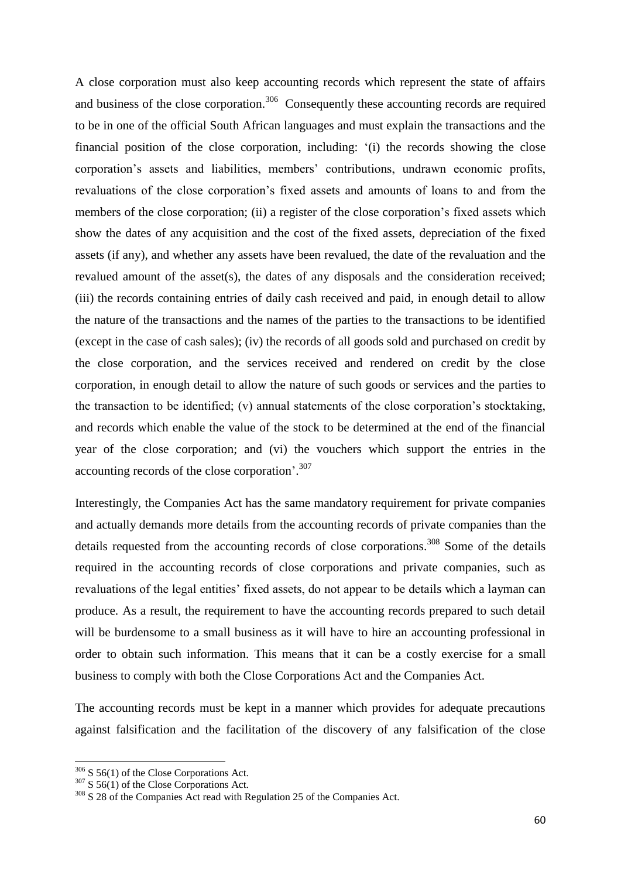A close corporation must also keep accounting records which represent the state of affairs and business of the close corporation.<sup>306</sup> Consequently these accounting records are required to be in one of the official South African languages and must explain the transactions and the financial position of the close corporation, including: "(i) the records showing the close corporation"s assets and liabilities, members" contributions, undrawn economic profits, revaluations of the close corporation"s fixed assets and amounts of loans to and from the members of the close corporation; (ii) a register of the close corporation's fixed assets which show the dates of any acquisition and the cost of the fixed assets, depreciation of the fixed assets (if any), and whether any assets have been revalued, the date of the revaluation and the revalued amount of the asset(s), the dates of any disposals and the consideration received; (iii) the records containing entries of daily cash received and paid, in enough detail to allow the nature of the transactions and the names of the parties to the transactions to be identified (except in the case of cash sales); (iv) the records of all goods sold and purchased on credit by the close corporation, and the services received and rendered on credit by the close corporation, in enough detail to allow the nature of such goods or services and the parties to the transaction to be identified; (v) annual statements of the close corporation"s stocktaking, and records which enable the value of the stock to be determined at the end of the financial year of the close corporation; and (vi) the vouchers which support the entries in the accounting records of the close corporation'.<sup>307</sup>

Interestingly, the Companies Act has the same mandatory requirement for private companies and actually demands more details from the accounting records of private companies than the details requested from the accounting records of close corporations.<sup>308</sup> Some of the details required in the accounting records of close corporations and private companies, such as revaluations of the legal entities' fixed assets, do not appear to be details which a layman can produce. As a result, the requirement to have the accounting records prepared to such detail will be burdensome to a small business as it will have to hire an accounting professional in order to obtain such information. This means that it can be a costly exercise for a small business to comply with both the Close Corporations Act and the Companies Act.

The accounting records must be kept in a manner which provides for adequate precautions against falsification and the facilitation of the discovery of any falsification of the close

1

 $306$  S 56(1) of the Close Corporations Act.

 $307 \times 56(1)$  of the Close Corporations Act.

<sup>&</sup>lt;sup>308</sup> S 28 of the Companies Act read with Regulation 25 of the Companies Act.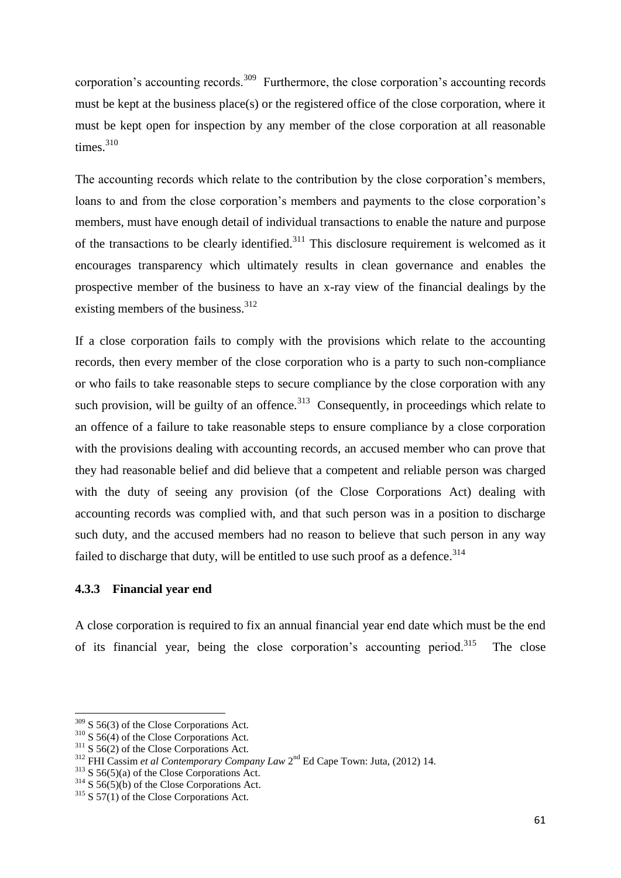corporation's accounting records.<sup>309</sup> Furthermore, the close corporation's accounting records must be kept at the business place(s) or the registered office of the close corporation, where it must be kept open for inspection by any member of the close corporation at all reasonable times.<sup>310</sup>

The accounting records which relate to the contribution by the close corporation"s members, loans to and from the close corporation's members and payments to the close corporation's members, must have enough detail of individual transactions to enable the nature and purpose of the transactions to be clearly identified.<sup>311</sup> This disclosure requirement is welcomed as it encourages transparency which ultimately results in clean governance and enables the prospective member of the business to have an x-ray view of the financial dealings by the existing members of the business.  $312$ 

If a close corporation fails to comply with the provisions which relate to the accounting records, then every member of the close corporation who is a party to such non-compliance or who fails to take reasonable steps to secure compliance by the close corporation with any such provision, will be guilty of an offence.<sup>313</sup> Consequently, in proceedings which relate to an offence of a failure to take reasonable steps to ensure compliance by a close corporation with the provisions dealing with accounting records, an accused member who can prove that they had reasonable belief and did believe that a competent and reliable person was charged with the duty of seeing any provision (of the Close Corporations Act) dealing with accounting records was complied with, and that such person was in a position to discharge such duty, and the accused members had no reason to believe that such person in any way failed to discharge that duty, will be entitled to use such proof as a defence.<sup>314</sup>

# **4.3.3 Financial year end**

A close corporation is required to fix an annual financial year end date which must be the end of its financial year, being the close corporation's accounting period.<sup>315</sup> The close

 $309$  S 56(3) of the Close Corporations Act.

 $310$  S 56(4) of the Close Corporations Act.

 $311$  S 56(2) of the Close Corporations Act.

<sup>&</sup>lt;sup>312</sup> FHI Cassim et al Contemporary Company Law 2<sup>nd</sup> Ed Cape Town: Juta, (2012) 14.

 $313$  S 56(5)(a) of the Close Corporations Act.

 $314$  S  $56(5)(b)$  of the Close Corporations Act.

 $315$  S 57(1) of the Close Corporations Act.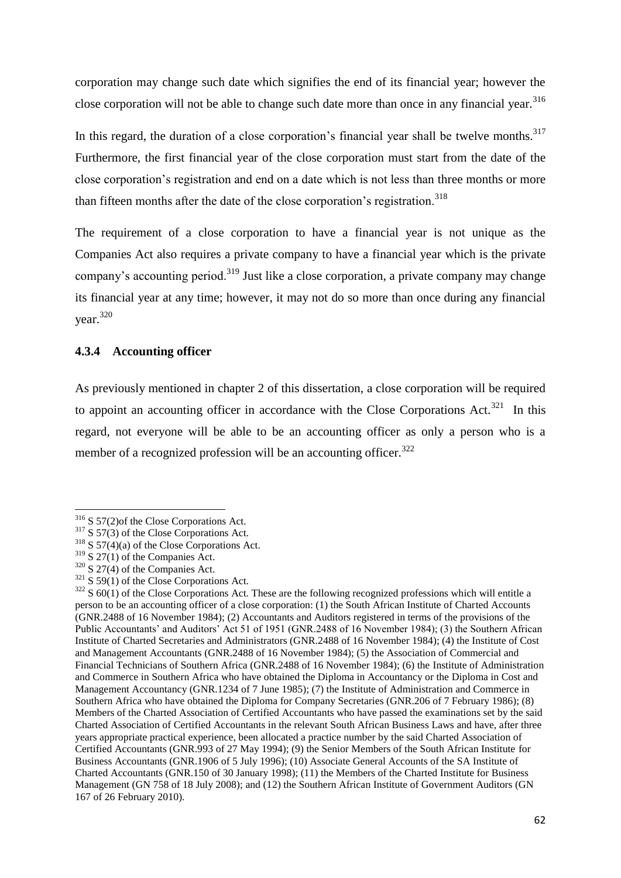corporation may change such date which signifies the end of its financial year; however the close corporation will not be able to change such date more than once in any financial year.<sup>316</sup>

In this regard, the duration of a close corporation's financial year shall be twelve months. $317$ Furthermore, the first financial year of the close corporation must start from the date of the close corporation"s registration and end on a date which is not less than three months or more than fifteen months after the date of the close corporation's registration.<sup>318</sup>

The requirement of a close corporation to have a financial year is not unique as the Companies Act also requires a private company to have a financial year which is the private company's accounting period.<sup>319</sup> Just like a close corporation, a private company may change its financial year at any time; however, it may not do so more than once during any financial year.<sup>320</sup>

### **4.3.4 Accounting officer**

As previously mentioned in chapter 2 of this dissertation, a close corporation will be required to appoint an accounting officer in accordance with the Close Corporations Act.<sup>321</sup> In this regard, not everyone will be able to be an accounting officer as only a person who is a member of a recognized profession will be an accounting officer.<sup>322</sup>

<sup>&</sup>lt;sup>316</sup> S 57(2)of the Close Corporations Act.

 $317$  S 57(3) of the Close Corporations Act.

 $318$  S 57(4)(a) of the Close Corporations Act.

 $319$  S 27(1) of the Companies Act.

 $320$  S 27(4) of the Companies Act.

 $321$  S 59(1) of the Close Corporations Act.

 $322$  S 60(1) of the Close Corporations Act. These are the following recognized professions which will entitle a person to be an accounting officer of a close corporation: (1) the South African Institute of Charted Accounts (GNR.2488 of 16 November 1984); (2) Accountants and Auditors registered in terms of the provisions of the Public Accountants" and Auditors" Act 51 of 1951 (GNR.2488 of 16 November 1984); (3) the Southern African Institute of Charted Secretaries and Administrators (GNR.2488 of 16 November 1984); (4) the Institute of Cost and Management Accountants (GNR.2488 of 16 November 1984); (5) the Association of Commercial and Financial Technicians of Southern Africa (GNR.2488 of 16 November 1984); (6) the Institute of Administration and Commerce in Southern Africa who have obtained the Diploma in Accountancy or the Diploma in Cost and Management Accountancy (GNR.1234 of 7 June 1985); (7) the Institute of Administration and Commerce in Southern Africa who have obtained the Diploma for Company Secretaries (GNR.206 of 7 February 1986); (8) Members of the Charted Association of Certified Accountants who have passed the examinations set by the said Charted Association of Certified Accountants in the relevant South African Business Laws and have, after three years appropriate practical experience, been allocated a practice number by the said Charted Association of Certified Accountants (GNR.993 of 27 May 1994); (9) the Senior Members of the South African Institute for Business Accountants (GNR.1906 of 5 July 1996); (10) Associate General Accounts of the SA Institute of Charted Accountants (GNR.150 of 30 January 1998); (11) the Members of the Charted Institute for Business Management (GN 758 of 18 July 2008); and (12) the Southern African Institute of Government Auditors (GN 167 of 26 February 2010).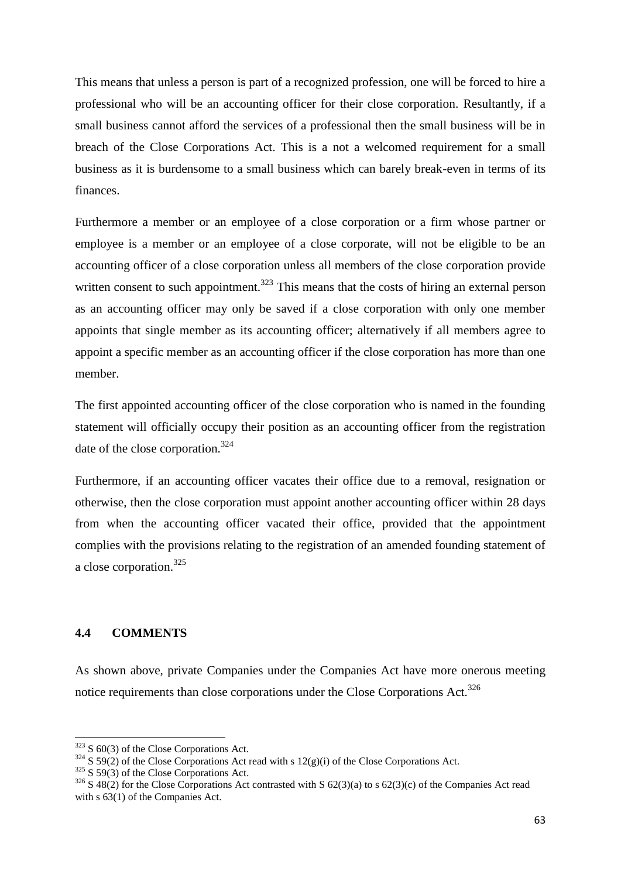This means that unless a person is part of a recognized profession, one will be forced to hire a professional who will be an accounting officer for their close corporation. Resultantly, if a small business cannot afford the services of a professional then the small business will be in breach of the Close Corporations Act. This is a not a welcomed requirement for a small business as it is burdensome to a small business which can barely break-even in terms of its finances.

Furthermore a member or an employee of a close corporation or a firm whose partner or employee is a member or an employee of a close corporate, will not be eligible to be an accounting officer of a close corporation unless all members of the close corporation provide written consent to such appointment.<sup>323</sup> This means that the costs of hiring an external person as an accounting officer may only be saved if a close corporation with only one member appoints that single member as its accounting officer; alternatively if all members agree to appoint a specific member as an accounting officer if the close corporation has more than one member.

The first appointed accounting officer of the close corporation who is named in the founding statement will officially occupy their position as an accounting officer from the registration date of the close corporation.<sup>324</sup>

Furthermore, if an accounting officer vacates their office due to a removal, resignation or otherwise, then the close corporation must appoint another accounting officer within 28 days from when the accounting officer vacated their office, provided that the appointment complies with the provisions relating to the registration of an amended founding statement of a close corporation.<sup>325</sup>

# **4.4 COMMENTS**

**.** 

As shown above, private Companies under the Companies Act have more onerous meeting notice requirements than close corporations under the Close Corporations Act.<sup>326</sup>

 $323$  S 60(3) of the Close Corporations Act.

 $324$  S 59(2) of the Close Corporations Act read with s 12(g)(i) of the Close Corporations Act.

 $325$  S 59(3) of the Close Corporations Act.

 $326$  S 48(2) for the Close Corporations Act contrasted with S 62(3)(a) to s 62(3)(c) of the Companies Act read with s 63(1) of the Companies Act.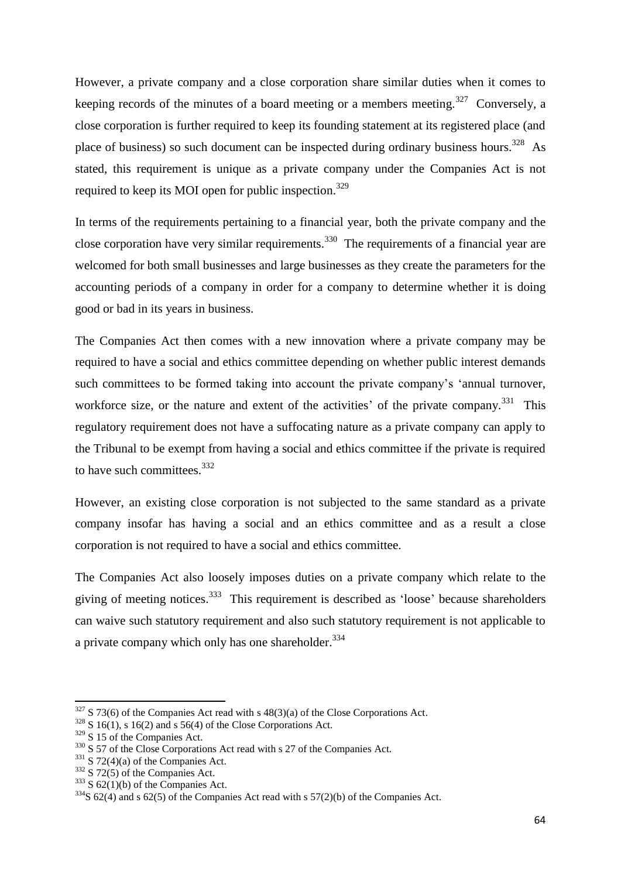However, a private company and a close corporation share similar duties when it comes to keeping records of the minutes of a board meeting or a members meeting.<sup>327</sup> Conversely, a close corporation is further required to keep its founding statement at its registered place (and place of business) so such document can be inspected during ordinary business hours.<sup>328</sup> As stated, this requirement is unique as a private company under the Companies Act is not required to keep its MOI open for public inspection.<sup>329</sup>

In terms of the requirements pertaining to a financial year, both the private company and the close corporation have very similar requirements.<sup>330</sup> The requirements of a financial year are welcomed for both small businesses and large businesses as they create the parameters for the accounting periods of a company in order for a company to determine whether it is doing good or bad in its years in business.

The Companies Act then comes with a new innovation where a private company may be required to have a social and ethics committee depending on whether public interest demands such committees to be formed taking into account the private company's 'annual turnover, workforce size, or the nature and extent of the activities' of the private company.<sup>331</sup> This regulatory requirement does not have a suffocating nature as a private company can apply to the Tribunal to be exempt from having a social and ethics committee if the private is required to have such committees.<sup>332</sup>

However, an existing close corporation is not subjected to the same standard as a private company insofar has having a social and an ethics committee and as a result a close corporation is not required to have a social and ethics committee.

The Companies Act also loosely imposes duties on a private company which relate to the giving of meeting notices.<sup>333</sup> This requirement is described as 'loose' because shareholders can waive such statutory requirement and also such statutory requirement is not applicable to a private company which only has one shareholder.<sup>334</sup>

 $327$  S 73(6) of the Companies Act read with s 48(3)(a) of the Close Corporations Act.

 $328$  S 16(1), s 16(2) and s 56(4) of the Close Corporations Act.

<sup>&</sup>lt;sup>329</sup> S 15 of the Companies Act.

<sup>&</sup>lt;sup>330</sup> S 57 of the Close Corporations Act read with s 27 of the Companies Act.

 $331$  S 72(4)(a) of the Companies Act.

 $332$  S 72(5) of the Companies Act.

 $333$  S 62(1)(b) of the Companies Act.

 $334$ S 62(4) and s 62(5) of the Companies Act read with s 57(2)(b) of the Companies Act.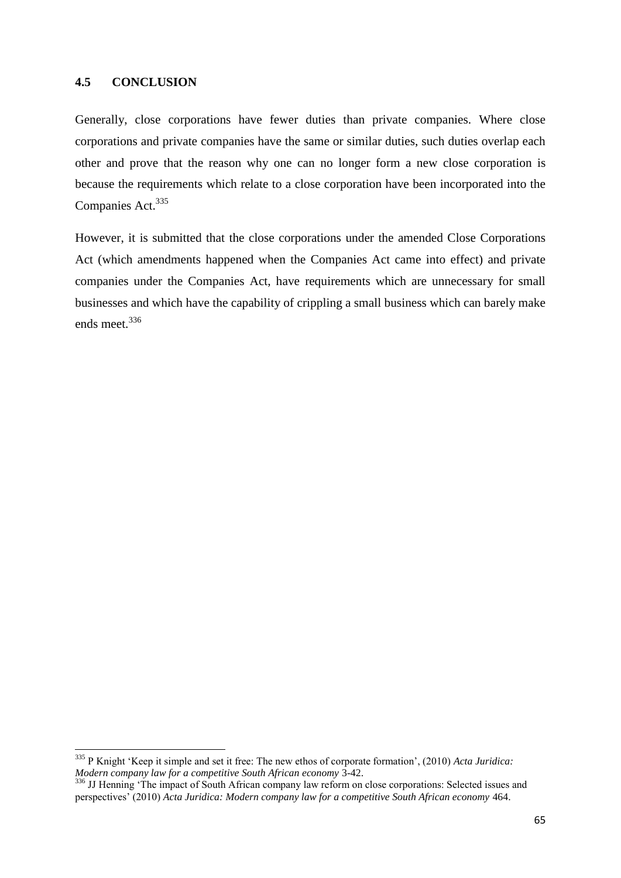**.** 

Generally, close corporations have fewer duties than private companies. Where close corporations and private companies have the same or similar duties, such duties overlap each other and prove that the reason why one can no longer form a new close corporation is because the requirements which relate to a close corporation have been incorporated into the Companies Act.<sup>335</sup>

However, it is submitted that the close corporations under the amended Close Corporations Act (which amendments happened when the Companies Act came into effect) and private companies under the Companies Act, have requirements which are unnecessary for small businesses and which have the capability of crippling a small business which can barely make ends meet.<sup>336</sup>

<sup>335</sup> P Knight "Keep it simple and set it free: The new ethos of corporate formation", (2010) *Acta Juridica: Modern company law for a competitive South African economy* 3-42.

<sup>&</sup>lt;sup>336</sup> JJ Henning 'The impact of South African company law reform on close corporations: Selected issues and perspectives" (2010) *Acta Juridica: Modern company law for a competitive South African economy* 464.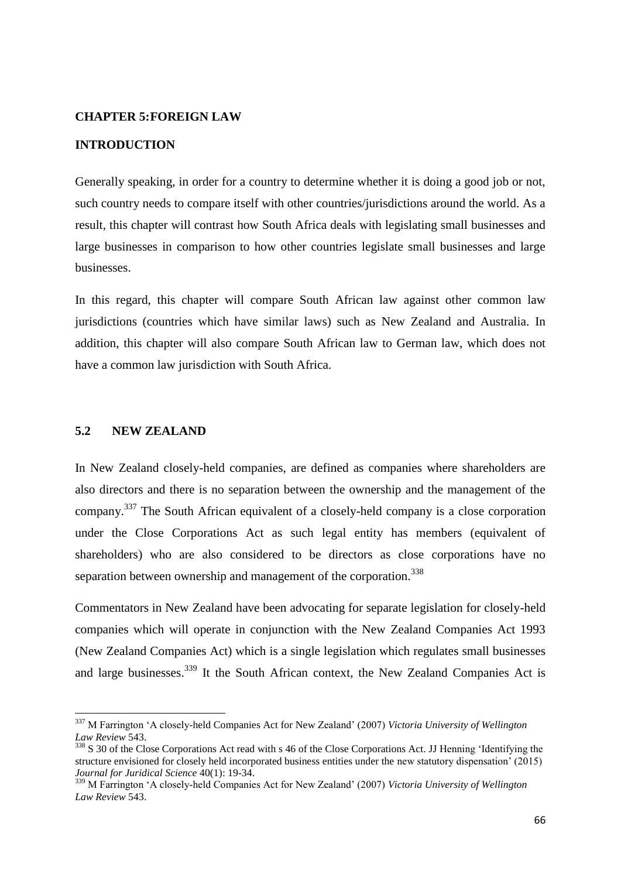#### **CHAPTER 5:FOREIGN LAW**

# **INTRODUCTION**

Generally speaking, in order for a country to determine whether it is doing a good job or not, such country needs to compare itself with other countries/jurisdictions around the world. As a result, this chapter will contrast how South Africa deals with legislating small businesses and large businesses in comparison to how other countries legislate small businesses and large businesses.

In this regard, this chapter will compare South African law against other common law jurisdictions (countries which have similar laws) such as New Zealand and Australia. In addition, this chapter will also compare South African law to German law, which does not have a common law jurisdiction with South Africa.

## **5.2 NEW ZEALAND**

**.** 

In New Zealand closely-held companies, are defined as companies where shareholders are also directors and there is no separation between the ownership and the management of the company.<sup>337</sup> The South African equivalent of a closely-held company is a close corporation under the Close Corporations Act as such legal entity has members (equivalent of shareholders) who are also considered to be directors as close corporations have no separation between ownership and management of the corporation.<sup>338</sup>

Commentators in New Zealand have been advocating for separate legislation for closely-held companies which will operate in conjunction with the New Zealand Companies Act 1993 (New Zealand Companies Act) which is a single legislation which regulates small businesses and large businesses.<sup>339</sup> It the South African context, the New Zealand Companies Act is

<sup>337</sup> M Farrington "A closely-held Companies Act for New Zealand" (2007) *Victoria University of Wellington Law Review* 543.

<sup>&</sup>lt;sup>338</sup> S 30 of the Close Corporations Act read with s 46 of the Close Corporations Act. JJ Henning 'Identifying the structure envisioned for closely held incorporated business entities under the new statutory dispensation" (2015) *Journal for Juridical Science* 40(1): 19-34.

<sup>339</sup> M Farrington "A closely-held Companies Act for New Zealand" (2007) *Victoria University of Wellington Law Review* 543.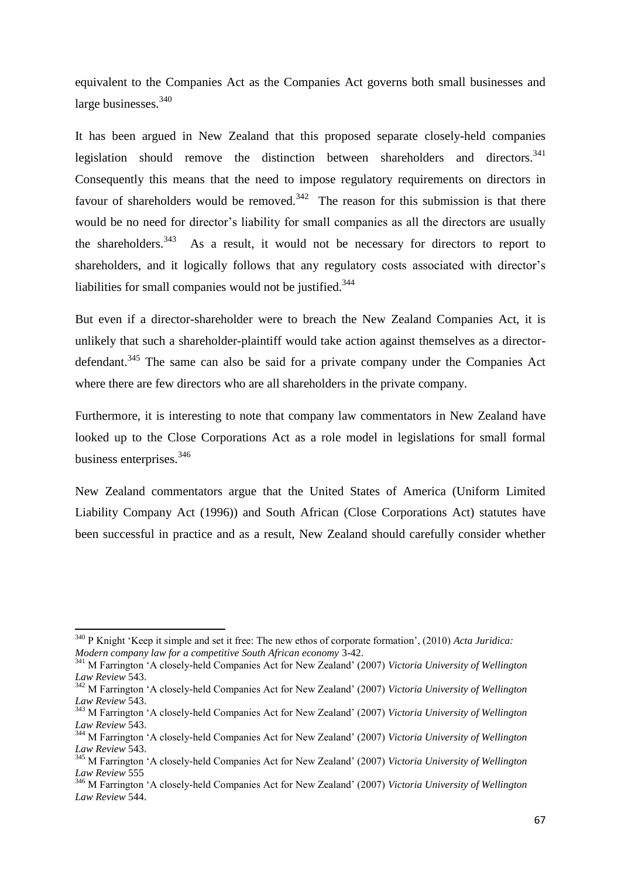equivalent to the Companies Act as the Companies Act governs both small businesses and large businesses.<sup>340</sup>

It has been argued in New Zealand that this proposed separate closely-held companies legislation should remove the distinction between shareholders and directors.<sup>341</sup> Consequently this means that the need to impose regulatory requirements on directors in favour of shareholders would be removed.<sup>342</sup> The reason for this submission is that there would be no need for director's liability for small companies as all the directors are usually the shareholders.<sup>343</sup> As a result, it would not be necessary for directors to report to shareholders, and it logically follows that any regulatory costs associated with director's liabilities for small companies would not be justified.<sup>344</sup>

But even if a director-shareholder were to breach the New Zealand Companies Act, it is unlikely that such a shareholder-plaintiff would take action against themselves as a directordefendant.<sup>345</sup> The same can also be said for a private company under the Companies Act where there are few directors who are all shareholders in the private company.

Furthermore, it is interesting to note that company law commentators in New Zealand have looked up to the Close Corporations Act as a role model in legislations for small formal business enterprises.<sup>346</sup>

New Zealand commentators argue that the United States of America (Uniform Limited Liability Company Act (1996)) and South African (Close Corporations Act) statutes have been successful in practice and as a result, New Zealand should carefully consider whether

<sup>340</sup> P Knight "Keep it simple and set it free: The new ethos of corporate formation", (2010) *Acta Juridica: Modern company law for a competitive South African economy* 3-42.

<sup>341</sup> M Farrington "A closely-held Companies Act for New Zealand" (2007) *Victoria University of Wellington Law Review* 543.

<sup>342</sup> M Farrington "A closely-held Companies Act for New Zealand" (2007) *Victoria University of Wellington Law Review* 543.

<sup>343</sup> M Farrington "A closely-held Companies Act for New Zealand" (2007) *Victoria University of Wellington Law Review* 543.

<sup>344</sup> M Farrington "A closely-held Companies Act for New Zealand" (2007) *Victoria University of Wellington Law Review* 543.

<sup>345</sup> M Farrington "A closely-held Companies Act for New Zealand" (2007) *Victoria University of Wellington Law Review* 555

<sup>346</sup> M Farrington "A closely-held Companies Act for New Zealand" (2007) *Victoria University of Wellington Law Review* 544.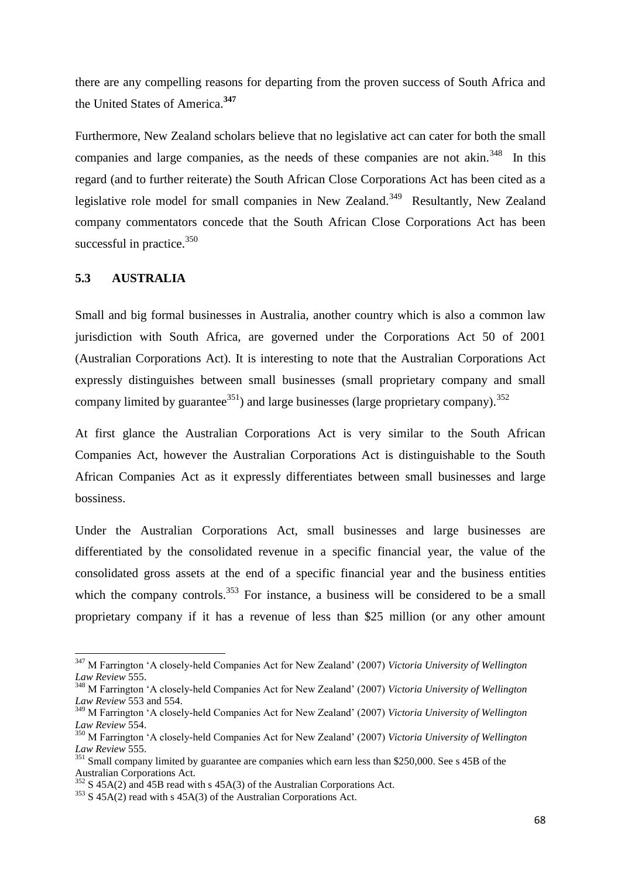there are any compelling reasons for departing from the proven success of South Africa and the United States of America.**<sup>347</sup>**

Furthermore, New Zealand scholars believe that no legislative act can cater for both the small companies and large companies, as the needs of these companies are not akin. $348$  In this regard (and to further reiterate) the South African Close Corporations Act has been cited as a legislative role model for small companies in New Zealand.<sup>349</sup> Resultantly, New Zealand company commentators concede that the South African Close Corporations Act has been successful in practice. $350$ 

### **5.3 AUSTRALIA**

1

Small and big formal businesses in Australia, another country which is also a common law jurisdiction with South Africa, are governed under the Corporations Act 50 of 2001 (Australian Corporations Act). It is interesting to note that the Australian Corporations Act expressly distinguishes between small businesses (small proprietary company and small company limited by guarantee<sup>351</sup>) and large businesses (large proprietary company).<sup>352</sup>

At first glance the Australian Corporations Act is very similar to the South African Companies Act, however the Australian Corporations Act is distinguishable to the South African Companies Act as it expressly differentiates between small businesses and large bossiness.

Under the Australian Corporations Act, small businesses and large businesses are differentiated by the consolidated revenue in a specific financial year, the value of the consolidated gross assets at the end of a specific financial year and the business entities which the company controls.<sup>353</sup> For instance, a business will be considered to be a small proprietary company if it has a revenue of less than \$25 million (or any other amount

<sup>347</sup> M Farrington "A closely-held Companies Act for New Zealand" (2007) *Victoria University of Wellington Law Review* 555.

<sup>348</sup> M Farrington "A closely-held Companies Act for New Zealand" (2007) *Victoria University of Wellington Law Review* 553 and 554.

<sup>349</sup> M Farrington "A closely-held Companies Act for New Zealand" (2007) *Victoria University of Wellington Law Review* 554.

<sup>350</sup> M Farrington "A closely-held Companies Act for New Zealand" (2007) *Victoria University of Wellington Law Review* 555.

<sup>&</sup>lt;sup>351</sup> Small company limited by guarantee are companies which earn less than \$250,000. See s 45B of the Australian Corporations Act.

 $352$  S 45A(2) and 45B read with s 45A(3) of the Australian Corporations Act.

<sup>353</sup> S 45A(2) read with s 45A(3) of the Australian Corporations Act.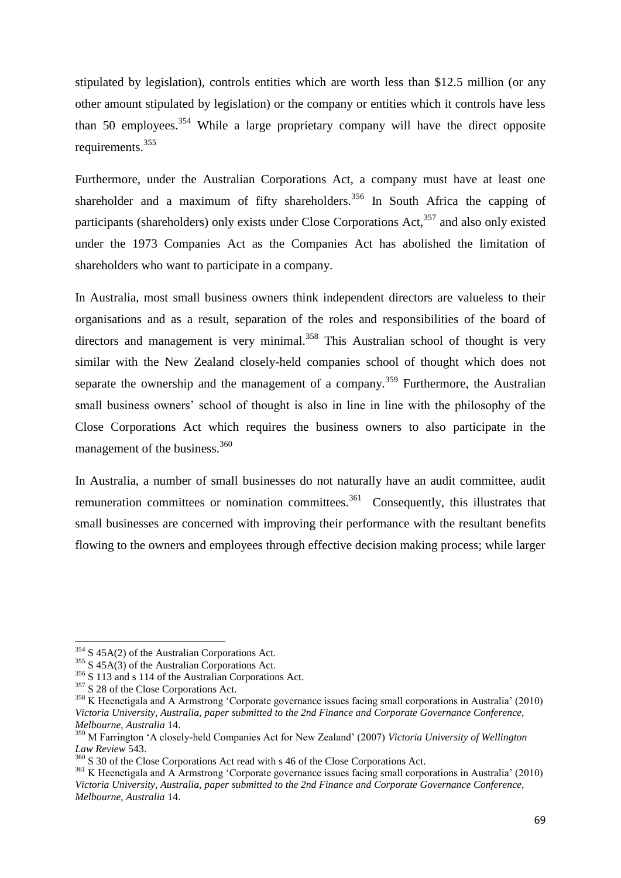stipulated by legislation), controls entities which are worth less than \$12.5 million (or any other amount stipulated by legislation) or the company or entities which it controls have less than 50 employees.<sup>354</sup> While a large proprietary company will have the direct opposite requirements.<sup>355</sup>

Furthermore, under the Australian Corporations Act, a company must have at least one shareholder and a maximum of fifty shareholders.<sup>356</sup> In South Africa the capping of participants (shareholders) only exists under Close Corporations Act, $357$  and also only existed under the 1973 Companies Act as the Companies Act has abolished the limitation of shareholders who want to participate in a company.

In Australia, most small business owners think independent directors are valueless to their organisations and as a result, separation of the roles and responsibilities of the board of directors and management is very minimal.<sup>358</sup> This Australian school of thought is very similar with the New Zealand closely-held companies school of thought which does not separate the ownership and the management of a company.<sup>359</sup> Furthermore, the Australian small business owners' school of thought is also in line in line with the philosophy of the Close Corporations Act which requires the business owners to also participate in the management of the business.<sup>360</sup>

In Australia, a number of small businesses do not naturally have an audit committee, audit remuneration committees or nomination committees.<sup>361</sup> Consequently, this illustrates that small businesses are concerned with improving their performance with the resultant benefits flowing to the owners and employees through effective decision making process; while larger

 $\overline{a}$ 

<sup>&</sup>lt;sup>354</sup> S 45A(2) of the Australian Corporations Act.

 $355$  S 45A(3) of the Australian Corporations Act.

<sup>&</sup>lt;sup>356</sup> S 113 and s 114 of the Australian Corporations Act.

<sup>&</sup>lt;sup>357</sup> S 28 of the Close Corporations Act.

<sup>&</sup>lt;sup>358</sup> K Heenetigala and A Armstrong 'Corporate governance issues facing small corporations in Australia' (2010) *Victoria University, Australia, paper submitted to the 2nd Finance and Corporate Governance Conference, Melbourne, Australia* 14.

<sup>359</sup> M Farrington "A closely-held Companies Act for New Zealand" (2007) *Victoria University of Wellington Law Review* 543.

<sup>&</sup>lt;sup>360</sup> S 30 of the Close Corporations Act read with s 46 of the Close Corporations Act.

<sup>&</sup>lt;sup>361</sup> K Heenetigala and A Armstrong 'Corporate governance issues facing small corporations in Australia' (2010) *Victoria University, Australia, paper submitted to the 2nd Finance and Corporate Governance Conference, Melbourne, Australia* 14.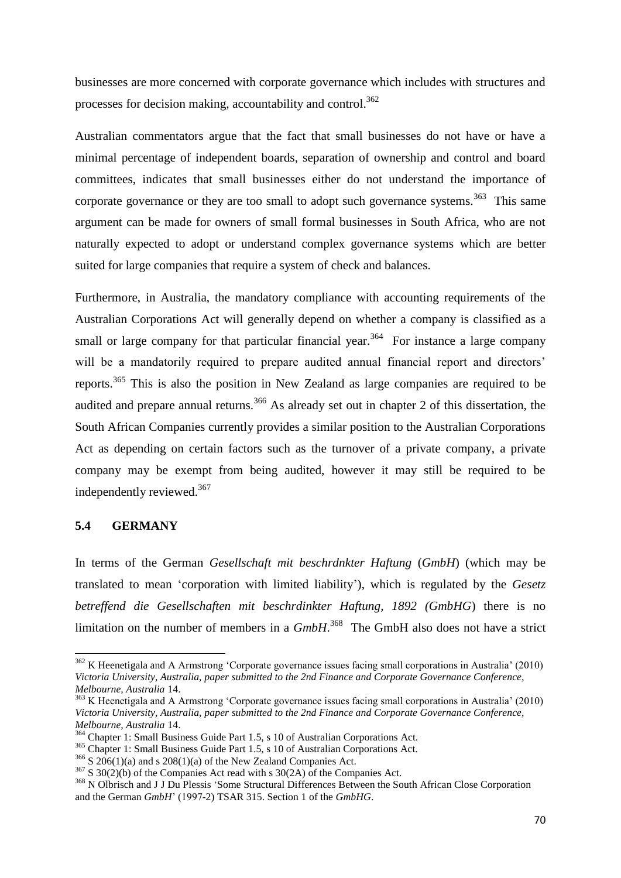businesses are more concerned with corporate governance which includes with structures and processes for decision making, accountability and control.<sup>362</sup>

Australian commentators argue that the fact that small businesses do not have or have a minimal percentage of independent boards, separation of ownership and control and board committees, indicates that small businesses either do not understand the importance of corporate governance or they are too small to adopt such governance systems.<sup>363</sup> This same argument can be made for owners of small formal businesses in South Africa, who are not naturally expected to adopt or understand complex governance systems which are better suited for large companies that require a system of check and balances.

Furthermore, in Australia, the mandatory compliance with accounting requirements of the Australian Corporations Act will generally depend on whether a company is classified as a small or large company for that particular financial year.<sup>364</sup> For instance a large company will be a mandatorily required to prepare audited annual financial report and directors' reports.<sup>365</sup> This is also the position in New Zealand as large companies are required to be audited and prepare annual returns.<sup>366</sup> As already set out in chapter 2 of this dissertation, the South African Companies currently provides a similar position to the Australian Corporations Act as depending on certain factors such as the turnover of a private company, a private company may be exempt from being audited, however it may still be required to be independently reviewed.<sup>367</sup>

# **5.4 GERMANY**

1

In terms of the German *Gesellschaft mit beschrdnkter Haftung* (*GmbH*) (which may be translated to mean "corporation with limited liability"), which is regulated by the *Gesetz betreffend die Gesellschaften mit beschrdinkter Haftung, 1892 (GmbHG*) there is no limitation on the number of members in a *GmbH*. 368 The GmbH also does not have a strict

 $362$  K Heenetigala and A Armstrong 'Corporate governance issues facing small corporations in Australia' (2010) *Victoria University, Australia, paper submitted to the 2nd Finance and Corporate Governance Conference, Melbourne, Australia* 14.

<sup>&</sup>lt;sup>363</sup> K Heenetigala and A Armstrong 'Corporate governance issues facing small corporations in Australia' (2010) *Victoria University, Australia, paper submitted to the 2nd Finance and Corporate Governance Conference, Melbourne, Australia* 14.

<sup>364</sup> Chapter 1: Small Business Guide Part 1.5, s 10 of Australian Corporations Act.

<sup>&</sup>lt;sup>365</sup> Chapter 1: Small Business Guide Part 1.5, s 10 of Australian Corporations Act.

 $366$  S 206(1)(a) and s 208(1)(a) of the New Zealand Companies Act.

 $367$  S 30(2)(b) of the Companies Act read with s 30(2A) of the Companies Act.

<sup>&</sup>lt;sup>368</sup> N Olbrisch and J J Du Plessis 'Some Structural Differences Between the South African Close Corporation and the German *GmbH*" (1997-2) TSAR 315. Section 1 of the *GmbHG*.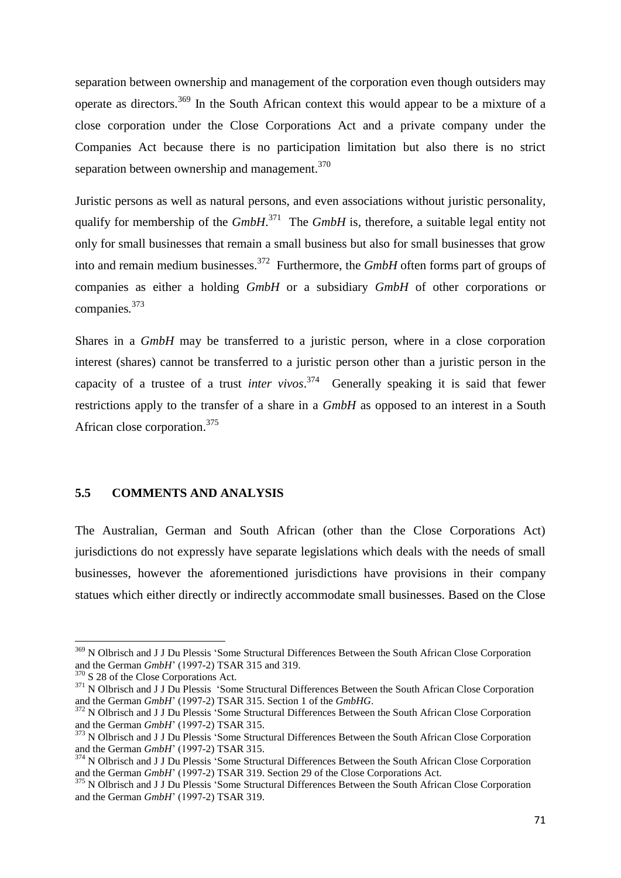separation between ownership and management of the corporation even though outsiders may operate as directors.<sup>369</sup> In the South African context this would appear to be a mixture of a close corporation under the Close Corporations Act and a private company under the Companies Act because there is no participation limitation but also there is no strict separation between ownership and management.<sup>370</sup>

Juristic persons as well as natural persons, and even associations without juristic personality, qualify for membership of the *GmbH*. 371 The *GmbH* is*,* therefore, a suitable legal entity not only for small businesses that remain a small business but also for small businesses that grow into and remain medium businesses.<sup>372</sup> Furthermore, the *GmbH* often forms part of groups of companies as either a holding *GmbH* or a subsidiary *GmbH* of other corporations or companies*.* 373

Shares in a *GmbH* may be transferred to a juristic person, where in a close corporation interest (shares) cannot be transferred to a juristic person other than a juristic person in the capacity of a trustee of a trust *inter vivos*. 374 Generally speaking it is said that fewer restrictions apply to the transfer of a share in a *GmbH* as opposed to an interest in a South African close corporation.<sup>375</sup>

#### **5.5 COMMENTS AND ANALYSIS**

The Australian, German and South African (other than the Close Corporations Act) jurisdictions do not expressly have separate legislations which deals with the needs of small businesses, however the aforementioned jurisdictions have provisions in their company statues which either directly or indirectly accommodate small businesses. Based on the Close

 $\overline{a}$ 

<sup>&</sup>lt;sup>369</sup> N Olbrisch and J J Du Plessis 'Some Structural Differences Between the South African Close Corporation and the German *GmbH*" (1997-2) TSAR 315 and 319.

<sup>&</sup>lt;sup>370</sup> S 28 of the Close Corporations Act.

<sup>&</sup>lt;sup>371</sup> N Olbrisch and J J Du Plessis 'Some Structural Differences Between the South African Close Corporation and the German *GmbH*" (1997-2) TSAR 315. Section 1 of the *GmbHG*.

<sup>&</sup>lt;sup>372</sup> N Olbrisch and J J Du Plessis 'Some Structural Differences Between the South African Close Corporation and the German *GmbH*" (1997-2) TSAR 315.

<sup>&</sup>lt;sup>373</sup> N Olbrisch and J J Du Plessis 'Some Structural Differences Between the South African Close Corporation and the German *GmbH*" (1997-2) TSAR 315.

<sup>&</sup>lt;sup>374</sup> N Olbrisch and J J Du Plessis 'Some Structural Differences Between the South African Close Corporation and the German *GmbH*" (1997-2) TSAR 319. Section 29 of the Close Corporations Act.

<sup>&</sup>lt;sup>375</sup> N Olbrisch and J J Du Plessis 'Some Structural Differences Between the South African Close Corporation and the German *GmbH*" (1997-2) TSAR 319.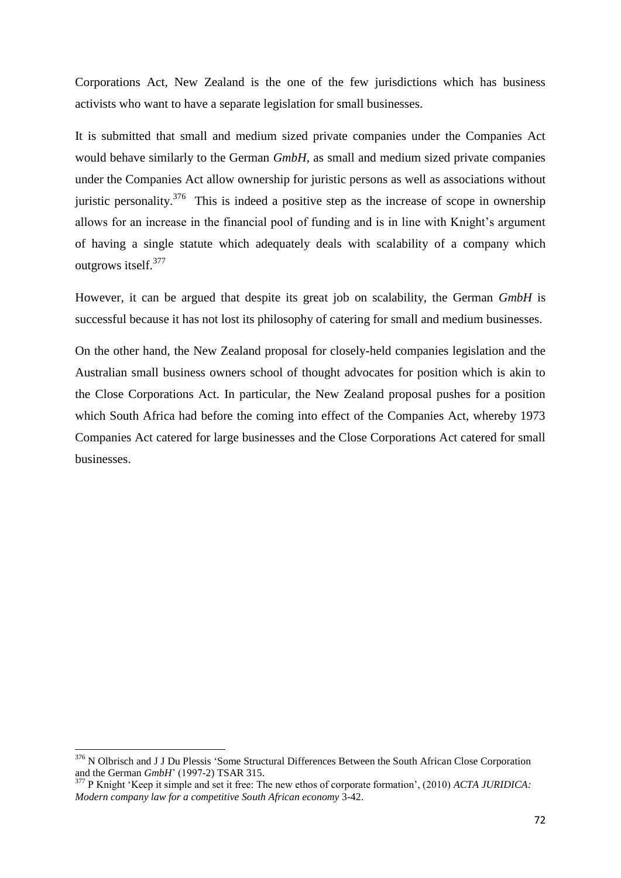Corporations Act, New Zealand is the one of the few jurisdictions which has business activists who want to have a separate legislation for small businesses.

It is submitted that small and medium sized private companies under the Companies Act would behave similarly to the German *GmbH*, as small and medium sized private companies under the Companies Act allow ownership for juristic persons as well as associations without juristic personality.<sup>376</sup> This is indeed a positive step as the increase of scope in ownership allows for an increase in the financial pool of funding and is in line with Knight's argument of having a single statute which adequately deals with scalability of a company which outgrows itself.<sup>377</sup>

However, it can be argued that despite its great job on scalability, the German *GmbH* is successful because it has not lost its philosophy of catering for small and medium businesses.

On the other hand, the New Zealand proposal for closely-held companies legislation and the Australian small business owners school of thought advocates for position which is akin to the Close Corporations Act. In particular, the New Zealand proposal pushes for a position which South Africa had before the coming into effect of the Companies Act, whereby 1973 Companies Act catered for large businesses and the Close Corporations Act catered for small businesses.

<sup>&</sup>lt;sup>376</sup> N Olbrisch and J J Du Plessis 'Some Structural Differences Between the South African Close Corporation and the German *GmbH*" (1997-2) TSAR 315.

<sup>377</sup> P Knight "Keep it simple and set it free: The new ethos of corporate formation", (2010) *ACTA JURIDICA: Modern company law for a competitive South African economy* 3-42.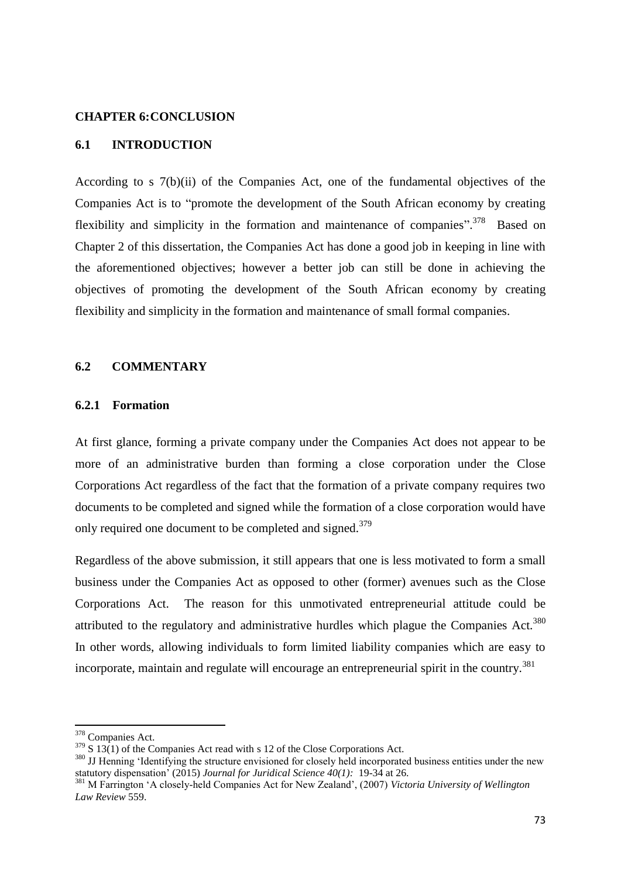#### **CHAPTER 6:CONCLUSION**

### **6.1 INTRODUCTION**

According to s 7(b)(ii) of the Companies Act, one of the fundamental objectives of the Companies Act is to "promote the development of the South African economy by creating flexibility and simplicity in the formation and maintenance of companies".<sup>378</sup> Based on Chapter 2 of this dissertation, the Companies Act has done a good job in keeping in line with the aforementioned objectives; however a better job can still be done in achieving the objectives of promoting the development of the South African economy by creating flexibility and simplicity in the formation and maintenance of small formal companies.

#### **6.2 COMMENTARY**

### **6.2.1 Formation**

At first glance, forming a private company under the Companies Act does not appear to be more of an administrative burden than forming a close corporation under the Close Corporations Act regardless of the fact that the formation of a private company requires two documents to be completed and signed while the formation of a close corporation would have only required one document to be completed and signed.<sup>379</sup>

Regardless of the above submission, it still appears that one is less motivated to form a small business under the Companies Act as opposed to other (former) avenues such as the Close Corporations Act. The reason for this unmotivated entrepreneurial attitude could be attributed to the regulatory and administrative hurdles which plague the Companies  $Act.<sup>380</sup>$ In other words, allowing individuals to form limited liability companies which are easy to incorporate, maintain and regulate will encourage an entrepreneurial spirit in the country.<sup>381</sup>

1

<sup>&</sup>lt;sup>378</sup> Companies Act.

 $379$  S 13(1) of the Companies Act read with s 12 of the Close Corporations Act.

<sup>&</sup>lt;sup>380</sup> JJ Henning 'Identifying the structure envisioned for closely held incorporated business entities under the new statutory dispensation" (2015) *Journal for Juridical Science 40(1):* 19-34 at 26.

<sup>381</sup> M Farrington "A closely-held Companies Act for New Zealand", (2007) *Victoria University of Wellington Law Review* 559.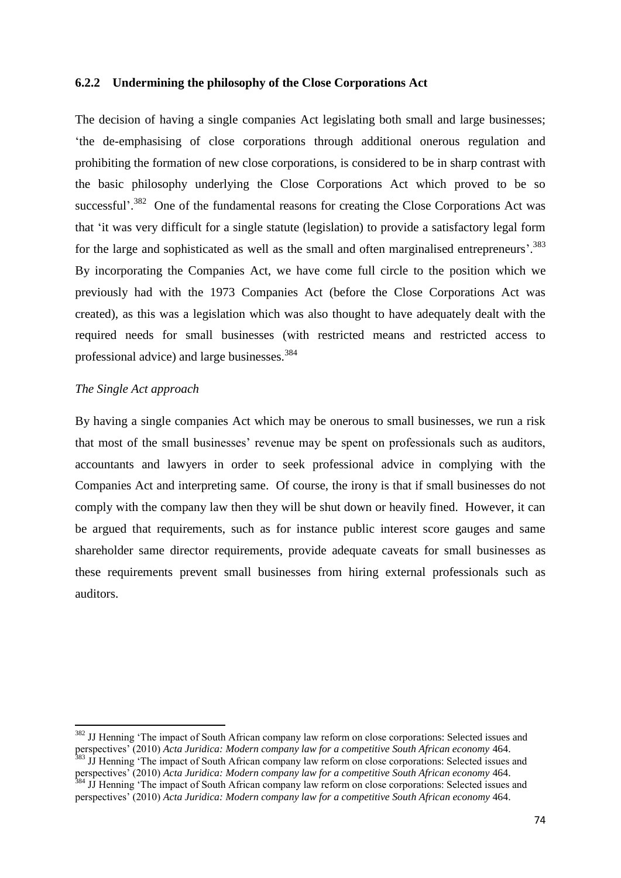#### **6.2.2 Undermining the philosophy of the Close Corporations Act**

The decision of having a single companies Act legislating both small and large businesses; "the de-emphasising of close corporations through additional onerous regulation and prohibiting the formation of new close corporations, is considered to be in sharp contrast with the basic philosophy underlying the Close Corporations Act which proved to be so successful'.<sup>382</sup> One of the fundamental reasons for creating the Close Corporations Act was that "it was very difficult for a single statute (legislation) to provide a satisfactory legal form for the large and sophisticated as well as the small and often marginalised entrepreneurs'.<sup>383</sup> By incorporating the Companies Act, we have come full circle to the position which we previously had with the 1973 Companies Act (before the Close Corporations Act was created), as this was a legislation which was also thought to have adequately dealt with the required needs for small businesses (with restricted means and restricted access to professional advice) and large businesses.<sup>384</sup>

### *The Single Act approach*

1

By having a single companies Act which may be onerous to small businesses, we run a risk that most of the small businesses" revenue may be spent on professionals such as auditors, accountants and lawyers in order to seek professional advice in complying with the Companies Act and interpreting same. Of course, the irony is that if small businesses do not comply with the company law then they will be shut down or heavily fined. However, it can be argued that requirements, such as for instance public interest score gauges and same shareholder same director requirements, provide adequate caveats for small businesses as these requirements prevent small businesses from hiring external professionals such as auditors.

<sup>&</sup>lt;sup>382</sup> JJ Henning 'The impact of South African company law reform on close corporations: Selected issues and perspectives" (2010) *Acta Juridica: Modern company law for a competitive South African economy* 464. <sup>383</sup> JJ Henning 'The impact of South African company law reform on close corporations: Selected issues and

perspectives" (2010) *Acta Juridica: Modern company law for a competitive South African economy* 464. <sup>384</sup> JJ Henning 'The impact of South African company law reform on close corporations: Selected issues and perspectives" (2010) *Acta Juridica: Modern company law for a competitive South African economy* 464.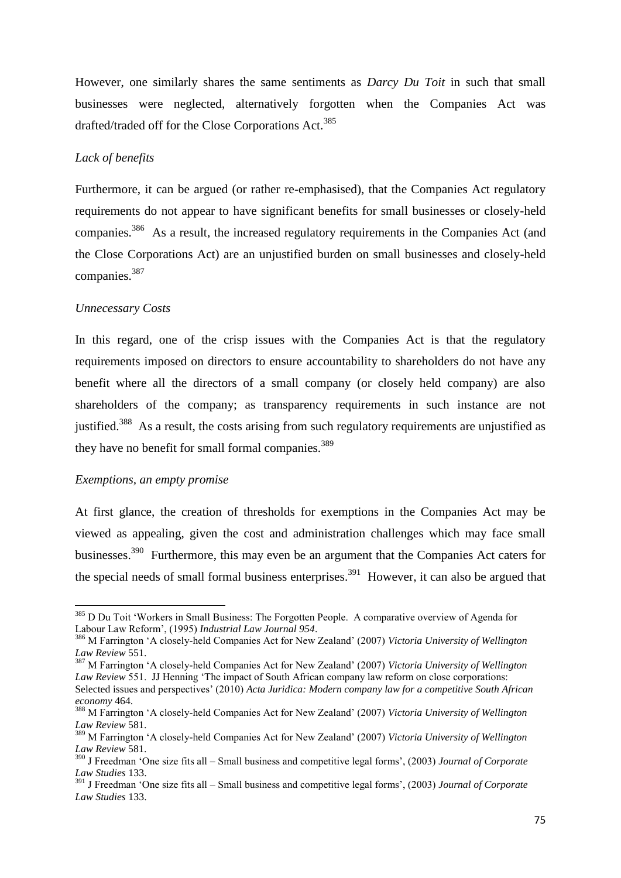However, one similarly shares the same sentiments as *Darcy Du Toit* in such that small businesses were neglected, alternatively forgotten when the Companies Act was drafted/traded off for the Close Corporations Act.<sup>385</sup>

### *Lack of benefits*

Furthermore, it can be argued (or rather re-emphasised), that the Companies Act regulatory requirements do not appear to have significant benefits for small businesses or closely-held companies.<sup>386</sup> As a result, the increased regulatory requirements in the Companies Act (and the Close Corporations Act) are an unjustified burden on small businesses and closely-held companies.<sup>387</sup>

### *Unnecessary Costs*

In this regard, one of the crisp issues with the Companies Act is that the regulatory requirements imposed on directors to ensure accountability to shareholders do not have any benefit where all the directors of a small company (or closely held company) are also shareholders of the company; as transparency requirements in such instance are not justified.<sup>388</sup> As a result, the costs arising from such regulatory requirements are unjustified as they have no benefit for small formal companies.<sup>389</sup>

### *Exemptions, an empty promise*

**.** 

At first glance, the creation of thresholds for exemptions in the Companies Act may be viewed as appealing, given the cost and administration challenges which may face small businesses.<sup>390</sup> Furthermore, this may even be an argument that the Companies Act caters for the special needs of small formal business enterprises.<sup>391</sup> However, it can also be argued that

<sup>&</sup>lt;sup>385</sup> D Du Toit 'Workers in Small Business: The Forgotten People. A comparative overview of Agenda for Labour Law Reform", (1995) *Industrial Law Journal 954*.

<sup>386</sup> M Farrington "A closely-held Companies Act for New Zealand" (2007) *Victoria University of Wellington Law Review* 551.

<sup>387</sup> M Farrington "A closely-held Companies Act for New Zealand" (2007) *Victoria University of Wellington Law Review* 551. JJ Henning "The impact of South African company law reform on close corporations: Selected issues and perspectives" (2010) *Acta Juridica: Modern company law for a competitive South African economy* 464.

<sup>388</sup> M Farrington "A closely-held Companies Act for New Zealand" (2007) *Victoria University of Wellington Law Review* 581.

<sup>389</sup> M Farrington "A closely-held Companies Act for New Zealand" (2007) *Victoria University of Wellington Law Review* 581.

<sup>390</sup> J Freedman "One size fits all – Small business and competitive legal forms", (2003) *Journal of Corporate Law Studies* 133.

<sup>391</sup> J Freedman "One size fits all – Small business and competitive legal forms", (2003) *Journal of Corporate Law Studies* 133.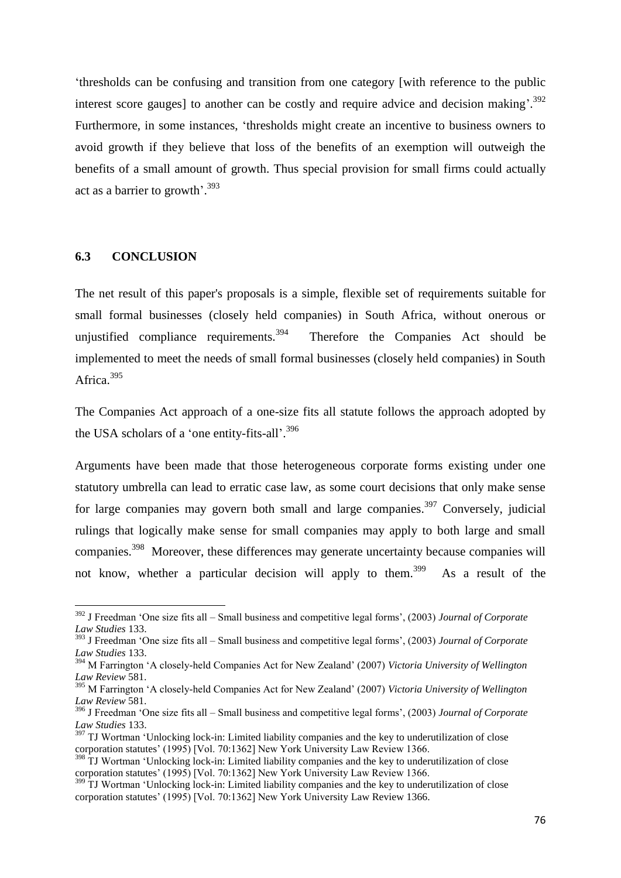"thresholds can be confusing and transition from one category [with reference to the public interest score gauges] to another can be costly and require advice and decision making'.<sup>392</sup> Furthermore, in some instances, "thresholds might create an incentive to business owners to avoid growth if they believe that loss of the benefits of an exemption will outweigh the benefits of a small amount of growth. Thus special provision for small firms could actually act as a barrier to growth'.<sup>393</sup>

### **6.3 CONCLUSION**

**.** 

The net result of this paper's proposals is a simple, flexible set of requirements suitable for small formal businesses (closely held companies) in South Africa, without onerous or unjustified compliance requirements. $394$  Therefore the Companies Act should be implemented to meet the needs of small formal businesses (closely held companies) in South Africa.<sup>395</sup>

The Companies Act approach of a one-size fits all statute follows the approach adopted by the USA scholars of a 'one entity-fits-all'.<sup>396</sup>

Arguments have been made that those heterogeneous corporate forms existing under one statutory umbrella can lead to erratic case law, as some court decisions that only make sense for large companies may govern both small and large companies.<sup>397</sup> Conversely, judicial rulings that logically make sense for small companies may apply to both large and small companies.<sup>398</sup> Moreover, these differences may generate uncertainty because companies will not know, whether a particular decision will apply to them.<sup>399</sup> As a result of the

<sup>&</sup>lt;sup>392</sup> J Freedman 'One size fits all – Small business and competitive legal forms', (2003) *Journal of Corporate Law Studies* 133.

<sup>393</sup> J Freedman "One size fits all – Small business and competitive legal forms", (2003) *Journal of Corporate Law Studies* 133.

<sup>394</sup> M Farrington "A closely-held Companies Act for New Zealand" (2007) *Victoria University of Wellington Law Review* 581.

<sup>395</sup> M Farrington "A closely-held Companies Act for New Zealand" (2007) *Victoria University of Wellington Law Review* 581.

<sup>396</sup> J Freedman "One size fits all – Small business and competitive legal forms", (2003) *Journal of Corporate Law Studies* 133.

<sup>&</sup>lt;sup>397</sup> TJ Wortman 'Unlocking lock-in: Limited liability companies and the key to underutilization of close corporation statutes" (1995) [Vol. 70:1362] New York University Law Review 1366.

<sup>&</sup>lt;sup>398</sup> TJ Wortman 'Unlocking lock-in: Limited liability companies and the key to underutilization of close corporation statutes" (1995) [Vol. 70:1362] New York University Law Review 1366.

<sup>&</sup>lt;sup>399</sup> TJ Wortman 'Unlocking lock-in: Limited liability companies and the key to underutilization of close corporation statutes' (1995) [Vol. 70:1362] New York University Law Review 1366.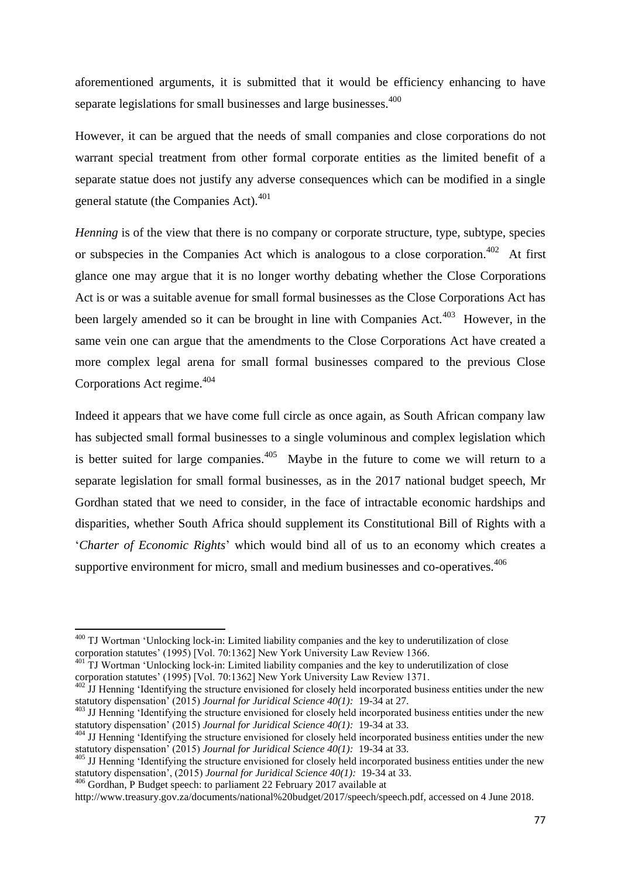aforementioned arguments, it is submitted that it would be efficiency enhancing to have separate legislations for small businesses and large businesses.<sup>400</sup>

However, it can be argued that the needs of small companies and close corporations do not warrant special treatment from other formal corporate entities as the limited benefit of a separate statue does not justify any adverse consequences which can be modified in a single general statute (the Companies Act).<sup>401</sup>

*Henning* is of the view that there is no company or corporate structure, type, subtype, species or subspecies in the Companies Act which is analogous to a close corporation.<sup>402</sup> At first glance one may argue that it is no longer worthy debating whether the Close Corporations Act is or was a suitable avenue for small formal businesses as the Close Corporations Act has been largely amended so it can be brought in line with Companies Act.<sup>403</sup> However, in the same vein one can argue that the amendments to the Close Corporations Act have created a more complex legal arena for small formal businesses compared to the previous Close Corporations Act regime.<sup>404</sup>

Indeed it appears that we have come full circle as once again, as South African company law has subjected small formal businesses to a single voluminous and complex legislation which is better suited for large companies.<sup>405</sup> Maybe in the future to come we will return to a separate legislation for small formal businesses, as in the 2017 national budget speech, Mr Gordhan stated that we need to consider, in the face of intractable economic hardships and disparities, whether South Africa should supplement its Constitutional Bill of Rights with a "*Charter of Economic Rights*" which would bind all of us to an economy which creates a supportive environment for micro, small and medium businesses and co-operatives.<sup>406</sup>

**.** 

 $400$  TJ Wortman 'Unlocking lock-in: Limited liability companies and the key to underutilization of close corporation statutes" (1995) [Vol. 70:1362] New York University Law Review 1366.

<sup>&</sup>lt;sup>401</sup> TJ Wortman 'Unlocking lock-in: Limited liability companies and the key to underutilization of close corporation statutes' (1995) [Vol. 70:1362] New York University Law Review 1371.

 $402$  JJ Henning 'Identifying the structure envisioned for closely held incorporated business entities under the new statutory dispensation" (2015) *Journal for Juridical Science 40(1):* 19-34 at 27.

<sup>&</sup>lt;sup>403</sup> JJ Henning 'Identifying the structure envisioned for closely held incorporated business entities under the new statutory dispensation" (2015) *Journal for Juridical Science 40(1):* 19-34 at 33.

<sup>&</sup>lt;sup>404</sup> JJ Henning 'Identifying the structure envisioned for closely held incorporated business entities under the new statutory dispensation" (2015) *Journal for Juridical Science 40(1):* 19-34 at 33.

<sup>&</sup>lt;sup>405</sup> JJ Henning 'Identifying the structure envisioned for closely held incorporated business entities under the new statutory dispensation", (2015) *Journal for Juridical Science 40(1):* 19-34 at 33.

<sup>&</sup>lt;sup>406</sup> Gordhan, P Budget speech: to parliament 22 February 2017 available at

http://www.treasury.gov.za/documents/national%20budget/2017/speech/speech.pdf, accessed on 4 June 2018.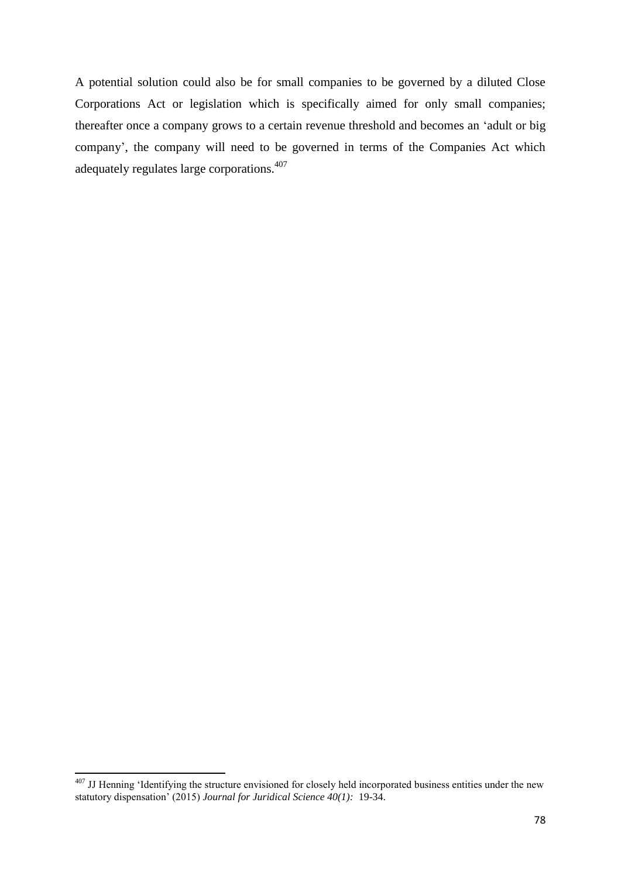A potential solution could also be for small companies to be governed by a diluted Close Corporations Act or legislation which is specifically aimed for only small companies; thereafter once a company grows to a certain revenue threshold and becomes an "adult or big company", the company will need to be governed in terms of the Companies Act which adequately regulates large corporations.<sup>407</sup>

**<sup>.</sup>**  $407$  JJ Henning 'Identifying the structure envisioned for closely held incorporated business entities under the new statutory dispensation" (2015) *Journal for Juridical Science 40(1):* 19-34.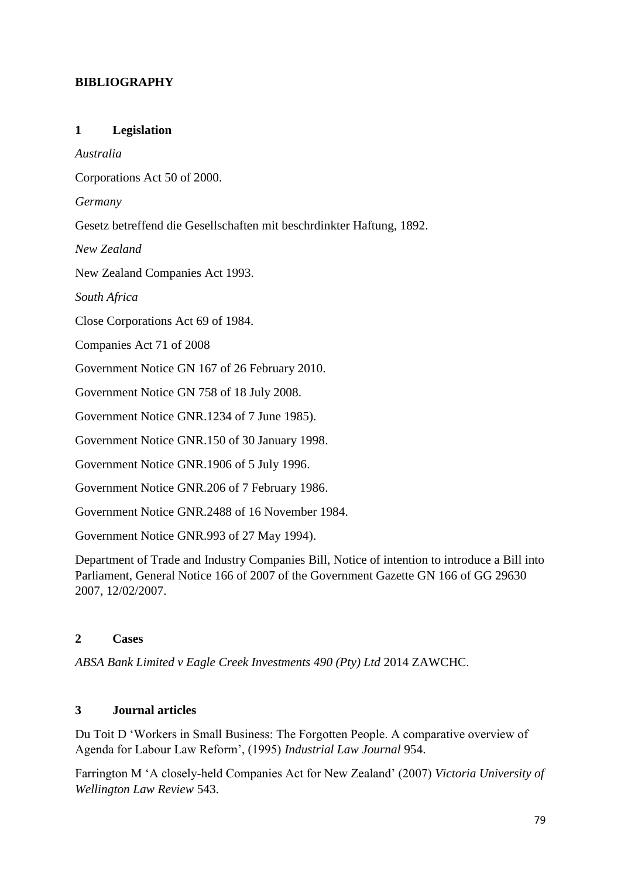## **BIBLIOGRAPHY**

## **1 Legislation**

*Australia*

Corporations Act 50 of 2000.

*Germany*

Gesetz betreffend die Gesellschaften mit beschrdinkter Haftung, 1892.

*New Zealand*

New Zealand Companies Act 1993.

*South Africa*

Close Corporations Act 69 of 1984.

Companies Act 71 of 2008

Government Notice GN 167 of 26 February 2010.

Government Notice GN 758 of 18 July 2008.

Government Notice GNR.1234 of 7 June 1985).

Government Notice GNR.150 of 30 January 1998.

Government Notice GNR.1906 of 5 July 1996.

Government Notice GNR.206 of 7 February 1986.

Government Notice GNR.2488 of 16 November 1984.

Government Notice GNR.993 of 27 May 1994).

Department of Trade and Industry Companies Bill, Notice of intention to introduce a Bill into Parliament, General Notice 166 of 2007 of the Government Gazette GN 166 of GG 29630 2007, 12/02/2007.

### **2 Cases**

*ABSA Bank Limited v Eagle Creek Investments 490 (Pty) Ltd* 2014 ZAWCHC.

## **3 Journal articles**

Du Toit D "Workers in Small Business: The Forgotten People. A comparative overview of Agenda for Labour Law Reform", (1995) *Industrial Law Journal* 954.

Farrington M "A closely-held Companies Act for New Zealand" (2007) *Victoria University of Wellington Law Review* 543.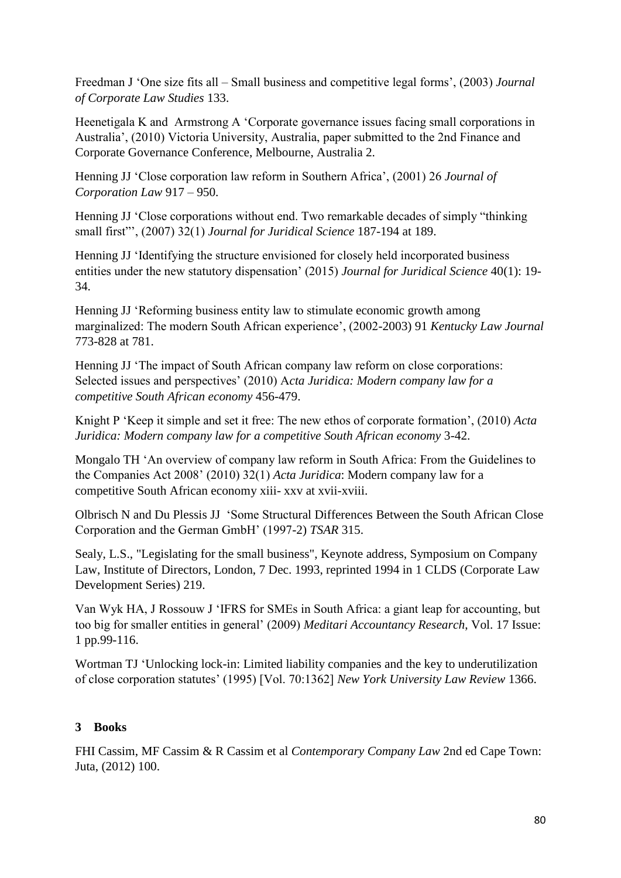Freedman J 'One size fits all – Small business and competitive legal forms', (2003) *Journal of Corporate Law Studies* 133.

Heenetigala K and Armstrong A "Corporate governance issues facing small corporations in Australia", (2010) Victoria University, Australia, paper submitted to the 2nd Finance and Corporate Governance Conference, Melbourne, Australia 2.

Henning JJ "Close corporation law reform in Southern Africa", (2001) 26 *Journal of Corporation Law* 917 – 950.

Henning JJ "Close corporations without end. Two remarkable decades of simply "thinking small first"", (2007) 32(1) *Journal for Juridical Science* 187-194 at 189.

Henning JJ "Identifying the structure envisioned for closely held incorporated business entities under the new statutory dispensation" (2015) *Journal for Juridical Science* 40(1): 19- 34.

Henning JJ "Reforming business entity law to stimulate economic growth among marginalized: The modern South African experience", (2002-2003) 91 *Kentucky Law Journal* 773-828 at 781.

Henning JJ "The impact of South African company law reform on close corporations: Selected issues and perspectives" (2010) A*cta Juridica: Modern company law for a competitive South African economy* 456-479.

Knight P "Keep it simple and set it free: The new ethos of corporate formation", (2010) *Acta Juridica: Modern company law for a competitive South African economy* 3-42.

Mongalo TH "An overview of company law reform in South Africa: From the Guidelines to the Companies Act 2008" (2010) 32(1) *Acta Juridica*: Modern company law for a competitive South African economy xiii- xxv at xvii-xviii.

Olbrisch N and Du Plessis JJ "Some Structural Differences Between the South African Close Corporation and the German GmbH" (1997-2) *TSAR* 315.

Sealy, L.S., "Legislating for the small business", Keynote address, Symposium on Company Law, Institute of Directors, London, 7 Dec. 1993, reprinted 1994 in 1 CLDS (Corporate Law Development Series) 219.

Van Wyk HA, J Rossouw J "IFRS for SMEs in South Africa: a giant leap for accounting, but too big for smaller entities in general" (2009) *Meditari Accountancy Research*, Vol. 17 Issue: 1 pp.99-116.

Wortman TJ "Unlocking lock-in: Limited liability companies and the key to underutilization of close corporation statutes" (1995) [Vol. 70:1362] *New York University Law Review* 1366.

# **3 Books**

FHI Cassim, MF Cassim & R Cassim et al *Contemporary Company Law* 2nd ed Cape Town: Juta, (2012) 100.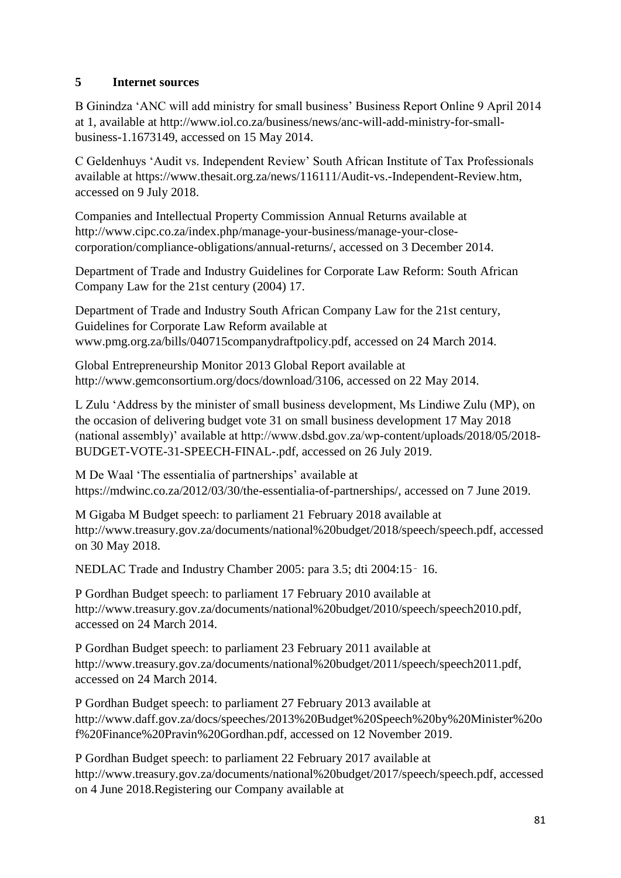## **5 Internet sources**

B Ginindza "ANC will add ministry for small business" Business Report Online 9 April 2014 at 1, available at http://www.iol.co.za/business/news/anc-will-add-ministry-for-smallbusiness-1.1673149, accessed on 15 May 2014.

C Geldenhuys "Audit vs. Independent Review" South African Institute of Tax Professionals available at https://www.thesait.org.za/news/116111/Audit-vs.-Independent-Review.htm, accessed on 9 July 2018.

Companies and Intellectual Property Commission Annual Returns available at http://www.cipc.co.za/index.php/manage-your-business/manage-your-closecorporation/compliance-obligations/annual-returns/, accessed on 3 December 2014.

Department of Trade and Industry Guidelines for Corporate Law Reform: South African Company Law for the 21st century (2004) 17.

Department of Trade and Industry South African Company Law for the 21st century, Guidelines for Corporate Law Reform available at www.pmg.org.za/bills/040715companydraftpolicy.pdf, accessed on 24 March 2014.

Global Entrepreneurship Monitor 2013 Global Report available at http://www.gemconsortium.org/docs/download/3106, accessed on 22 May 2014.

L Zulu "Address by the minister of small business development, Ms Lindiwe Zulu (MP), on the occasion of delivering budget vote 31 on small business development 17 May 2018 (national assembly)" available at http://www.dsbd.gov.za/wp-content/uploads/2018/05/2018- BUDGET-VOTE-31-SPEECH-FINAL-.pdf, accessed on 26 July 2019.

M De Waal 'The essentialia of partnerships' available at https://mdwinc.co.za/2012/03/30/the-essentialia-of-partnerships/, accessed on 7 June 2019.

M Gigaba M Budget speech: to parliament 21 February 2018 available at http://www.treasury.gov.za/documents/national%20budget/2018/speech/speech.pdf, accessed on 30 May 2018.

NEDLAC Trade and Industry Chamber 2005: para 3.5; dti 2004:15‑ 16.

P Gordhan Budget speech: to parliament 17 February 2010 available at http://www.treasury.gov.za/documents/national%20budget/2010/speech/speech2010.pdf, accessed on 24 March 2014.

P Gordhan Budget speech: to parliament 23 February 2011 available at http://www.treasury.gov.za/documents/national%20budget/2011/speech/speech2011.pdf, accessed on 24 March 2014.

P Gordhan Budget speech: to parliament 27 February 2013 available at http://www.daff.gov.za/docs/speeches/2013%20Budget%20Speech%20by%20Minister%20o f%20Finance%20Pravin%20Gordhan.pdf, accessed on 12 November 2019.

P Gordhan Budget speech: to parliament 22 February 2017 available at http://www.treasury.gov.za/documents/national%20budget/2017/speech/speech.pdf, accessed on 4 June 2018.Registering our Company available at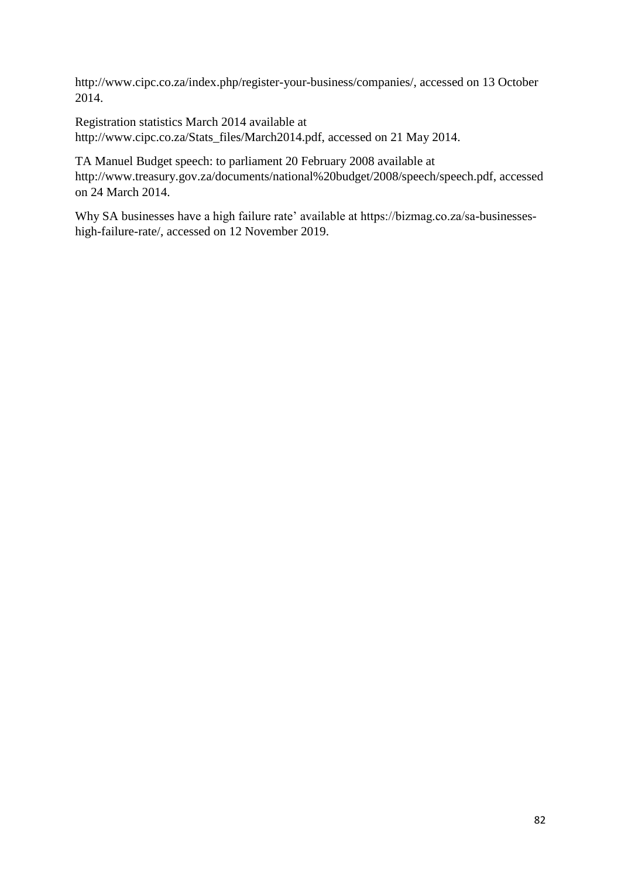http://www.cipc.co.za/index.php/register-your-business/companies/, accessed on 13 October 2014.

Registration statistics March 2014 available at http://www.cipc.co.za/Stats\_files/March2014.pdf, accessed on 21 May 2014.

TA Manuel Budget speech: to parliament 20 February 2008 available at http://www.treasury.gov.za/documents/national%20budget/2008/speech/speech.pdf, accessed on 24 March 2014.

Why SA businesses have a high failure rate' available at https://bizmag.co.za/sa-businesseshigh-failure-rate/, accessed on 12 November 2019.